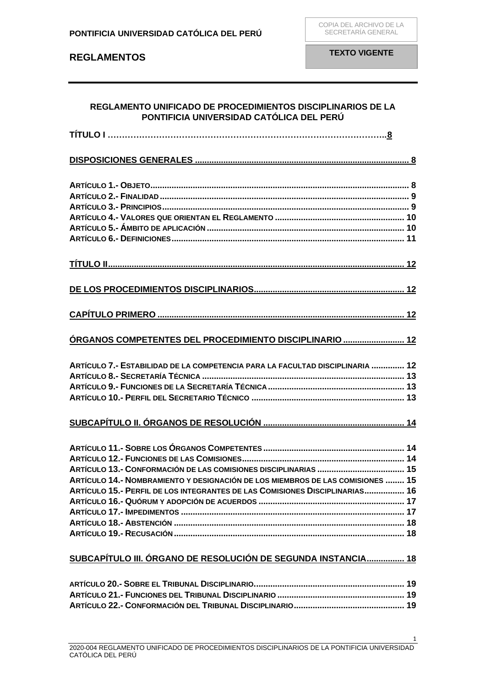| REGLAMENTO UNIFICADO DE PROCEDIMIENTOS DISCIPLINARIOS DE LA<br>PONTIFICIA UNIVERSIDAD CATÓLICA DEL PERÚ |  |
|---------------------------------------------------------------------------------------------------------|--|
|                                                                                                         |  |
|                                                                                                         |  |
|                                                                                                         |  |
|                                                                                                         |  |
|                                                                                                         |  |
|                                                                                                         |  |
|                                                                                                         |  |
|                                                                                                         |  |
|                                                                                                         |  |
|                                                                                                         |  |
|                                                                                                         |  |
| ÓRGANOS COMPETENTES DEL PROCEDIMIENTO DISCIPLINARIO  12                                                 |  |
| ARTÍCULO 7.- ESTABILIDAD DE LA COMPETENCIA PARA LA FACULTAD DISCIPLINARIA  12                           |  |
|                                                                                                         |  |
|                                                                                                         |  |
|                                                                                                         |  |
|                                                                                                         |  |
|                                                                                                         |  |
|                                                                                                         |  |
|                                                                                                         |  |
| ARTÍCULO 14.- NOMBRAMIENTO Y DESIGNACIÓN DE LOS MIEMBROS DE LAS COMISIONES  15                          |  |
| ARTÍCULO 15.- PERFIL DE LOS INTEGRANTES DE LAS COMISIONES DISCIPLINARIAS 16                             |  |
|                                                                                                         |  |
|                                                                                                         |  |
|                                                                                                         |  |
| SUBCAPÍTULO III. ÓRGANO DE RESOLUCIÓN DE SEGUNDA INSTANCIA 18                                           |  |
|                                                                                                         |  |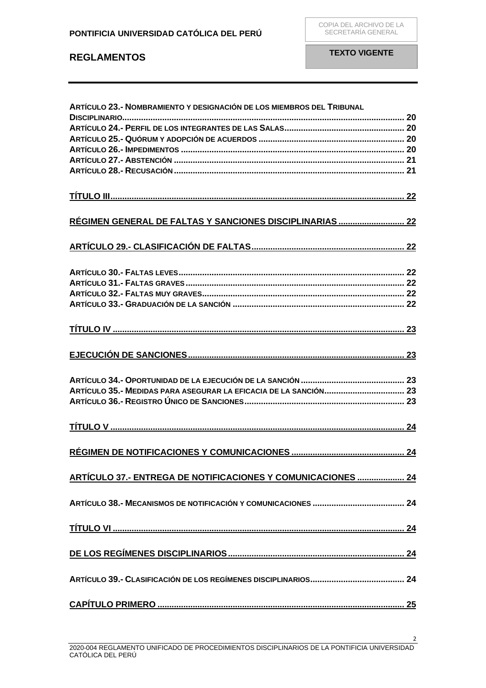**TEXTO VIGENTE**

| ARTÍCULO 23.- NOMBRAMIENTO Y DESIGNACIÓN DE LOS MIEMBROS DEL TRIBUNAL |  |
|-----------------------------------------------------------------------|--|
|                                                                       |  |
|                                                                       |  |
|                                                                       |  |
|                                                                       |  |
|                                                                       |  |
|                                                                       |  |
|                                                                       |  |
|                                                                       |  |
|                                                                       |  |
| RÉGIMEN GENERAL DE FALTAS Y SANCIONES DISCIPLINARIAS  22              |  |
|                                                                       |  |
|                                                                       |  |
|                                                                       |  |
|                                                                       |  |
|                                                                       |  |
|                                                                       |  |
|                                                                       |  |
|                                                                       |  |
|                                                                       |  |
|                                                                       |  |
|                                                                       |  |
|                                                                       |  |
|                                                                       |  |
|                                                                       |  |
|                                                                       |  |
|                                                                       |  |
|                                                                       |  |
|                                                                       |  |
|                                                                       |  |
|                                                                       |  |
|                                                                       |  |
|                                                                       |  |
| ARTÍCULO 37.- ENTREGA DE NOTIFICACIONES Y COMUNICACIONES  24          |  |
|                                                                       |  |
|                                                                       |  |
|                                                                       |  |
|                                                                       |  |
|                                                                       |  |
|                                                                       |  |
|                                                                       |  |
|                                                                       |  |
|                                                                       |  |
|                                                                       |  |
|                                                                       |  |
|                                                                       |  |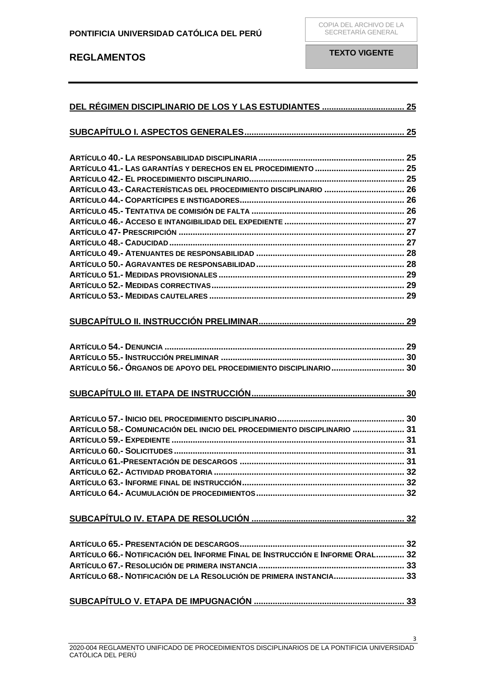| ARTÍCULO 43.- CARACTERÍSTICAS DEL PROCEDIMIENTO DISCIPLINARIO  26             |  |
|-------------------------------------------------------------------------------|--|
|                                                                               |  |
|                                                                               |  |
|                                                                               |  |
|                                                                               |  |
|                                                                               |  |
|                                                                               |  |
|                                                                               |  |
|                                                                               |  |
|                                                                               |  |
|                                                                               |  |
|                                                                               |  |
|                                                                               |  |
|                                                                               |  |
|                                                                               |  |
| ARTÍCULO 56.- ÓRGANOS DE APOYO DEL PROCEDIMIENTO DISCIPLINARIO  30            |  |
|                                                                               |  |
|                                                                               |  |
| ARTÍCULO 58.- COMUNICACIÓN DEL INICIO DEL PROCEDIMIENTO DISCIPLINARIO  31     |  |
|                                                                               |  |
|                                                                               |  |
|                                                                               |  |
|                                                                               |  |
|                                                                               |  |
|                                                                               |  |
|                                                                               |  |
|                                                                               |  |
|                                                                               |  |
| ARTÍCULO 66.- NOTIFICACIÓN DEL INFORME FINAL DE INSTRUCCIÓN E INFORME ORAL 32 |  |
|                                                                               |  |
| ARTÍCULO 68.- NOTIFICACIÓN DE LA RESOLUCIÓN DE PRIMERA INSTANCIA 33           |  |
|                                                                               |  |
|                                                                               |  |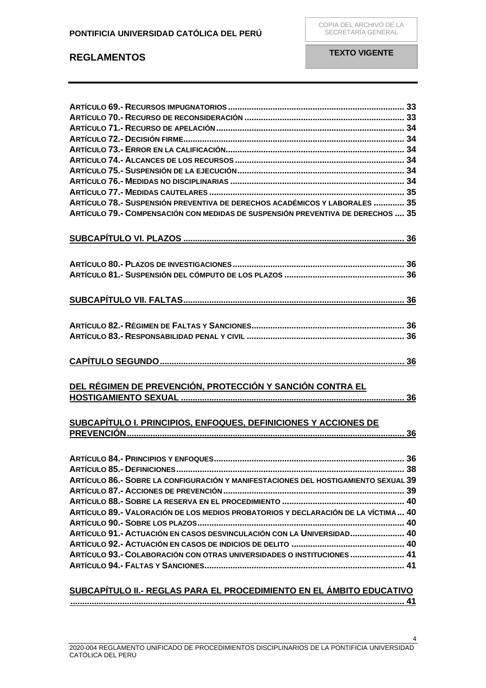| ARTÍCULO 78.- SUSPENSIÓN PREVENTIVA DE DERECHOS ACADÉMICOS Y LABORALES  35         |  |
|------------------------------------------------------------------------------------|--|
| ARTÍCULO 79.- COMPENSACIÓN CON MEDIDAS DE SUSPENSIÓN PREVENTIVA DE DERECHOS  35    |  |
|                                                                                    |  |
|                                                                                    |  |
|                                                                                    |  |
|                                                                                    |  |
|                                                                                    |  |
|                                                                                    |  |
|                                                                                    |  |
|                                                                                    |  |
|                                                                                    |  |
|                                                                                    |  |
| DEL RÉGIMEN DE PREVENCIÓN, PROTECCIÓN Y SANCIÓN CONTRA EL                          |  |
|                                                                                    |  |
|                                                                                    |  |
| SUBCAPÍTULO I. PRINCIPIOS, ENFOQUES, DEFINICIONES Y ACCIONES DE                    |  |
|                                                                                    |  |
|                                                                                    |  |
|                                                                                    |  |
|                                                                                    |  |
|                                                                                    |  |
| ARTÍCULO 86.- SOBRE LA CONFIGURACIÓN Y MANIFESTACIONES DEL HOSTIGAMIENTO SEXUAL 39 |  |
|                                                                                    |  |
|                                                                                    |  |
| ARTÍCULO 89.- VALORACIÓN DE LOS MEDIOS PROBATORIOS Y DECLARACIÓN DE LA VÍCTIMA 40  |  |
|                                                                                    |  |
| ARTÍCULO 91.- ACTUACIÓN EN CASOS DESVINCULACIÓN CON LA UNIVERSIDAD 40              |  |
|                                                                                    |  |

# **SUBCAPÍTULO II.- [REGLAS PARA EL PROCEDIMIENTO EN EL ÁMBITO EDUCATIVO](#page-40-2)**

**ARTÍCULO 93.- C[OLABORACIÓN CON OTRAS UNIVERSIDADES O INSTITUCIONES](#page-40-0) ....................... 41 ARTÍCULO 94.- FALTAS Y SANCIONES[.....................................................................................](#page-40-1) 41**

**[..............................................................................................................................................](#page-40-2) 41**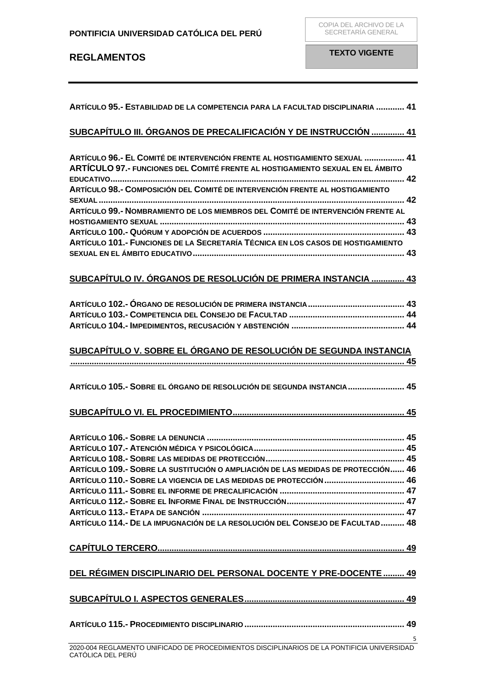CATÓLICA DEL PERÚ

| ARTÍCULO 95.- ESTABILIDAD DE LA COMPETENCIA PARA LA FACULTAD DISCIPLINARIA  41                                                                               |   |
|--------------------------------------------------------------------------------------------------------------------------------------------------------------|---|
| SUBCAPÍTULO III. ÓRGANOS DE PRECALIFICACIÓN Y DE INSTRUCCIÓN  41                                                                                             |   |
| ARTÍCULO 96.- EL COMITÉ DE INTERVENCIÓN FRENTE AL HOSTIGAMIENTO SEXUAL  41<br>ARTÍCULO 97.- FUNCIONES DEL COMITÉ FRENTE AL HOSTIGAMIENTO SEXUAL EN EL ÁMBITO |   |
|                                                                                                                                                              |   |
| ARTÍCULO 98.- COMPOSICIÓN DEL COMITÉ DE INTERVENCIÓN FRENTE AL HOSTIGAMIENTO                                                                                 |   |
| ARTÍCULO 99.- NOMBRAMIENTO DE LOS MIEMBROS DEL COMITÉ DE INTERVENCIÓN FRENTE AL                                                                              |   |
|                                                                                                                                                              |   |
| ARTÍCULO 101.- FUNCIONES DE LA SECRETARÍA TÉCNICA EN LOS CASOS DE HOSTIGAMIENTO                                                                              |   |
|                                                                                                                                                              |   |
| SUBCAPÍTULO IV. ÓRGANOS DE RESOLUCIÓN DE PRIMERA INSTANCIA  43                                                                                               |   |
|                                                                                                                                                              |   |
|                                                                                                                                                              |   |
|                                                                                                                                                              |   |
|                                                                                                                                                              |   |
| SUBCAPÍTULO V. SOBRE EL ÓRGANO DE RESOLUCIÓN DE SEGUNDA INSTANCIA                                                                                            |   |
|                                                                                                                                                              |   |
| ARTÍCULO 105.- SOBRE EL ÓRGANO DE RESOLUCIÓN DE SEGUNDA INSTANCIA  45                                                                                        |   |
|                                                                                                                                                              |   |
|                                                                                                                                                              |   |
|                                                                                                                                                              |   |
|                                                                                                                                                              |   |
| ARTÍCULO 109.- SOBRE LA SUSTITUCIÓN O AMPLIACIÓN DE LAS MEDIDAS DE PROTECCIÓN 46                                                                             |   |
|                                                                                                                                                              |   |
|                                                                                                                                                              |   |
|                                                                                                                                                              |   |
|                                                                                                                                                              |   |
| ARTÍCULO 114.- DE LA IMPUGNACIÓN DE LA RESOLUCIÓN DEL CONSEJO DE FACULTAD 48                                                                                 |   |
|                                                                                                                                                              |   |
| DEL RÉGIMEN DISCIPLINARIO DEL PERSONAL DOCENTE Y PRE-DOCENTE  49                                                                                             |   |
|                                                                                                                                                              |   |
|                                                                                                                                                              |   |
|                                                                                                                                                              |   |
|                                                                                                                                                              |   |
| 2020-004 REGLAMENTO UNIFICADO DE PROCEDIMIENTOS DISCIPLINARIOS DE LA PONTIFICIA UNIVERSIDAD                                                                  | 5 |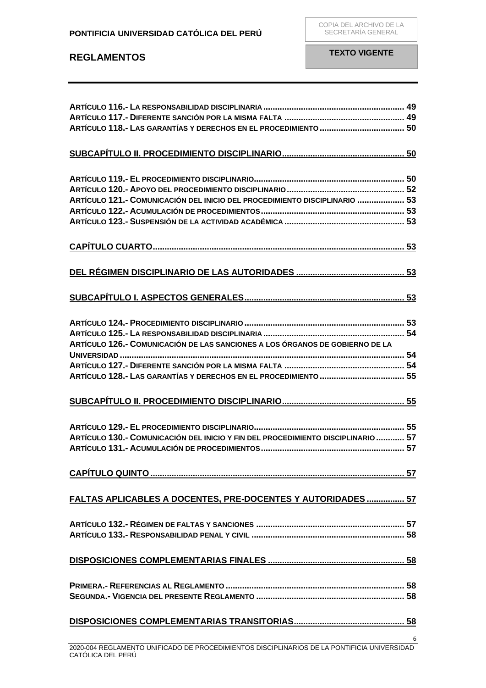CATÓLICA DEL PERÚ

| ARTÍCULO 121.- COMUNICACIÓN DEL INICIO DEL PROCEDIMIENTO DISCIPLINARIO  53                  |   |
|---------------------------------------------------------------------------------------------|---|
|                                                                                             |   |
|                                                                                             |   |
|                                                                                             |   |
|                                                                                             |   |
|                                                                                             |   |
|                                                                                             |   |
|                                                                                             |   |
|                                                                                             |   |
|                                                                                             |   |
|                                                                                             |   |
|                                                                                             |   |
|                                                                                             |   |
|                                                                                             |   |
|                                                                                             |   |
| ARTÍCULO 126.- COMUNICACIÓN DE LAS SANCIONES A LOS ÓRGANOS DE GOBIERNO DE LA                |   |
|                                                                                             |   |
|                                                                                             |   |
|                                                                                             |   |
|                                                                                             |   |
|                                                                                             |   |
|                                                                                             |   |
|                                                                                             |   |
|                                                                                             |   |
|                                                                                             |   |
|                                                                                             |   |
| ARTÍCULO 130.- COMUNICACIÓN DEL INICIO Y FIN DEL PROCEDIMIENTO DISCIPLINARIO  57            |   |
|                                                                                             |   |
|                                                                                             |   |
|                                                                                             |   |
|                                                                                             |   |
|                                                                                             |   |
| FALTAS APLICABLES A DOCENTES, PRE-DOCENTES Y AUTORIDADES  57                                |   |
|                                                                                             |   |
|                                                                                             |   |
|                                                                                             |   |
|                                                                                             |   |
|                                                                                             |   |
|                                                                                             |   |
|                                                                                             |   |
|                                                                                             |   |
|                                                                                             |   |
|                                                                                             |   |
|                                                                                             |   |
|                                                                                             |   |
|                                                                                             |   |
| 2020-004 REGLAMENTO UNIFICADO DE PROCEDIMIENTOS DISCIPLINARIOS DE LA PONTIFICIA UNIVERSIDAD | 6 |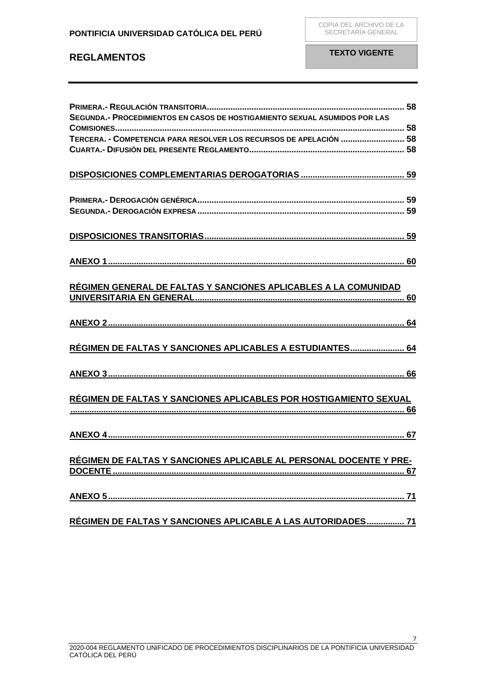**TEXTO VIGENTE**

| SEGUNDA.- PROCEDIMIENTOS EN CASOS DE HOSTIGAMIENTO SEXUAL ASUMIDOS POR LAS |  |
|----------------------------------------------------------------------------|--|
|                                                                            |  |
| TERCERA. - COMPETENCIA PARA RESOLVER LOS RECURSOS DE APELACIÓN  58         |  |
|                                                                            |  |
|                                                                            |  |
|                                                                            |  |
|                                                                            |  |
|                                                                            |  |
|                                                                            |  |
|                                                                            |  |
|                                                                            |  |
|                                                                            |  |
|                                                                            |  |
|                                                                            |  |
|                                                                            |  |
|                                                                            |  |
|                                                                            |  |
| <u>RÉGIMEN GENERAL DE FALTAS Y SANCIONES APLICABLES A LA COMUNIDAD</u>     |  |
|                                                                            |  |
|                                                                            |  |
|                                                                            |  |
|                                                                            |  |
|                                                                            |  |
| RÉGIMEN DE FALTAS Y SANCIONES APLICABLES A ESTUDIANTES 64                  |  |
|                                                                            |  |
|                                                                            |  |
|                                                                            |  |
|                                                                            |  |
|                                                                            |  |
| RÉGIMEN DE FALTAS Y SANCIONES APLICABLES POR HOSTIGAMIENTO SEXUAL          |  |
|                                                                            |  |
|                                                                            |  |
|                                                                            |  |
|                                                                            |  |
|                                                                            |  |
| RÉGIMEN DE FALTAS Y SANCIONES APLICABLE AL PERSONAL DOCENTE Y PRE-         |  |
|                                                                            |  |
|                                                                            |  |
|                                                                            |  |
|                                                                            |  |
|                                                                            |  |
| RÉGIMEN DE FALTAS Y SANCIONES APLICABLE A LAS AUTORIDADES 71               |  |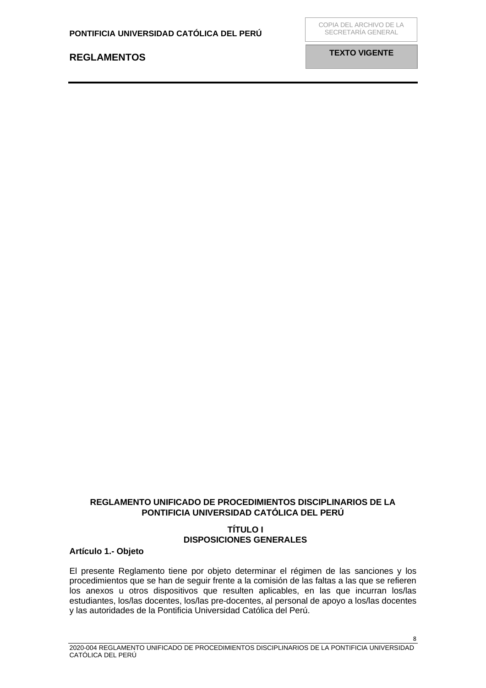COPIA DEL ARCHIVO DE LA SECRETARÍA GENERAL

**TEXTO VIGENTE**

## **REGLAMENTO UNIFICADO DE PROCEDIMIENTOS DISCIPLINARIOS DE LA PONTIFICIA UNIVERSIDAD CATÓLICA DEL PERÚ**

## **TÍTULO I DISPOSICIONES GENERALES**

<span id="page-7-2"></span><span id="page-7-1"></span><span id="page-7-0"></span>**Artículo 1.- Objeto**

El presente Reglamento tiene por objeto determinar el régimen de las sanciones y los procedimientos que se han de seguir frente a la comisión de las faltas a las que se refieren los anexos u otros dispositivos que resulten aplicables, en las que incurran los/las estudiantes, los/las docentes, los/las pre-docentes, al personal de apoyo a los/las docentes y las autoridades de la Pontificia Universidad Católica del Perú.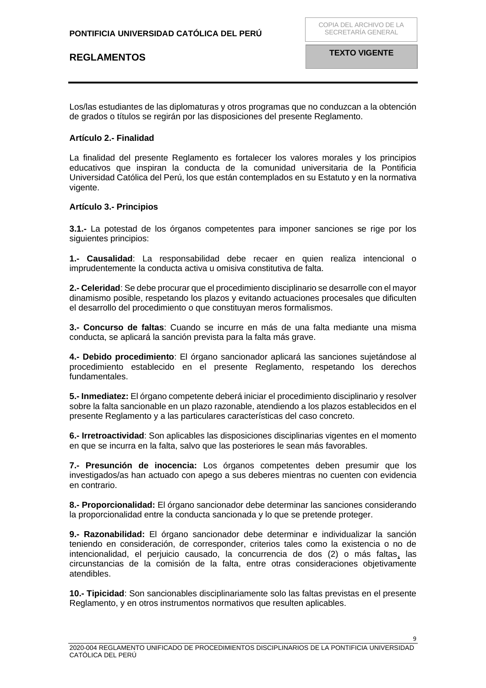Los/las estudiantes de las diplomaturas y otros programas que no conduzcan a la obtención de grados o títulos se regirán por las disposiciones del presente Reglamento.

## <span id="page-8-0"></span>**Artículo 2.- Finalidad**

La finalidad del presente Reglamento es fortalecer los valores morales y los principios educativos que inspiran la conducta de la comunidad universitaria de la Pontificia Universidad Católica del Perú, los que están contemplados en su Estatuto y en la normativa vigente.

## <span id="page-8-1"></span>**Artículo 3.- Principios**

**3.1.-** La potestad de los órganos competentes para imponer sanciones se rige por los siguientes principios:

**1.- Causalidad**: La responsabilidad debe recaer en quien realiza intencional o imprudentemente la conducta activa u omisiva constitutiva de falta.

**2.- Celeridad**: Se debe procurar que el procedimiento disciplinario se desarrolle con el mayor dinamismo posible, respetando los plazos y evitando actuaciones procesales que dificulten el desarrollo del procedimiento o que constituyan meros formalismos.

**3.- Concurso de faltas**: Cuando se incurre en más de una falta mediante una misma conducta, se aplicará la sanción prevista para la falta más grave.

**4.- Debido procedimiento**: El órgano sancionador aplicará las sanciones sujetándose al procedimiento establecido en el presente Reglamento, respetando los derechos fundamentales.

**5.- Inmediatez:** El órgano competente deberá iniciar el procedimiento disciplinario y resolver sobre la falta sancionable en un plazo razonable, atendiendo a los plazos establecidos en el presente Reglamento y a las particulares características del caso concreto.

**6.- Irretroactividad**: Son aplicables las disposiciones disciplinarias vigentes en el momento en que se incurra en la falta, salvo que las posteriores le sean más favorables.

**7.- Presunción de inocencia:** Los órganos competentes deben presumir que los investigados/as han actuado con apego a sus deberes mientras no cuenten con evidencia en contrario.

**8.- Proporcionalidad:** El órgano sancionador debe determinar las sanciones considerando la proporcionalidad entre la conducta sancionada y lo que se pretende proteger.

**9.- Razonabilidad:** El órgano sancionador debe determinar e individualizar la sanción teniendo en consideración, de corresponder, criterios tales como la existencia o no de intencionalidad, el perjuicio causado, la concurrencia de dos (2) o más faltas, las circunstancias de la comisión de la falta, entre otras consideraciones objetivamente atendibles.

**10.- Tipicidad**: Son sancionables disciplinariamente solo las faltas previstas en el presente Reglamento, y en otros instrumentos normativos que resulten aplicables.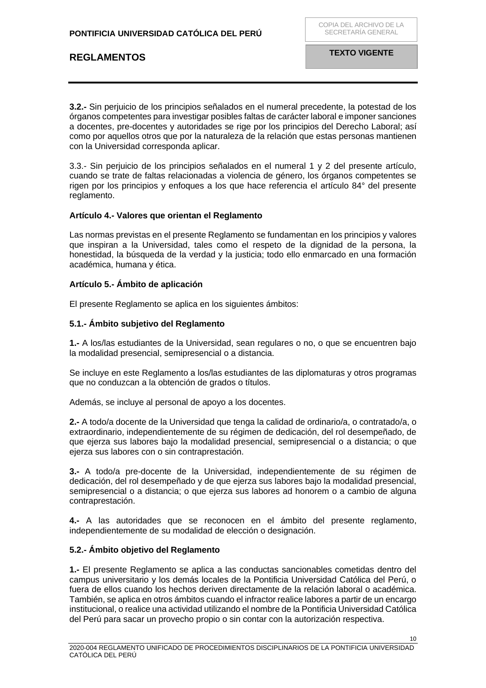**3.2.-** Sin perjuicio de los principios señalados en el numeral precedente, la potestad de los órganos competentes para investigar posibles faltas de carácter laboral e imponer sanciones a docentes, pre-docentes y autoridades se rige por los principios del Derecho Laboral; así como por aquellos otros que por la naturaleza de la relación que estas personas mantienen con la Universidad corresponda aplicar.

3.3.- Sin perjuicio de los principios señalados en el numeral 1 y 2 del presente artículo, cuando se trate de faltas relacionadas a violencia de género, los órganos competentes se rigen por los principios y enfoques a los que hace referencia el artículo 84° del presente reglamento.

## <span id="page-9-0"></span>**Artículo 4.- Valores que orientan el Reglamento**

Las normas previstas en el presente Reglamento se fundamentan en los principios y valores que inspiran a la Universidad, tales como el respeto de la dignidad de la persona, la honestidad, la búsqueda de la verdad y la justicia; todo ello enmarcado en una formación académica, humana y ética.

## <span id="page-9-1"></span>**Artículo 5.- Ámbito de aplicación**

El presente Reglamento se aplica en los siguientes ámbitos:

## **5.1.- Ámbito subjetivo del Reglamento**

**1.-** A los/las estudiantes de la Universidad, sean regulares o no, o que se encuentren bajo la modalidad presencial, semipresencial o a distancia.

Se incluye en este Reglamento a los/las estudiantes de las diplomaturas y otros programas que no conduzcan a la obtención de grados o títulos.

Además, se incluye al personal de apoyo a los docentes.

**2.-** A todo/a docente de la Universidad que tenga la calidad de ordinario/a, o contratado/a, o extraordinario, independientemente de su régimen de dedicación, del rol desempeñado, de que ejerza sus labores bajo la modalidad presencial, semipresencial o a distancia; o que ejerza sus labores con o sin contraprestación.

**3.-** A todo/a pre-docente de la Universidad, independientemente de su régimen de dedicación, del rol desempeñado y de que ejerza sus labores bajo la modalidad presencial, semipresencial o a distancia; o que ejerza sus labores ad honorem o a cambio de alguna contraprestación.

**4.-** A las autoridades que se reconocen en el ámbito del presente reglamento, independientemente de su modalidad de elección o designación.

## **5.2.- Ámbito objetivo del Reglamento**

**1.-** El presente Reglamento se aplica a las conductas sancionables cometidas dentro del campus universitario y los demás locales de la Pontificia Universidad Católica del Perú, o fuera de ellos cuando los hechos deriven directamente de la relación laboral o académica. También, se aplica en otros ámbitos cuando el infractor realice labores a partir de un encargo institucional, o realice una actividad utilizando el nombre de la Pontificia Universidad Católica del Perú para sacar un provecho propio o sin contar con la autorización respectiva.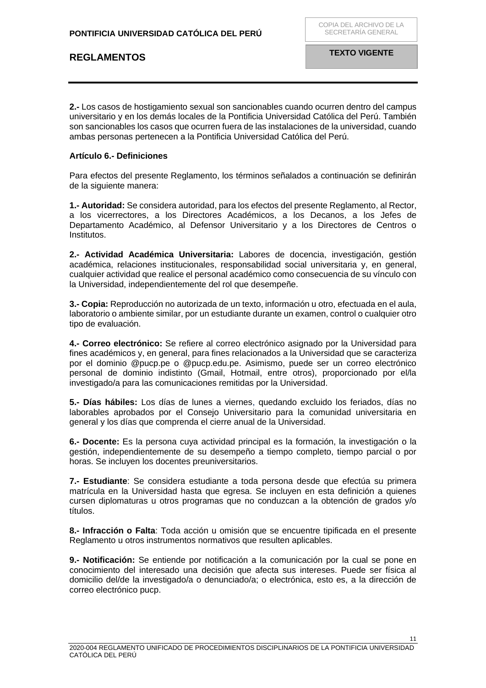**2.-** Los casos de hostigamiento sexual son sancionables cuando ocurren dentro del campus universitario y en los demás locales de la Pontificia Universidad Católica del Perú. También son sancionables los casos que ocurren fuera de las instalaciones de la universidad, cuando ambas personas pertenecen a la Pontificia Universidad Católica del Perú.

## <span id="page-10-0"></span>**Artículo 6.- Definiciones**

Para efectos del presente Reglamento, los términos señalados a continuación se definirán de la siguiente manera:

**1.- Autoridad:** Se considera autoridad, para los efectos del presente Reglamento, al Rector, a los vicerrectores, a los Directores Académicos, a los Decanos, a los Jefes de Departamento Académico, al Defensor Universitario y a los Directores de Centros o Institutos.

**2.- Actividad Académica Universitaria:** Labores de docencia, investigación, gestión académica, relaciones institucionales, responsabilidad social universitaria y, en general, cualquier actividad que realice el personal académico como consecuencia de su vínculo con la Universidad, independientemente del rol que desempeñe.

**3.- Copia:** Reproducción no autorizada de un texto, información u otro, efectuada en el aula, laboratorio o ambiente similar, por un estudiante durante un examen, control o cualquier otro tipo de evaluación.

**4.- Correo electrónico:** Se refiere al correo electrónico asignado por la Universidad para fines académicos y, en general, para fines relacionados a la Universidad que se caracteriza por el dominio @pucp.pe o @pucp.edu.pe. Asimismo, puede ser un correo electrónico personal de dominio indistinto (Gmail, Hotmail, entre otros), proporcionado por el/la investigado/a para las comunicaciones remitidas por la Universidad.

**5.- Días hábiles:** Los días de lunes a viernes, quedando excluido los feriados, días no laborables aprobados por el Consejo Universitario para la comunidad universitaria en general y los días que comprenda el cierre anual de la Universidad.

**6.- Docente:** Es la persona cuya actividad principal es la formación, la investigación o la gestión, independientemente de su desempeño a tiempo completo, tiempo parcial o por horas. Se incluyen los docentes preuniversitarios.

**7.- Estudiante**: Se considera estudiante a toda persona desde que efectúa su primera matrícula en la Universidad hasta que egresa. Se incluyen en esta definición a quienes cursen diplomaturas u otros programas que no conduzcan a la obtención de grados y/o títulos.

**8.- Infracción o Falta**: Toda acción u omisión que se encuentre tipificada en el presente Reglamento u otros instrumentos normativos que resulten aplicables.

**9.- Notificación:** Se entiende por notificación a la comunicación por la cual se pone en conocimiento del interesado una decisión que afecta sus intereses. Puede ser física al domicilio del/de la investigado/a o denunciado/a; o electrónica, esto es, a la dirección de correo electrónico pucp.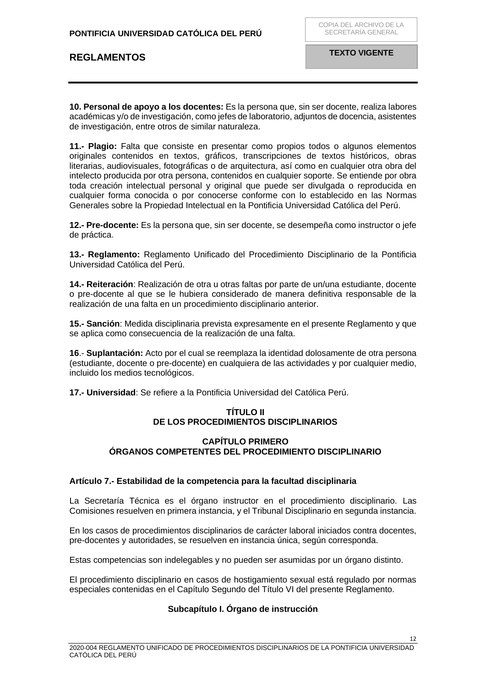**10. Personal de apoyo a los docentes:** Es la persona que, sin ser docente, realiza labores académicas y/o de investigación, como jefes de laboratorio, adjuntos de docencia, asistentes de investigación, entre otros de similar naturaleza.

**11.- Plagio:** Falta que consiste en presentar como propios todos o algunos elementos originales contenidos en textos, gráficos, transcripciones de textos históricos, obras literarias, audiovisuales, fotográficas o de arquitectura, así como en cualquier otra obra del intelecto producida por otra persona, contenidos en cualquier soporte. Se entiende por obra toda creación intelectual personal y original que puede ser divulgada o reproducida en cualquier forma conocida o por conocerse conforme con lo establecido en las Normas Generales sobre la Propiedad Intelectual en la Pontificia Universidad Católica del Perú.

**12.- Pre-docente:** Es la persona que, sin ser docente, se desempeña como instructor o jefe de práctica.

**13.- Reglamento:** Reglamento Unificado del Procedimiento Disciplinario de la Pontificia Universidad Católica del Perú.

**14.- Reiteración**: Realización de otra u otras faltas por parte de un/una estudiante, docente o pre-docente al que se le hubiera considerado de manera definitiva responsable de la realización de una falta en un procedimiento disciplinario anterior.

**15.- Sanción**: Medida disciplinaria prevista expresamente en el presente Reglamento y que se aplica como consecuencia de la realización de una falta.

**16**.- **Suplantación:** Acto por el cual se reemplaza la identidad dolosamente de otra persona (estudiante, docente o pre-docente) en cualquiera de las actividades y por cualquier medio, incluido los medios tecnológicos.

<span id="page-11-1"></span><span id="page-11-0"></span>**17.- Universidad**: Se refiere a la Pontificia Universidad del Católica Perú.

## **TÍTULO II DE LOS PROCEDIMIENTOS DISCIPLINARIOS**

## **CAPÍTULO PRIMERO ÓRGANOS COMPETENTES DEL PROCEDIMIENTO DISCIPLINARIO**

## <span id="page-11-4"></span><span id="page-11-3"></span><span id="page-11-2"></span>**Artículo 7.- Estabilidad de la competencia para la facultad disciplinaria**

La Secretaría Técnica es el órgano instructor en el procedimiento disciplinario. Las Comisiones resuelven en primera instancia, y el Tribunal Disciplinario en segunda instancia.

En los casos de procedimientos disciplinarios de carácter laboral iniciados contra docentes, pre-docentes y autoridades, se resuelven en instancia única, según corresponda.

Estas competencias son indelegables y no pueden ser asumidas por un órgano distinto.

El procedimiento disciplinario en casos de hostigamiento sexual está regulado por normas especiales contenidas en el Capítulo Segundo del Título VI del presente Reglamento.

## **Subcapítulo I. Órgano de instrucción**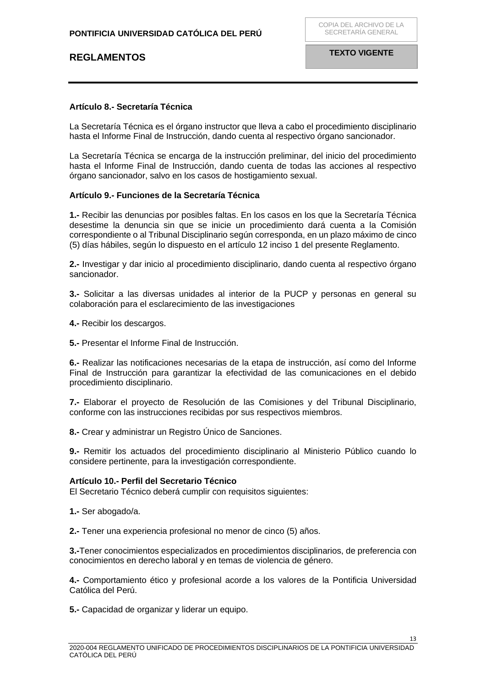## <span id="page-12-0"></span>**Artículo 8.- Secretaría Técnica**

La Secretaría Técnica es el órgano instructor que lleva a cabo el procedimiento disciplinario hasta el Informe Final de Instrucción, dando cuenta al respectivo órgano sancionador.

La Secretaría Técnica se encarga de la instrucción preliminar, del inicio del procedimiento hasta el Informe Final de Instrucción, dando cuenta de todas las acciones al respectivo órgano sancionador, salvo en los casos de hostigamiento sexual.

## <span id="page-12-1"></span>**Artículo 9.- Funciones de la Secretaría Técnica**

**1.-** Recibir las denuncias por posibles faltas. En los casos en los que la Secretaría Técnica desestime la denuncia sin que se inicie un procedimiento dará cuenta a la Comisión correspondiente o al Tribunal Disciplinario según corresponda, en un plazo máximo de cinco (5) días hábiles, según lo dispuesto en el artículo 12 inciso 1 del presente Reglamento.

**2.-** Investigar y dar inicio al procedimiento disciplinario, dando cuenta al respectivo órgano sancionador.

**3.-** Solicitar a las diversas unidades al interior de la PUCP y personas en general su colaboración para el esclarecimiento de las investigaciones

**4.-** Recibir los descargos.

**5.-** Presentar el Informe Final de Instrucción.

**6.-** Realizar las notificaciones necesarias de la etapa de instrucción, así como del Informe Final de Instrucción para garantizar la efectividad de las comunicaciones en el debido procedimiento disciplinario.

**7.-** Elaborar el proyecto de Resolución de las Comisiones y del Tribunal Disciplinario, conforme con las instrucciones recibidas por sus respectivos miembros.

**8.-** Crear y administrar un Registro Único de Sanciones.

**9.-** Remitir los actuados del procedimiento disciplinario al Ministerio Público cuando lo considere pertinente, para la investigación correspondiente.

## <span id="page-12-2"></span>**Artículo 10.- Perfil del Secretario Técnico**

El Secretario Técnico deberá cumplir con requisitos siguientes:

**1.-** Ser abogado/a.

**2.-** Tener una experiencia profesional no menor de cinco (5) años.

**3.-**Tener conocimientos especializados en procedimientos disciplinarios, de preferencia con conocimientos en derecho laboral y en temas de violencia de género.

**4.-** Comportamiento ético y profesional acorde a los valores de la Pontificia Universidad Católica del Perú.

**5.-** Capacidad de organizar y liderar un equipo.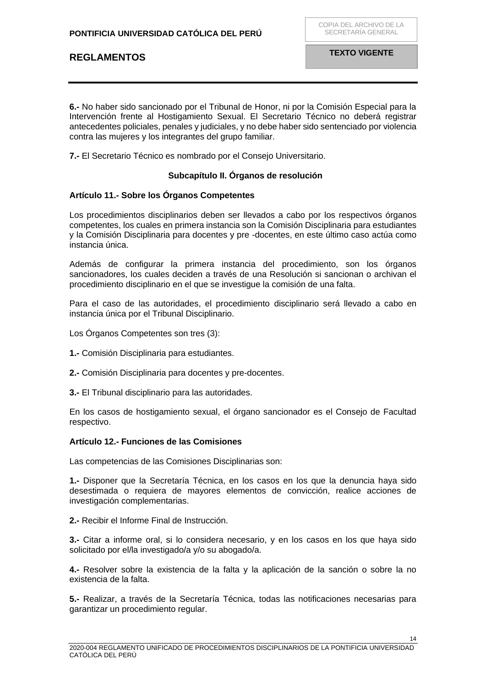**6.-** No haber sido sancionado por el Tribunal de Honor, ni por la Comisión Especial para la Intervención frente al Hostigamiento Sexual. El Secretario Técnico no deberá registrar antecedentes policiales, penales y judiciales, y no debe haber sido sentenciado por violencia contra las mujeres y los integrantes del grupo familiar.

**7.-** El Secretario Técnico es nombrado por el Consejo Universitario.

## **Subcapítulo II. Órganos de resolución**

## <span id="page-13-1"></span><span id="page-13-0"></span>**Artículo 11.- Sobre los Órganos Competentes**

Los procedimientos disciplinarios deben ser llevados a cabo por los respectivos órganos competentes, los cuales en primera instancia son la Comisión Disciplinaria para estudiantes y la Comisión Disciplinaria para docentes y pre -docentes, en este último caso actúa como instancia única.

Además de configurar la primera instancia del procedimiento, son los órganos sancionadores, los cuales deciden a través de una Resolución si sancionan o archivan el procedimiento disciplinario en el que se investigue la comisión de una falta.

Para el caso de las autoridades, el procedimiento disciplinario será llevado a cabo en instancia única por el Tribunal Disciplinario.

Los Órganos Competentes son tres (3):

**1.-** Comisión Disciplinaria para estudiantes.

**2.-** Comisión Disciplinaria para docentes y pre-docentes.

**3.-** El Tribunal disciplinario para las autoridades.

En los casos de hostigamiento sexual, el órgano sancionador es el Consejo de Facultad respectivo.

## <span id="page-13-2"></span>**Artículo 12.- Funciones de las Comisiones**

Las competencias de las Comisiones Disciplinarias son:

**1.-** Disponer que la Secretaría Técnica, en los casos en los que la denuncia haya sido desestimada o requiera de mayores elementos de convicción, realice acciones de investigación complementarias.

**2.-** Recibir el Informe Final de Instrucción.

**3.-** Citar a informe oral, si lo considera necesario, y en los casos en los que haya sido solicitado por el/la investigado/a y/o su abogado/a.

**4.-** Resolver sobre la existencia de la falta y la aplicación de la sanción o sobre la no existencia de la falta.

**5.-** Realizar, a través de la Secretaría Técnica, todas las notificaciones necesarias para garantizar un procedimiento regular.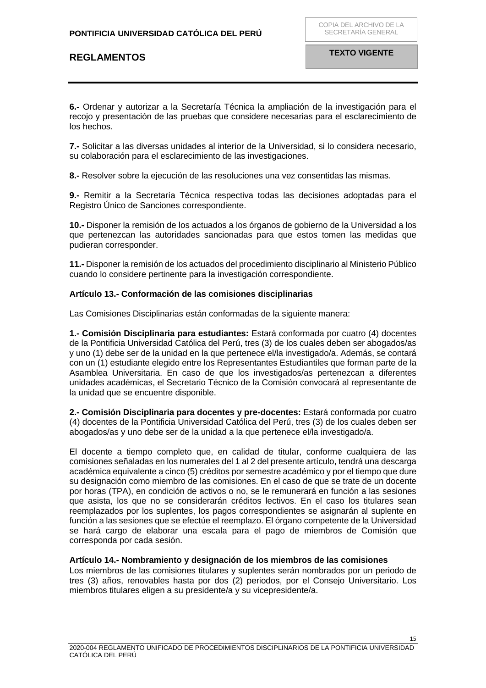**6.-** Ordenar y autorizar a la Secretaría Técnica la ampliación de la investigación para el recojo y presentación de las pruebas que considere necesarias para el esclarecimiento de los hechos.

**7.-** Solicitar a las diversas unidades al interior de la Universidad, si lo considera necesario, su colaboración para el esclarecimiento de las investigaciones.

**8.-** Resolver sobre la ejecución de las resoluciones una vez consentidas las mismas.

**9.-** Remitir a la Secretaría Técnica respectiva todas las decisiones adoptadas para el Registro Único de Sanciones correspondiente.

**10.-** Disponer la remisión de los actuados a los órganos de gobierno de la Universidad a los que pertenezcan las autoridades sancionadas para que estos tomen las medidas que pudieran corresponder.

**11.-** Disponer la remisión de los actuados del procedimiento disciplinario al Ministerio Público cuando lo considere pertinente para la investigación correspondiente.

## <span id="page-14-0"></span>**Artículo 13.- Conformación de las comisiones disciplinarias**

Las Comisiones Disciplinarias están conformadas de la siguiente manera:

**1.- Comisión Disciplinaria para estudiantes:** Estará conformada por cuatro (4) docentes de la Pontificia Universidad Católica del Perú, tres (3) de los cuales deben ser abogados/as y uno (1) debe ser de la unidad en la que pertenece el/la investigado/a. Además, se contará con un (1) estudiante elegido entre los Representantes Estudiantiles que forman parte de la Asamblea Universitaria. En caso de que los investigados/as pertenezcan a diferentes unidades académicas, el Secretario Técnico de la Comisión convocará al representante de la unidad que se encuentre disponible.

**2.- Comisión Disciplinaria para docentes y pre-docentes:** Estará conformada por cuatro (4) docentes de la Pontificia Universidad Católica del Perú, tres (3) de los cuales deben ser abogados/as y uno debe ser de la unidad a la que pertenece el/la investigado/a.

El docente a tiempo completo que, en calidad de titular, conforme cualquiera de las comisiones señaladas en los numerales del 1 al 2 del presente artículo, tendrá una descarga académica equivalente a cinco (5) créditos por semestre académico y por el tiempo que dure su designación como miembro de las comisiones. En el caso de que se trate de un docente por horas (TPA), en condición de activos o no, se le remunerará en función a las sesiones que asista, los que no se considerarán créditos lectivos. En el caso los titulares sean reemplazados por los suplentes, los pagos correspondientes se asignarán al suplente en función a las sesiones que se efectúe el reemplazo. El órgano competente de la Universidad se hará cargo de elaborar una escala para el pago de miembros de Comisión que corresponda por cada sesión.

## <span id="page-14-1"></span>**Artículo 14.- Nombramiento y designación de los miembros de las comisiones**

Los miembros de las comisiones titulares y suplentes serán nombrados por un periodo de tres (3) años, renovables hasta por dos (2) periodos, por el Consejo Universitario. Los miembros titulares eligen a su presidente/a y su vicepresidente/a.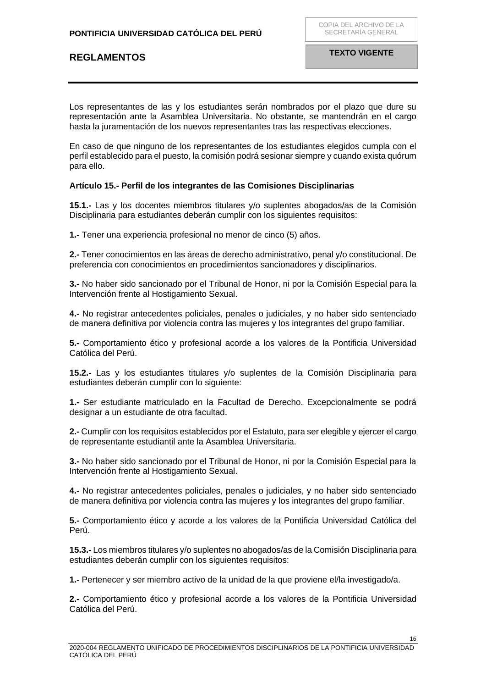Los representantes de las y los estudiantes serán nombrados por el plazo que dure su representación ante la Asamblea Universitaria. No obstante, se mantendrán en el cargo hasta la juramentación de los nuevos representantes tras las respectivas elecciones.

En caso de que ninguno de los representantes de los estudiantes elegidos cumpla con el perfil establecido para el puesto, la comisión podrá sesionar siempre y cuando exista quórum para ello.

## <span id="page-15-0"></span>**Artículo 15.- Perfil de los integrantes de las Comisiones Disciplinarias**

**15.1.-** Las y los docentes miembros titulares y/o suplentes abogados/as de la Comisión Disciplinaria para estudiantes deberán cumplir con los siguientes requisitos:

**1.-** Tener una experiencia profesional no menor de cinco (5) años.

**2.-** Tener conocimientos en las áreas de derecho administrativo, penal y/o constitucional. De preferencia con conocimientos en procedimientos sancionadores y disciplinarios.

**3.-** No haber sido sancionado por el Tribunal de Honor, ni por la Comisión Especial para la Intervención frente al Hostigamiento Sexual.

**4.-** No registrar antecedentes policiales, penales o judiciales, y no haber sido sentenciado de manera definitiva por violencia contra las mujeres y los integrantes del grupo familiar.

**5.-** Comportamiento ético y profesional acorde a los valores de la Pontificia Universidad Católica del Perú.

**15.2.-** Las y los estudiantes titulares y/o suplentes de la Comisión Disciplinaria para estudiantes deberán cumplir con lo siguiente:

**1.-** Ser estudiante matriculado en la Facultad de Derecho. Excepcionalmente se podrá designar a un estudiante de otra facultad.

**2.-** Cumplir con los requisitos establecidos por el Estatuto, para ser elegible y ejercer el cargo de representante estudiantil ante la Asamblea Universitaria.

**3.-** No haber sido sancionado por el Tribunal de Honor, ni por la Comisión Especial para la Intervención frente al Hostigamiento Sexual.

**4.-** No registrar antecedentes policiales, penales o judiciales, y no haber sido sentenciado de manera definitiva por violencia contra las mujeres y los integrantes del grupo familiar.

**5.-** Comportamiento ético y acorde a los valores de la Pontificia Universidad Católica del Perú.

**15.3.-** Los miembros titulares y/o suplentes no abogados/as de la Comisión Disciplinaria para estudiantes deberán cumplir con los siguientes requisitos:

**1.-** Pertenecer y ser miembro activo de la unidad de la que proviene el/la investigado/a.

**2.-** Comportamiento ético y profesional acorde a los valores de la Pontificia Universidad Católica del Perú.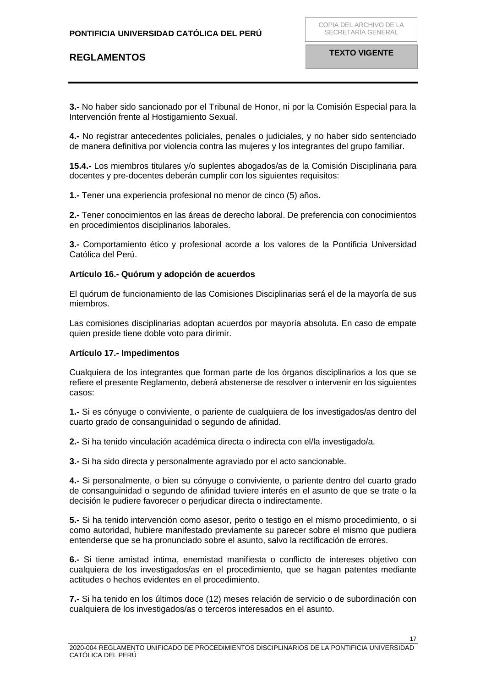**3.-** No haber sido sancionado por el Tribunal de Honor, ni por la Comisión Especial para la Intervención frente al Hostigamiento Sexual.

**4.-** No registrar antecedentes policiales, penales o judiciales, y no haber sido sentenciado de manera definitiva por violencia contra las mujeres y los integrantes del grupo familiar.

**15.4.-** Los miembros titulares y/o suplentes abogados/as de la Comisión Disciplinaria para docentes y pre-docentes deberán cumplir con los siguientes requisitos:

**1.-** Tener una experiencia profesional no menor de cinco (5) años.

**2.-** Tener conocimientos en las áreas de derecho laboral. De preferencia con conocimientos en procedimientos disciplinarios laborales.

**3.-** Comportamiento ético y profesional acorde a los valores de la Pontificia Universidad Católica del Perú.

## <span id="page-16-0"></span>**Artículo 16.- Quórum y adopción de acuerdos**

El quórum de funcionamiento de las Comisiones Disciplinarias será el de la mayoría de sus miembros.

Las comisiones disciplinarias adoptan acuerdos por mayoría absoluta. En caso de empate quien preside tiene doble voto para dirimir.

## <span id="page-16-1"></span>**Artículo 17.- Impedimentos**

Cualquiera de los integrantes que forman parte de los órganos disciplinarios a los que se refiere el presente Reglamento, deberá abstenerse de resolver o intervenir en los siguientes casos:

**1.-** Si es cónyuge o conviviente, o pariente de cualquiera de los investigados/as dentro del cuarto grado de consanguinidad o segundo de afinidad.

**2.-** Si ha tenido vinculación académica directa o indirecta con el/la investigado/a.

**3.-** Si ha sido directa y personalmente agraviado por el acto sancionable.

**4.-** Si personalmente, o bien su cónyuge o conviviente, o pariente dentro del cuarto grado de consanguinidad o segundo de afinidad tuviere interés en el asunto de que se trate o la decisión le pudiere favorecer o perjudicar directa o indirectamente.

**5.-** Si ha tenido intervención como asesor, perito o testigo en el mismo procedimiento, o si como autoridad, hubiere manifestado previamente su parecer sobre el mismo que pudiera entenderse que se ha pronunciado sobre el asunto, salvo la rectificación de errores.

**6.-** Si tiene amistad íntima, enemistad manifiesta o conflicto de intereses objetivo con cualquiera de los investigados/as en el procedimiento, que se hagan patentes mediante actitudes o hechos evidentes en el procedimiento.

**7.-** Si ha tenido en los últimos doce (12) meses relación de servicio o de subordinación con cualquiera de los investigados/as o terceros interesados en el asunto.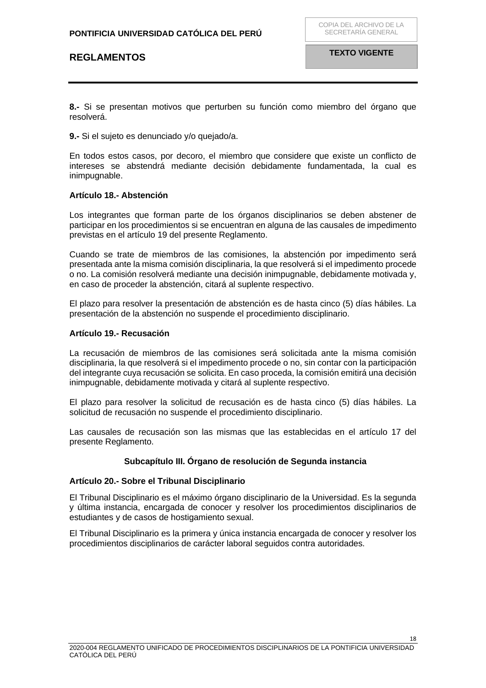**8.-** Si se presentan motivos que perturben su función como miembro del órgano que resolverá.

**9.-** Si el sujeto es denunciado y/o quejado/a.

En todos estos casos, por decoro, el miembro que considere que existe un conflicto de intereses se abstendrá mediante decisión debidamente fundamentada, la cual es inimpugnable.

## <span id="page-17-0"></span>**Artículo 18.- Abstención**

Los integrantes que forman parte de los órganos disciplinarios se deben abstener de participar en los procedimientos si se encuentran en alguna de las causales de impedimento previstas en el artículo 19 del presente Reglamento.

Cuando se trate de miembros de las comisiones, la abstención por impedimento será presentada ante la misma comisión disciplinaria, la que resolverá si el impedimento procede o no. La comisión resolverá mediante una decisión inimpugnable, debidamente motivada y, en caso de proceder la abstención, citará al suplente respectivo.

El plazo para resolver la presentación de abstención es de hasta cinco (5) días hábiles. La presentación de la abstención no suspende el procedimiento disciplinario.

#### <span id="page-17-1"></span>**Artículo 19.- Recusación**

La recusación de miembros de las comisiones será solicitada ante la misma comisión disciplinaria, la que resolverá si el impedimento procede o no, sin contar con la participación del integrante cuya recusación se solicita. En caso proceda, la comisión emitirá una decisión inimpugnable, debidamente motivada y citará al suplente respectivo.

El plazo para resolver la solicitud de recusación es de hasta cinco (5) días hábiles. La solicitud de recusación no suspende el procedimiento disciplinario.

Las causales de recusación son las mismas que las establecidas en el artículo 17 del presente Reglamento.

## **Subcapítulo III. Órgano de resolución de Segunda instancia**

#### <span id="page-17-2"></span>**Artículo 20.- Sobre el Tribunal Disciplinario**

El Tribunal Disciplinario es el máximo órgano disciplinario de la Universidad. Es la segunda y última instancia, encargada de conocer y resolver los procedimientos disciplinarios de estudiantes y de casos de hostigamiento sexual.

El Tribunal Disciplinario es la primera y única instancia encargada de conocer y resolver los procedimientos disciplinarios de carácter laboral seguidos contra autoridades.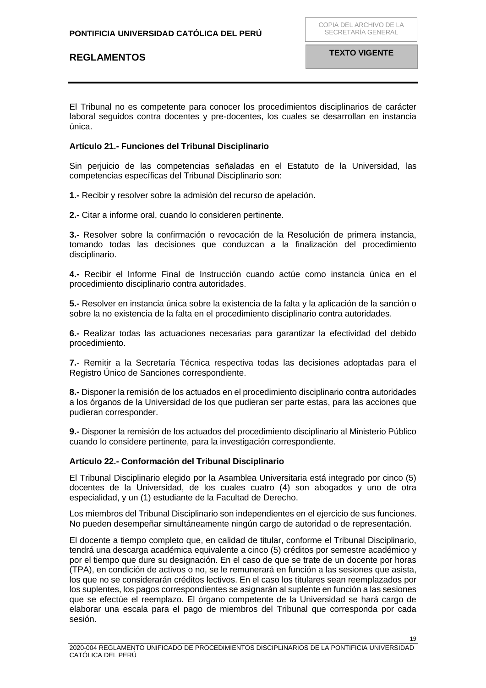<span id="page-18-0"></span>El Tribunal no es competente para conocer los procedimientos disciplinarios de carácter laboral seguidos contra docentes y pre-docentes, los cuales se desarrollan en instancia única.

## <span id="page-18-1"></span>**Artículo 21.- Funciones del Tribunal Disciplinario**

Sin perjuicio de las competencias señaladas en el Estatuto de la Universidad, las competencias específicas del Tribunal Disciplinario son:

**1.-** Recibir y resolver sobre la admisión del recurso de apelación.

**2.-** Citar a informe oral, cuando lo consideren pertinente.

**3.-** Resolver sobre la confirmación o revocación de la Resolución de primera instancia, tomando todas las decisiones que conduzcan a la finalización del procedimiento disciplinario.

**4.-** Recibir el Informe Final de Instrucción cuando actúe como instancia única en el procedimiento disciplinario contra autoridades.

**5.-** Resolver en instancia única sobre la existencia de la falta y la aplicación de la sanción o sobre la no existencia de la falta en el procedimiento disciplinario contra autoridades.

**6.-** Realizar todas las actuaciones necesarias para garantizar la efectividad del debido procedimiento.

**7.**- Remitir a la Secretaría Técnica respectiva todas las decisiones adoptadas para el Registro Único de Sanciones correspondiente.

**8.-** Disponer la remisión de los actuados en el procedimiento disciplinario contra autoridades a los órganos de la Universidad de los que pudieran ser parte estas, para las acciones que pudieran corresponder.

**9.-** Disponer la remisión de los actuados del procedimiento disciplinario al Ministerio Público cuando lo considere pertinente, para la investigación correspondiente.

## **Artículo 22.- Conformación del Tribunal Disciplinario**

El Tribunal Disciplinario elegido por la Asamblea Universitaria está integrado por cinco (5) docentes de la Universidad, de los cuales cuatro (4) son abogados y uno de otra especialidad, y un (1) estudiante de la Facultad de Derecho.

Los miembros del Tribunal Disciplinario son independientes en el ejercicio de sus funciones. No pueden desempeñar simultáneamente ningún cargo de autoridad o de representación.

El docente a tiempo completo que, en calidad de titular, conforme el Tribunal Disciplinario, tendrá una descarga académica equivalente a cinco (5) créditos por semestre académico y por el tiempo que dure su designación. En el caso de que se trate de un docente por horas (TPA), en condición de activos o no, se le remunerará en función a las sesiones que asista, los que no se considerarán créditos lectivos. En el caso los titulares sean reemplazados por los suplentes, los pagos correspondientes se asignarán al suplente en función a las sesiones que se efectúe el reemplazo. El órgano competente de la Universidad se hará cargo de elaborar una escala para el pago de miembros del Tribunal que corresponda por cada sesión.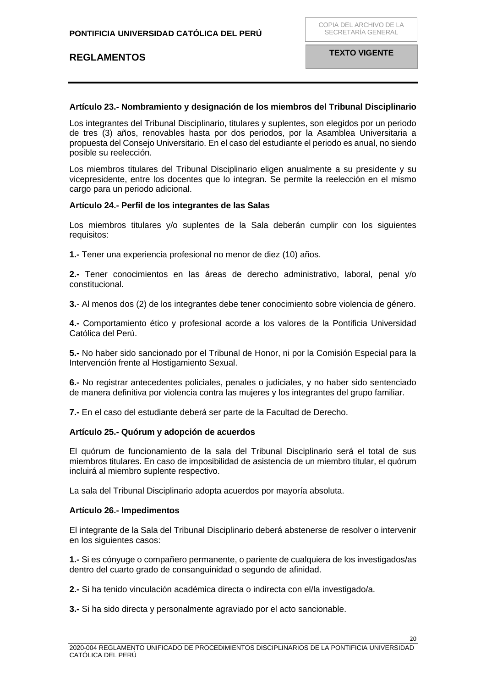## **Artículo 23.- Nombramiento y designación de los miembros del Tribunal Disciplinario**

Los integrantes del Tribunal Disciplinario, titulares y suplentes, son elegidos por un periodo de tres (3) años, renovables hasta por dos periodos, por la Asamblea Universitaria a propuesta del Consejo Universitario. En el caso del estudiante el periodo es anual, no siendo posible su reelección.

Los miembros titulares del Tribunal Disciplinario eligen anualmente a su presidente y su vicepresidente, entre los docentes que lo integran. Se permite la reelección en el mismo cargo para un periodo adicional.

#### <span id="page-19-0"></span>**Artículo 24.- Perfil de los integrantes de las Salas**

Los miembros titulares y/o suplentes de la Sala deberán cumplir con los siguientes requisitos:

**1.-** Tener una experiencia profesional no menor de diez (10) años.

**2.-** Tener conocimientos en las áreas de derecho administrativo, laboral, penal y/o constitucional.

**3.**- Al menos dos (2) de los integrantes debe tener conocimiento sobre violencia de género.

**4.-** Comportamiento ético y profesional acorde a los valores de la Pontificia Universidad Católica del Perú.

**5.-** No haber sido sancionado por el Tribunal de Honor, ni por la Comisión Especial para la Intervención frente al Hostigamiento Sexual.

**6.-** No registrar antecedentes policiales, penales o judiciales, y no haber sido sentenciado de manera definitiva por violencia contra las mujeres y los integrantes del grupo familiar.

**7.-** En el caso del estudiante deberá ser parte de la Facultad de Derecho.

## <span id="page-19-1"></span>**Artículo 25.- Quórum y adopción de acuerdos**

El quórum de funcionamiento de la sala del Tribunal Disciplinario será el total de sus miembros titulares. En caso de imposibilidad de asistencia de un miembro titular, el quórum incluirá al miembro suplente respectivo.

La sala del Tribunal Disciplinario adopta acuerdos por mayoría absoluta.

## <span id="page-19-2"></span>**Artículo 26.- Impedimentos**

El integrante de la Sala del Tribunal Disciplinario deberá abstenerse de resolver o intervenir en los siguientes casos:

**1.-** Si es cónyuge o compañero permanente, o pariente de cualquiera de los investigados/as dentro del cuarto grado de consanguinidad o segundo de afinidad.

**2.-** Si ha tenido vinculación académica directa o indirecta con el/la investigado/a.

**3.-** Si ha sido directa y personalmente agraviado por el acto sancionable.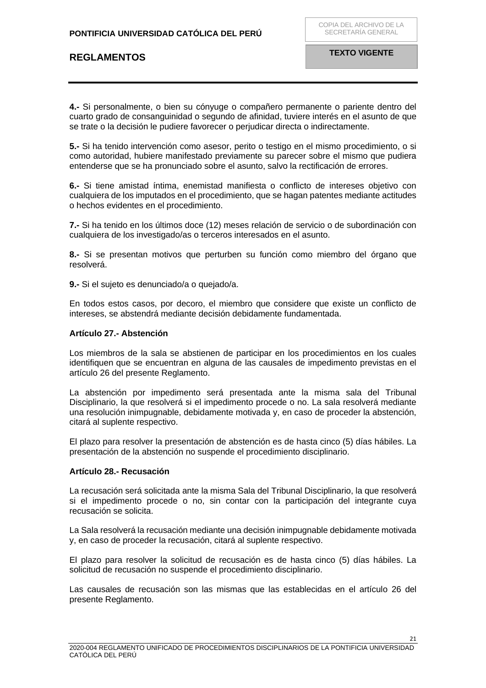**4.-** Si personalmente, o bien su cónyuge o compañero permanente o pariente dentro del cuarto grado de consanguinidad o segundo de afinidad, tuviere interés en el asunto de que se trate o la decisión le pudiere favorecer o perjudicar directa o indirectamente.

**5.-** Si ha tenido intervención como asesor, perito o testigo en el mismo procedimiento, o si como autoridad, hubiere manifestado previamente su parecer sobre el mismo que pudiera entenderse que se ha pronunciado sobre el asunto, salvo la rectificación de errores.

**6.-** Si tiene amistad íntima, enemistad manifiesta o conflicto de intereses objetivo con cualquiera de los imputados en el procedimiento, que se hagan patentes mediante actitudes o hechos evidentes en el procedimiento.

**7.-** Si ha tenido en los últimos doce (12) meses relación de servicio o de subordinación con cualquiera de los investigado/as o terceros interesados en el asunto.

**8.-** Si se presentan motivos que perturben su función como miembro del órgano que resolverá.

**9.-** Si el sujeto es denunciado/a o quejado/a.

En todos estos casos, por decoro, el miembro que considere que existe un conflicto de intereses, se abstendrá mediante decisión debidamente fundamentada.

#### <span id="page-20-0"></span>**Artículo 27.- Abstención**

Los miembros de la sala se abstienen de participar en los procedimientos en los cuales identifiquen que se encuentran en alguna de las causales de impedimento previstas en el artículo 26 del presente Reglamento.

La abstención por impedimento será presentada ante la misma sala del Tribunal Disciplinario, la que resolverá si el impedimento procede o no. La sala resolverá mediante una resolución inimpugnable, debidamente motivada y, en caso de proceder la abstención, citará al suplente respectivo.

El plazo para resolver la presentación de abstención es de hasta cinco (5) días hábiles. La presentación de la abstención no suspende el procedimiento disciplinario.

#### <span id="page-20-1"></span>**Artículo 28.- Recusación**

La recusación será solicitada ante la misma Sala del Tribunal Disciplinario, la que resolverá si el impedimento procede o no, sin contar con la participación del integrante cuya recusación se solicita.

La Sala resolverá la recusación mediante una decisión inimpugnable debidamente motivada y, en caso de proceder la recusación, citará al suplente respectivo.

El plazo para resolver la solicitud de recusación es de hasta cinco (5) días hábiles. La solicitud de recusación no suspende el procedimiento disciplinario.

Las causales de recusación son las mismas que las establecidas en el artículo 26 del presente Reglamento.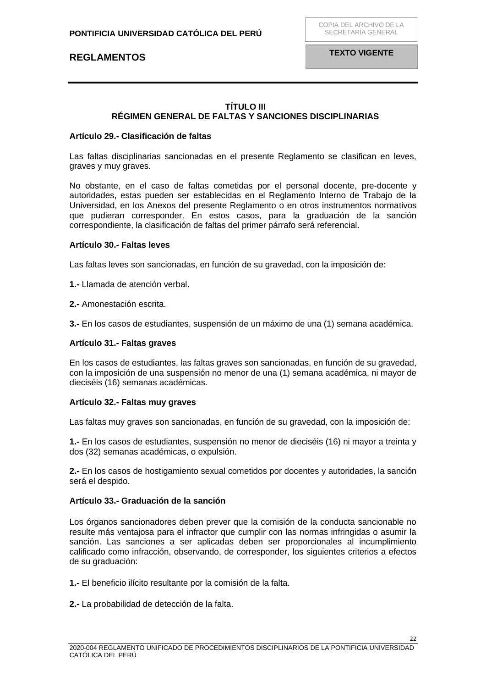## **TÍTULO III RÉGIMEN GENERAL DE FALTAS Y SANCIONES DISCIPLINARIAS**

#### <span id="page-21-2"></span><span id="page-21-1"></span><span id="page-21-0"></span>**Artículo 29.- Clasificación de faltas**

Las faltas disciplinarias sancionadas en el presente Reglamento se clasifican en leves, graves y muy graves.

No obstante, en el caso de faltas cometidas por el personal docente, pre-docente y autoridades, estas pueden ser establecidas en el Reglamento Interno de Trabajo de la Universidad, en los Anexos del presente Reglamento o en otros instrumentos normativos que pudieran corresponder. En estos casos, para la graduación de la sanción correspondiente, la clasificación de faltas del primer párrafo será referencial.

#### <span id="page-21-3"></span>**Artículo 30.- Faltas leves**

Las faltas leves son sancionadas, en función de su gravedad, con la imposición de:

**1.-** Llamada de atención verbal.

**2.-** Amonestación escrita.

**3.-** En los casos de estudiantes, suspensión de un máximo de una (1) semana académica.

#### <span id="page-21-4"></span>**Artículo 31.- Faltas graves**

En los casos de estudiantes, las faltas graves son sancionadas, en función de su gravedad, con la imposición de una suspensión no menor de una (1) semana académica, ni mayor de dieciséis (16) semanas académicas.

### <span id="page-21-5"></span>**Artículo 32.- Faltas muy graves**

Las faltas muy graves son sancionadas, en función de su gravedad, con la imposición de:

**1.-** En los casos de estudiantes, suspensión no menor de dieciséis (16) ni mayor a treinta y dos (32) semanas académicas, o expulsión.

**2.-** En los casos de hostigamiento sexual cometidos por docentes y autoridades, la sanción será el despido.

## <span id="page-21-6"></span>**Artículo 33.- Graduación de la sanción**

Los órganos sancionadores deben prever que la comisión de la conducta sancionable no resulte más ventajosa para el infractor que cumplir con las normas infringidas o asumir la sanción. Las sanciones a ser aplicadas deben ser proporcionales al incumplimiento calificado como infracción, observando, de corresponder, los siguientes criterios a efectos de su graduación:

**1.-** El beneficio ilícito resultante por la comisión de la falta.

**2.-** La probabilidad de detección de la falta.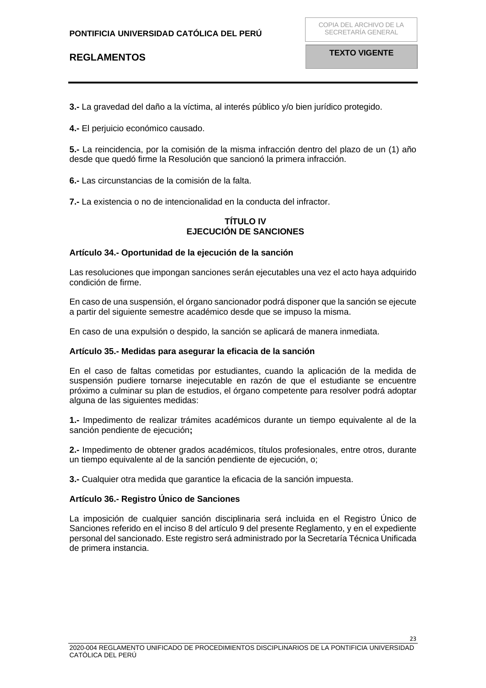**3.-** La gravedad del daño a la víctima, al interés público y/o bien jurídico protegido.

**4.-** El perjuicio económico causado.

**5.-** La reincidencia, por la comisión de la misma infracción dentro del plazo de un (1) año desde que quedó firme la Resolución que sancionó la primera infracción.

**6.-** Las circunstancias de la comisión de la falta.

<span id="page-22-0"></span>**7.-** La existencia o no de intencionalidad en la conducta del infractor.

## **TÍTULO IV EJECUCIÓN DE SANCIONES**

## <span id="page-22-2"></span><span id="page-22-1"></span>**Artículo 34.- Oportunidad de la ejecución de la sanción**

Las resoluciones que impongan sanciones serán ejecutables una vez el acto haya adquirido condición de firme.

En caso de una suspensión, el órgano sancionador podrá disponer que la sanción se ejecute a partir del siguiente semestre académico desde que se impuso la misma.

En caso de una expulsión o despido, la sanción se aplicará de manera inmediata.

## <span id="page-22-3"></span>**Artículo 35.- Medidas para asegurar la eficacia de la sanción**

En el caso de faltas cometidas por estudiantes, cuando la aplicación de la medida de suspensión pudiere tornarse inejecutable en razón de que el estudiante se encuentre próximo a culminar su plan de estudios, el órgano competente para resolver podrá adoptar alguna de las siguientes medidas:

**1.-** Impedimento de realizar trámites académicos durante un tiempo equivalente al de la sanción pendiente de ejecución**;** 

**2.-** Impedimento de obtener grados académicos, títulos profesionales, entre otros, durante un tiempo equivalente al de la sanción pendiente de ejecución, o;

**3.-** Cualquier otra medida que garantice la eficacia de la sanción impuesta.

## <span id="page-22-4"></span>**Artículo 36.- Registro Único de Sanciones**

La imposición de cualquier sanción disciplinaria será incluida en el Registro Único de Sanciones referido en el inciso 8 del artículo 9 del presente Reglamento, y en el expediente personal del sancionado. Este registro será administrado por la Secretaría Técnica Unificada de primera instancia.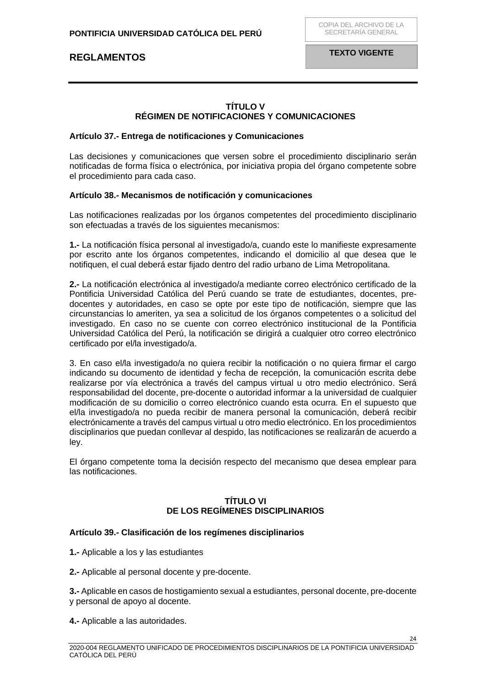**TEXTO VIGENTE**

## **TÍTULO V RÉGIMEN DE NOTIFICACIONES Y COMUNICACIONES**

#### <span id="page-23-2"></span><span id="page-23-1"></span><span id="page-23-0"></span>**Artículo 37.- Entrega de notificaciones y Comunicaciones**

Las decisiones y comunicaciones que versen sobre el procedimiento disciplinario serán notificadas de forma física o electrónica, por iniciativa propia del órgano competente sobre el procedimiento para cada caso.

## <span id="page-23-3"></span>**Artículo 38.- Mecanismos de notificación y comunicaciones**

Las notificaciones realizadas por los órganos competentes del procedimiento disciplinario son efectuadas a través de los siguientes mecanismos:

**1.-** La notificación física personal al investigado/a, cuando este lo manifieste expresamente por escrito ante los órganos competentes, indicando el domicilio al que desea que le notifiquen, el cual deberá estar fijado dentro del radio urbano de Lima Metropolitana.

**2.-** La notificación electrónica al investigado/a mediante correo electrónico certificado de la Pontificia Universidad Católica del Perú cuando se trate de estudiantes, docentes, predocentes y autoridades, en caso se opte por este tipo de notificación, siempre que las circunstancias lo ameriten, ya sea a solicitud de los órganos competentes o a solicitud del investigado. En caso no se cuente con correo electrónico institucional de la Pontificia Universidad Católica del Perú, la notificación se dirigirá a cualquier otro correo electrónico certificado por el/la investigado/a.

3. En caso el/la investigado/a no quiera recibir la notificación o no quiera firmar el cargo indicando su documento de identidad y fecha de recepción, la comunicación escrita debe realizarse por vía electrónica a través del campus virtual u otro medio electrónico. Será responsabilidad del docente, pre-docente o autoridad informar a la universidad de cualquier modificación de su domicilio o correo electrónico cuando esta ocurra. En el supuesto que el/la investigado/a no pueda recibir de manera personal la comunicación, deberá recibir electrónicamente a través del campus virtual u otro medio electrónico. En los procedimientos disciplinarios que puedan conllevar al despido, las notificaciones se realizarán de acuerdo a ley.

El órgano competente toma la decisión respecto del mecanismo que desea emplear para las notificaciones.

## **TÍTULO VI DE LOS REGÍMENES DISCIPLINARIOS**

## <span id="page-23-6"></span><span id="page-23-5"></span><span id="page-23-4"></span>**Artículo 39.- Clasificación de los regímenes disciplinarios**

- **1.-** Aplicable a los y las estudiantes
- **2.-** Aplicable al personal docente y pre-docente.

**3.-** Aplicable en casos de hostigamiento sexual a estudiantes, personal docente, pre-docente y personal de apoyo al docente.

**4.-** Aplicable a las autoridades.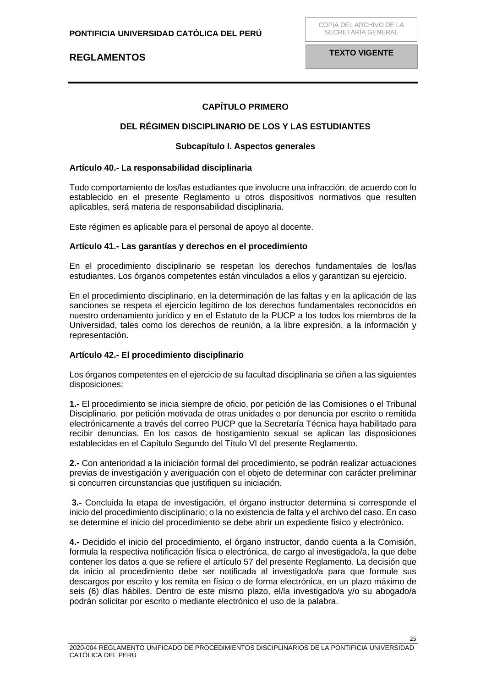COPIA DEL ARCHIVO DE LA SECRETARÍA GENERAL

**TEXTO VIGENTE**

## **CAPÍTULO PRIMERO**

## <span id="page-24-0"></span>**DEL RÉGIMEN DISCIPLINARIO DE LOS Y LAS ESTUDIANTES**

#### **Subcapítulo I. Aspectos generales**

### <span id="page-24-3"></span><span id="page-24-2"></span><span id="page-24-1"></span>**Artículo 40.- La responsabilidad disciplinaria**

Todo comportamiento de los/las estudiantes que involucre una infracción, de acuerdo con lo establecido en el presente Reglamento u otros dispositivos normativos que resulten aplicables, será materia de responsabilidad disciplinaria.

Este régimen es aplicable para el personal de apoyo al docente.

#### <span id="page-24-4"></span>**Artículo 41.- Las garantías y derechos en el procedimiento**

En el procedimiento disciplinario se respetan los derechos fundamentales de los/las estudiantes. Los órganos competentes están vinculados a ellos y garantizan su ejercicio.

En el procedimiento disciplinario, en la determinación de las faltas y en la aplicación de las sanciones se respeta el ejercicio legítimo de los derechos fundamentales reconocidos en nuestro ordenamiento jurídico y en el Estatuto de la PUCP a los todos los miembros de la Universidad, tales como los derechos de reunión, a la libre expresión, a la información y representación.

#### <span id="page-24-5"></span>**Artículo 42.- El procedimiento disciplinario**

Los órganos competentes en el ejercicio de su facultad disciplinaria se ciñen a las siguientes disposiciones:

**1.-** El procedimiento se inicia siempre de oficio, por petición de las Comisiones o el Tribunal Disciplinario, por petición motivada de otras unidades o por denuncia por escrito o remitida electrónicamente a través del correo PUCP que la Secretaría Técnica haya habilitado para recibir denuncias. En los casos de hostigamiento sexual se aplican las disposiciones establecidas en el Capítulo Segundo del Título VI del presente Reglamento.

**2.-** Con anterioridad a la iniciación formal del procedimiento, se podrán realizar actuaciones previas de investigación y averiguación con el objeto de determinar con carácter preliminar si concurren circunstancias que justifiquen su iniciación.

**3.-** Concluida la etapa de investigación, el órgano instructor determina si corresponde el inicio del procedimiento disciplinario; o la no existencia de falta y el archivo del caso. En caso se determine el inicio del procedimiento se debe abrir un expediente físico y electrónico.

**4.-** Decidido el inicio del procedimiento, el órgano instructor, dando cuenta a la Comisión, formula la respectiva notificación física o electrónica, de cargo al investigado/a, la que debe contener los datos a que se refiere el artículo 57 del presente Reglamento. La decisión que da inicio al procedimiento debe ser notificada al investigado/a para que formule sus descargos por escrito y los remita en físico o de forma electrónica, en un plazo máximo de seis (6) días hábiles. Dentro de este mismo plazo, el/la investigado/a y/o su abogado/a podrán solicitar por escrito o mediante electrónico el uso de la palabra.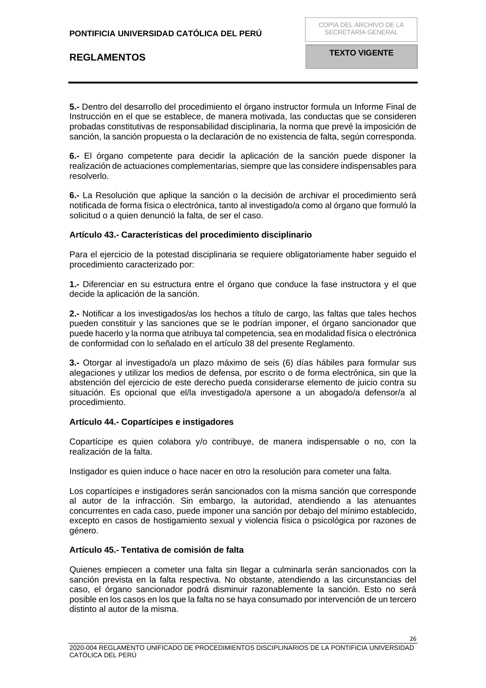**5.-** Dentro del desarrollo del procedimiento el órgano instructor formula un Informe Final de Instrucción en el que se establece, de manera motivada, las conductas que se consideren probadas constitutivas de responsabilidad disciplinaria, la norma que prevé la imposición de sanción, la sanción propuesta o la declaración de no existencia de falta, según corresponda.

**6.-** El órgano competente para decidir la aplicación de la sanción puede disponer la realización de actuaciones complementarias, siempre que las considere indispensables para resolverlo.

**6.-** La Resolución que aplique la sanción o la decisión de archivar el procedimiento será notificada de forma física o electrónica, tanto al investigado/a como al órgano que formuló la solicitud o a quien denunció la falta, de ser el caso.

#### <span id="page-25-0"></span>**Artículo 43.- Características del procedimiento disciplinario**

Para el ejercicio de la potestad disciplinaria se requiere obligatoriamente haber seguido el procedimiento caracterizado por:

**1.-** Diferenciar en su estructura entre el órgano que conduce la fase instructora y el que decide la aplicación de la sanción.

**2.-** Notificar a los investigados/as los hechos a título de cargo, las faltas que tales hechos pueden constituir y las sanciones que se le podrían imponer, el órgano sancionador que puede hacerlo y la norma que atribuya tal competencia, sea en modalidad física o electrónica de conformidad con lo señalado en el artículo 38 del presente Reglamento.

**3.-** Otorgar al investigado/a un plazo máximo de seis (6) días hábiles para formular sus alegaciones y utilizar los medios de defensa, por escrito o de forma electrónica, sin que la abstención del ejercicio de este derecho pueda considerarse elemento de juicio contra su situación. Es opcional que el/la investigado/a apersone a un abogado/a defensor/a al procedimiento.

## <span id="page-25-1"></span>**Artículo 44.- Copartícipes e instigadores**

Copartícipe es quien colabora y/o contribuye, de manera indispensable o no, con la realización de la falta.

Instigador es quien induce o hace nacer en otro la resolución para cometer una falta.

Los copartícipes e instigadores serán sancionados con la misma sanción que corresponde al autor de la infracción. Sin embargo, la autoridad, atendiendo a las atenuantes concurrentes en cada caso, puede imponer una sanción por debajo del mínimo establecido, excepto en casos de hostigamiento sexual y violencia física o psicológica por razones de género.

## <span id="page-25-2"></span>**Artículo 45.- Tentativa de comisión de falta**

Quienes empiecen a cometer una falta sin llegar a culminarla serán sancionados con la sanción prevista en la falta respectiva. No obstante, atendiendo a las circunstancias del caso, el órgano sancionador podrá disminuir razonablemente la sanción. Esto no será posible en los casos en los que la falta no se haya consumado por intervención de un tercero distinto al autor de la misma.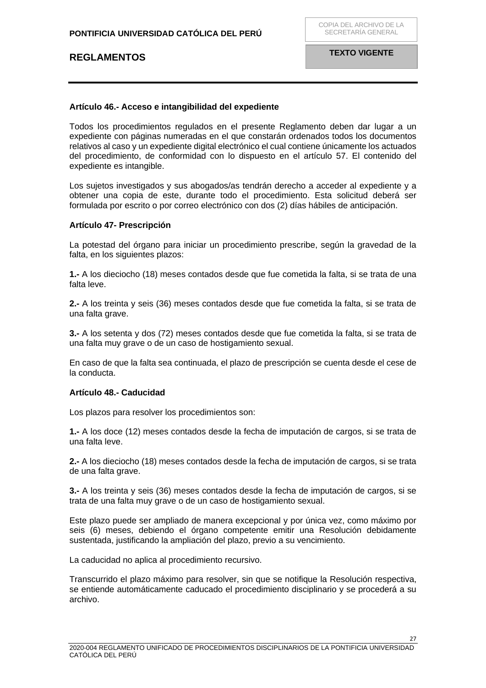## <span id="page-26-0"></span>**Artículo 46.- Acceso e intangibilidad del expediente**

Todos los procedimientos regulados en el presente Reglamento deben dar lugar a un expediente con páginas numeradas en el que constarán ordenados todos los documentos relativos al caso y un expediente digital electrónico el cual contiene únicamente los actuados del procedimiento, de conformidad con lo dispuesto en el artículo 57. El contenido del expediente es intangible.

Los sujetos investigados y sus abogados/as tendrán derecho a acceder al expediente y a obtener una copia de este, durante todo el procedimiento. Esta solicitud deberá ser formulada por escrito o por correo electrónico con dos (2) días hábiles de anticipación.

## <span id="page-26-1"></span>**Artículo 47- Prescripción**

La potestad del órgano para iniciar un procedimiento prescribe, según la gravedad de la falta, en los siguientes plazos:

**1.-** A los dieciocho (18) meses contados desde que fue cometida la falta, si se trata de una falta leve.

**2.-** A los treinta y seis (36) meses contados desde que fue cometida la falta, si se trata de una falta grave.

**3.-** A los setenta y dos (72) meses contados desde que fue cometida la falta, si se trata de una falta muy grave o de un caso de hostigamiento sexual.

En caso de que la falta sea continuada, el plazo de prescripción se cuenta desde el cese de la conducta.

## <span id="page-26-2"></span>**Artículo 48.- Caducidad**

Los plazos para resolver los procedimientos son:

**1.-** A los doce (12) meses contados desde la fecha de imputación de cargos, si se trata de una falta leve.

**2.-** A los dieciocho (18) meses contados desde la fecha de imputación de cargos, si se trata de una falta grave.

**3.-** A los treinta y seis (36) meses contados desde la fecha de imputación de cargos, si se trata de una falta muy grave o de un caso de hostigamiento sexual.

Este plazo puede ser ampliado de manera excepcional y por única vez, como máximo por seis (6) meses, debiendo el órgano competente emitir una Resolución debidamente sustentada, justificando la ampliación del plazo, previo a su vencimiento.

La caducidad no aplica al procedimiento recursivo.

Transcurrido el plazo máximo para resolver, sin que se notifique la Resolución respectiva, se entiende automáticamente caducado el procedimiento disciplinario y se procederá a su archivo.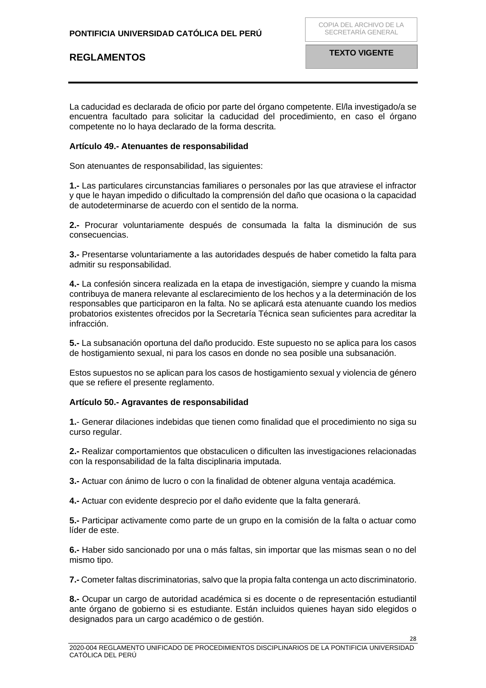La caducidad es declarada de oficio por parte del órgano competente. El/la investigado/a se encuentra facultado para solicitar la caducidad del procedimiento, en caso el órgano competente no lo haya declarado de la forma descrita.

### <span id="page-27-0"></span>**Artículo 49.- Atenuantes de responsabilidad**

Son atenuantes de responsabilidad, las siguientes:

**1.-** Las particulares circunstancias familiares o personales por las que atraviese el infractor y que le hayan impedido o dificultado la comprensión del daño que ocasiona o la capacidad de autodeterminarse de acuerdo con el sentido de la norma.

**2.-** Procurar voluntariamente después de consumada la falta la disminución de sus consecuencias.

**3.-** Presentarse voluntariamente a las autoridades después de haber cometido la falta para admitir su responsabilidad.

**4.-** La confesión sincera realizada en la etapa de investigación, siempre y cuando la misma contribuya de manera relevante al esclarecimiento de los hechos y a la determinación de los responsables que participaron en la falta. No se aplicará esta atenuante cuando los medios probatorios existentes ofrecidos por la Secretaría Técnica sean suficientes para acreditar la infracción.

**5.-** La subsanación oportuna del daño producido. Este supuesto no se aplica para los casos de hostigamiento sexual, ni para los casos en donde no sea posible una subsanación.

Estos supuestos no se aplican para los casos de hostigamiento sexual y violencia de género que se refiere el presente reglamento.

#### <span id="page-27-1"></span>**Artículo 50.- Agravantes de responsabilidad**

**1.**- Generar dilaciones indebidas que tienen como finalidad que el procedimiento no siga su curso regular.

**2.-** Realizar comportamientos que obstaculicen o dificulten las investigaciones relacionadas con la responsabilidad de la falta disciplinaria imputada.

**3.-** Actuar con ánimo de lucro o con la finalidad de obtener alguna ventaja académica.

**4.-** Actuar con evidente desprecio por el daño evidente que la falta generará.

**5.-** Participar activamente como parte de un grupo en la comisión de la falta o actuar como líder de este.

**6.-** Haber sido sancionado por una o más faltas, sin importar que las mismas sean o no del mismo tipo.

**7.-** Cometer faltas discriminatorias, salvo que la propia falta contenga un acto discriminatorio.

**8.-** Ocupar un cargo de autoridad académica si es docente o de representación estudiantil ante órgano de gobierno si es estudiante. Están incluidos quienes hayan sido elegidos o designados para un cargo académico o de gestión.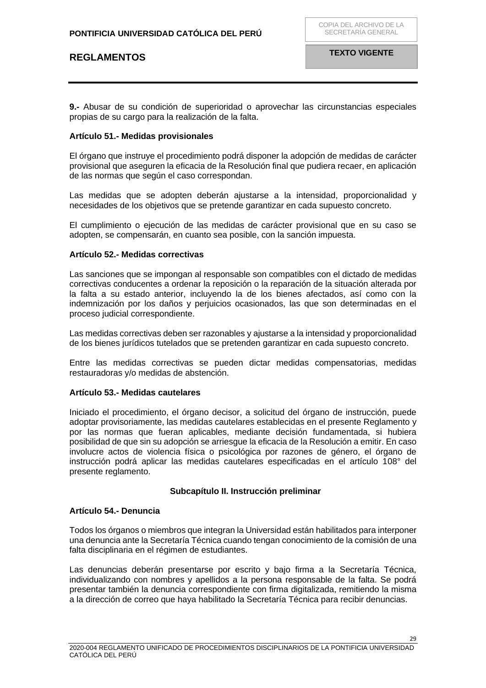**9.-** Abusar de su condición de superioridad o aprovechar las circunstancias especiales propias de su cargo para la realización de la falta.

### <span id="page-28-0"></span>**Artículo 51.- Medidas provisionales**

El órgano que instruye el procedimiento podrá disponer la adopción de medidas de carácter provisional que aseguren la eficacia de la Resolución final que pudiera recaer, en aplicación de las normas que según el caso correspondan.

Las medidas que se adopten deberán ajustarse a la intensidad, proporcionalidad y necesidades de los objetivos que se pretende garantizar en cada supuesto concreto.

El cumplimiento o ejecución de las medidas de carácter provisional que en su caso se adopten, se compensarán, en cuanto sea posible, con la sanción impuesta.

#### <span id="page-28-1"></span>**Artículo 52.- Medidas correctivas**

Las sanciones que se impongan al responsable son compatibles con el dictado de medidas correctivas conducentes a ordenar la reposición o la reparación de la situación alterada por la falta a su estado anterior, incluyendo la de los bienes afectados, así como con la indemnización por los daños y perjuicios ocasionados, las que son determinadas en el proceso judicial correspondiente.

Las medidas correctivas deben ser razonables y ajustarse a la intensidad y proporcionalidad de los bienes jurídicos tutelados que se pretenden garantizar en cada supuesto concreto.

Entre las medidas correctivas se pueden dictar medidas compensatorias, medidas restauradoras y/o medidas de abstención.

## <span id="page-28-2"></span>**Artículo 53.- Medidas cautelares**

Iniciado el procedimiento, el órgano decisor, a solicitud del órgano de instrucción, puede adoptar provisoriamente, las medidas cautelares establecidas en el presente Reglamento y por las normas que fueran aplicables, mediante decisión fundamentada, si hubiera posibilidad de que sin su adopción se arriesgue la eficacia de la Resolución a emitir. En caso involucre actos de violencia física o psicológica por razones de género, el órgano de instrucción podrá aplicar las medidas cautelares especificadas en el artículo 108° del presente reglamento.

## **Subcapítulo II. Instrucción preliminar**

#### <span id="page-28-4"></span><span id="page-28-3"></span>**Artículo 54.- Denuncia**

Todos los órganos o miembros que integran la Universidad están habilitados para interponer una denuncia ante la Secretaría Técnica cuando tengan conocimiento de la comisión de una falta disciplinaria en el régimen de estudiantes.

Las denuncias deberán presentarse por escrito y bajo firma a la Secretaría Técnica, individualizando con nombres y apellidos a la persona responsable de la falta. Se podrá presentar también la denuncia correspondiente con firma digitalizada, remitiendo la misma a la dirección de correo que haya habilitado la Secretaría Técnica para recibir denuncias.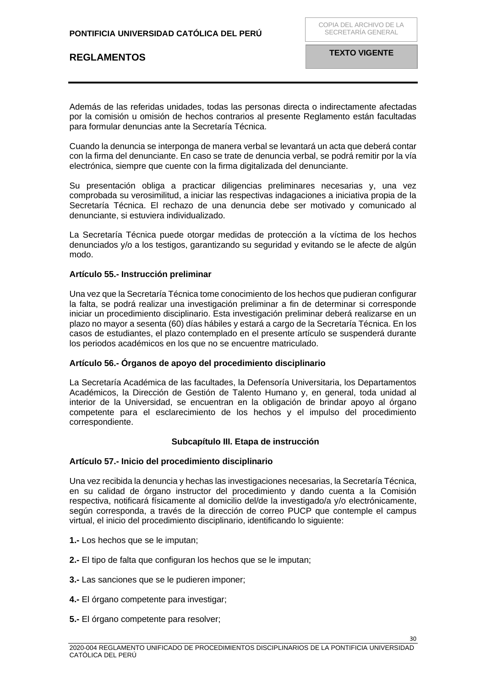**TEXTO VIGENTE**

Además de las referidas unidades, todas las personas directa o indirectamente afectadas por la comisión u omisión de hechos contrarios al presente Reglamento están facultadas para formular denuncias ante la Secretaría Técnica.

Cuando la denuncia se interponga de manera verbal se levantará un acta que deberá contar con la firma del denunciante. En caso se trate de denuncia verbal, se podrá remitir por la vía electrónica, siempre que cuente con la firma digitalizada del denunciante.

Su presentación obliga a practicar diligencias preliminares necesarias y, una vez comprobada su verosimilitud, a iniciar las respectivas indagaciones a iniciativa propia de la Secretaría Técnica. El rechazo de una denuncia debe ser motivado y comunicado al denunciante, si estuviera individualizado.

La Secretaría Técnica puede otorgar medidas de protección a la víctima de los hechos denunciados y/o a los testigos, garantizando su seguridad y evitando se le afecte de algún modo.

#### <span id="page-29-0"></span>**Artículo 55.- Instrucción preliminar**

Una vez que la Secretaría Técnica tome conocimiento de los hechos que pudieran configurar la falta, se podrá realizar una investigación preliminar a fin de determinar si corresponde iniciar un procedimiento disciplinario. Esta investigación preliminar deberá realizarse en un plazo no mayor a sesenta (60) días hábiles y estará a cargo de la Secretaría Técnica. En los casos de estudiantes, el plazo contemplado en el presente artículo se suspenderá durante los periodos académicos en los que no se encuentre matriculado.

## <span id="page-29-1"></span>**Artículo 56.- Órganos de apoyo del procedimiento disciplinario**

La Secretaría Académica de las facultades, la Defensoría Universitaria, los Departamentos Académicos, la Dirección de Gestión de Talento Humano y, en general, toda unidad al interior de la Universidad, se encuentran en la obligación de brindar apoyo al órgano competente para el esclarecimiento de los hechos y el impulso del procedimiento correspondiente.

## **Subcapítulo III. Etapa de instrucción**

## <span id="page-29-3"></span><span id="page-29-2"></span>**Artículo 57.- Inicio del procedimiento disciplinario**

Una vez recibida la denuncia y hechas las investigaciones necesarias, la Secretaría Técnica, en su calidad de órgano instructor del procedimiento y dando cuenta a la Comisión respectiva, notificará físicamente al domicilio del/de la investigado/a y/o electrónicamente, según corresponda, a través de la dirección de correo PUCP que contemple el campus virtual, el inicio del procedimiento disciplinario, identificando lo siguiente:

- **1.-** Los hechos que se le imputan;
- **2.-** El tipo de falta que configuran los hechos que se le imputan;
- **3.-** Las sanciones que se le pudieren imponer;
- **4.-** El órgano competente para investigar;
- **5.-** El órgano competente para resolver;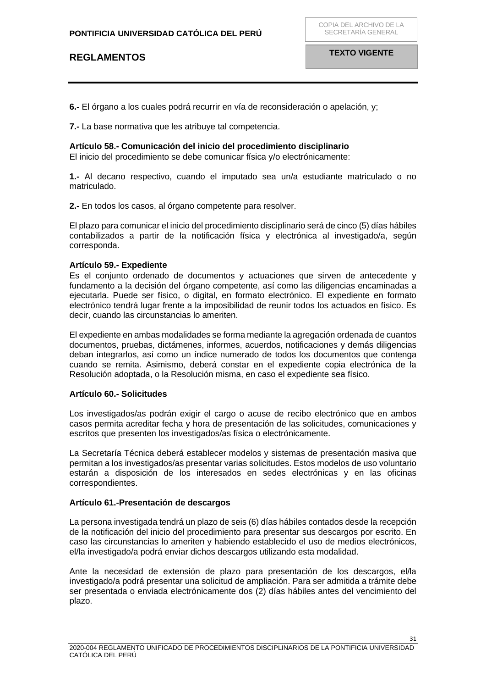COPIA DEL ARCHIVO DE LA SECRETARÍA GENERAL

**6.-** El órgano a los cuales podrá recurrir en vía de reconsideración o apelación, y;

**7.-** La base normativa que les atribuye tal competencia.

## <span id="page-30-0"></span>**Artículo 58.- Comunicación del inicio del procedimiento disciplinario**

El inicio del procedimiento se debe comunicar física y/o electrónicamente:

**1.-** Al decano respectivo, cuando el imputado sea un/a estudiante matriculado o no matriculado.

**2.-** En todos los casos, al órgano competente para resolver.

El plazo para comunicar el inicio del procedimiento disciplinario será de cinco (5) días hábiles contabilizados a partir de la notificación física y electrónica al investigado/a, según corresponda.

## <span id="page-30-1"></span>**Artículo 59.- Expediente**

Es el conjunto ordenado de documentos y actuaciones que sirven de antecedente y fundamento a la decisión del órgano competente, así como las diligencias encaminadas a ejecutarla. Puede ser físico, o digital, en formato electrónico. El expediente en formato electrónico tendrá lugar frente a la imposibilidad de reunir todos los actuados en físico. Es decir, cuando las circunstancias lo ameriten.

El expediente en ambas modalidades se forma mediante la agregación ordenada de cuantos documentos, pruebas, dictámenes, informes, acuerdos, notificaciones y demás diligencias deban integrarlos, así como un índice numerado de todos los documentos que contenga cuando se remita. Asimismo, deberá constar en el expediente copia electrónica de la Resolución adoptada, o la Resolución misma, en caso el expediente sea físico.

## <span id="page-30-2"></span>**Artículo 60.- Solicitudes**

Los investigados/as podrán exigir el cargo o acuse de recibo electrónico que en ambos casos permita acreditar fecha y hora de presentación de las solicitudes, comunicaciones y escritos que presenten los investigados/as física o electrónicamente.

La Secretaría Técnica deberá establecer modelos y sistemas de presentación masiva que permitan a los investigados/as presentar varias solicitudes. Estos modelos de uso voluntario estarán a disposición de los interesados en sedes electrónicas y en las oficinas correspondientes.

## <span id="page-30-3"></span>**Artículo 61.-Presentación de descargos**

La persona investigada tendrá un plazo de seis (6) días hábiles contados desde la recepción de la notificación del inicio del procedimiento para presentar sus descargos por escrito. En caso las circunstancias lo ameriten y habiendo establecido el uso de medios electrónicos, el/la investigado/a podrá enviar dichos descargos utilizando esta modalidad.

Ante la necesidad de extensión de plazo para presentación de los descargos, el/la investigado/a podrá presentar una solicitud de ampliación. Para ser admitida a trámite debe ser presentada o enviada electrónicamente dos (2) días hábiles antes del vencimiento del plazo.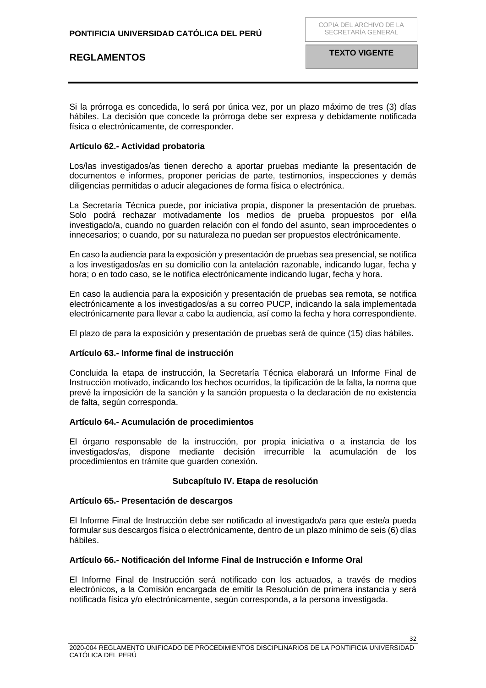Si la prórroga es concedida, lo será por única vez, por un plazo máximo de tres (3) días hábiles. La decisión que concede la prórroga debe ser expresa y debidamente notificada física o electrónicamente, de corresponder.

## <span id="page-31-0"></span>**Artículo 62.- Actividad probatoria**

Los/las investigados/as tienen derecho a aportar pruebas mediante la presentación de documentos e informes, proponer pericias de parte, testimonios, inspecciones y demás diligencias permitidas o aducir alegaciones de forma física o electrónica.

La Secretaría Técnica puede, por iniciativa propia, disponer la presentación de pruebas. Solo podrá rechazar motivadamente los medios de prueba propuestos por el/la investigado/a, cuando no guarden relación con el fondo del asunto, sean improcedentes o innecesarios; o cuando, por su naturaleza no puedan ser propuestos electrónicamente.

En caso la audiencia para la exposición y presentación de pruebas sea presencial, se notifica a los investigados/as en su domicilio con la antelación razonable, indicando lugar, fecha y hora; o en todo caso, se le notifica electrónicamente indicando lugar, fecha y hora.

En caso la audiencia para la exposición y presentación de pruebas sea remota, se notifica electrónicamente a los investigados/as a su correo PUCP, indicando la sala implementada electrónicamente para llevar a cabo la audiencia, así como la fecha y hora correspondiente.

El plazo de para la exposición y presentación de pruebas será de quince (15) días hábiles.

## <span id="page-31-1"></span>**Artículo 63.- Informe final de instrucción**

Concluida la etapa de instrucción, la Secretaría Técnica elaborará un Informe Final de Instrucción motivado, indicando los hechos ocurridos, la tipificación de la falta, la norma que prevé la imposición de la sanción y la sanción propuesta o la declaración de no existencia de falta, según corresponda.

## <span id="page-31-2"></span>**Artículo 64.- Acumulación de procedimientos**

El órgano responsable de la instrucción, por propia iniciativa o a instancia de los investigados/as, dispone mediante decisión irrecurrible la acumulación de los procedimientos en trámite que guarden conexión.

## **Subcapítulo IV. Etapa de resolución**

## <span id="page-31-4"></span><span id="page-31-3"></span>**Artículo 65.- Presentación de descargos**

El Informe Final de Instrucción debe ser notificado al investigado/a para que este/a pueda formular sus descargos física o electrónicamente, dentro de un plazo mínimo de seis (6) días hábiles.

## <span id="page-31-5"></span>**Artículo 66.- Notificación del Informe Final de Instrucción e Informe Oral**

El Informe Final de Instrucción será notificado con los actuados, a través de medios electrónicos, a la Comisión encargada de emitir la Resolución de primera instancia y será notificada física y/o electrónicamente, según corresponda, a la persona investigada.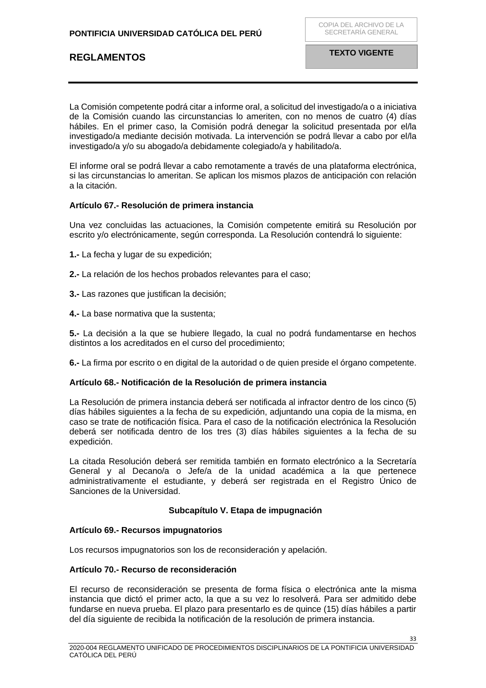La Comisión competente podrá citar a informe oral, a solicitud del investigado/a o a iniciativa de la Comisión cuando las circunstancias lo ameriten, con no menos de cuatro (4) días hábiles. En el primer caso, la Comisión podrá denegar la solicitud presentada por el/la investigado/a mediante decisión motivada. La intervención se podrá llevar a cabo por el/la investigado/a y/o su abogado/a debidamente colegiado/a y habilitado/a.

El informe oral se podrá llevar a cabo remotamente a través de una plataforma electrónica, si las circunstancias lo ameritan. Se aplican los mismos plazos de anticipación con relación a la citación.

## <span id="page-32-0"></span>**Artículo 67.- Resolución de primera instancia**

Una vez concluidas las actuaciones, la Comisión competente emitirá su Resolución por escrito y/o electrónicamente, según corresponda. La Resolución contendrá lo siguiente:

- **1.-** La fecha y lugar de su expedición;
- **2.-** La relación de los hechos probados relevantes para el caso;
- **3.-** Las razones que justifican la decisión;
- **4.-** La base normativa que la sustenta;

**5.-** La decisión a la que se hubiere llegado, la cual no podrá fundamentarse en hechos distintos a los acreditados en el curso del procedimiento;

**6.-** La firma por escrito o en digital de la autoridad o de quien preside el órgano competente.

#### <span id="page-32-1"></span>**Artículo 68.- Notificación de la Resolución de primera instancia**

La Resolución de primera instancia deberá ser notificada al infractor dentro de los cinco (5) días hábiles siguientes a la fecha de su expedición, adjuntando una copia de la misma, en caso se trate de notificación física. Para el caso de la notificación electrónica la Resolución deberá ser notificada dentro de los tres (3) días hábiles siguientes a la fecha de su expedición.

La citada Resolución deberá ser remitida también en formato electrónico a la Secretaría General y al Decano/a o Jefe/a de la unidad académica a la que pertenece administrativamente el estudiante, y deberá ser registrada en el Registro Único de Sanciones de la Universidad.

## **Subcapítulo V. Etapa de impugnación**

#### <span id="page-32-3"></span><span id="page-32-2"></span>**Artículo 69.- Recursos impugnatorios**

Los recursos impugnatorios son los de reconsideración y apelación.

#### <span id="page-32-4"></span>**Artículo 70.- Recurso de reconsideración**

El recurso de reconsideración se presenta de forma física o electrónica ante la misma instancia que dictó el primer acto, la que a su vez lo resolverá. Para ser admitido debe fundarse en nueva prueba. El plazo para presentarlo es de quince (15) días hábiles a partir del día siguiente de recibida la notificación de la resolución de primera instancia.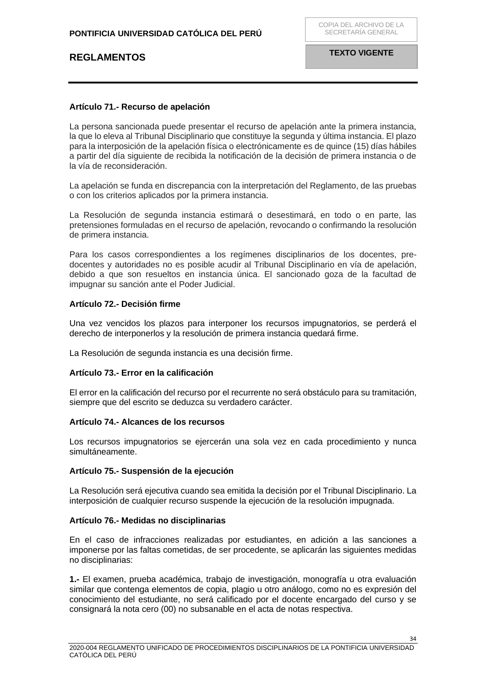## <span id="page-33-0"></span>**Artículo 71.- Recurso de apelación**

La persona sancionada puede presentar el recurso de apelación ante la primera instancia, la que lo eleva al Tribunal Disciplinario que constituye la segunda y última instancia. El plazo para la interposición de la apelación física o electrónicamente es de quince (15) días hábiles a partir del día siguiente de recibida la notificación de la decisión de primera instancia o de la vía de reconsideración.

La apelación se funda en discrepancia con la interpretación del Reglamento, de las pruebas o con los criterios aplicados por la primera instancia.

La Resolución de segunda instancia estimará o desestimará, en todo o en parte, las pretensiones formuladas en el recurso de apelación, revocando o confirmando la resolución de primera instancia.

Para los casos correspondientes a los regímenes disciplinarios de los docentes, predocentes y autoridades no es posible acudir al Tribunal Disciplinario en vía de apelación, debido a que son resueltos en instancia única. El sancionado goza de la facultad de impugnar su sanción ante el Poder Judicial.

### <span id="page-33-1"></span>**Artículo 72.- Decisión firme**

Una vez vencidos los plazos para interponer los recursos impugnatorios, se perderá el derecho de interponerlos y la resolución de primera instancia quedará firme.

La Resolución de segunda instancia es una decisión firme.

## <span id="page-33-2"></span>**Artículo 73.- Error en la calificación**

El error en la calificación del recurso por el recurrente no será obstáculo para su tramitación, siempre que del escrito se deduzca su verdadero carácter.

## <span id="page-33-3"></span>**Artículo 74.- Alcances de los recursos**

Los recursos impugnatorios se ejercerán una sola vez en cada procedimiento y nunca simultáneamente.

## <span id="page-33-4"></span>**Artículo 75.- Suspensión de la ejecución**

La Resolución será ejecutiva cuando sea emitida la decisión por el Tribunal Disciplinario. La interposición de cualquier recurso suspende la ejecución de la resolución impugnada.

## <span id="page-33-5"></span>**Artículo 76.- Medidas no disciplinarias**

En el caso de infracciones realizadas por estudiantes, en adición a las sanciones a imponerse por las faltas cometidas, de ser procedente, se aplicarán las siguientes medidas no disciplinarias:

**1.-** El examen, prueba académica, trabajo de investigación, monografía u otra evaluación similar que contenga elementos de copia, plagio u otro análogo, como no es expresión del conocimiento del estudiante, no será calificado por el docente encargado del curso y se consignará la nota cero (00) no subsanable en el acta de notas respectiva.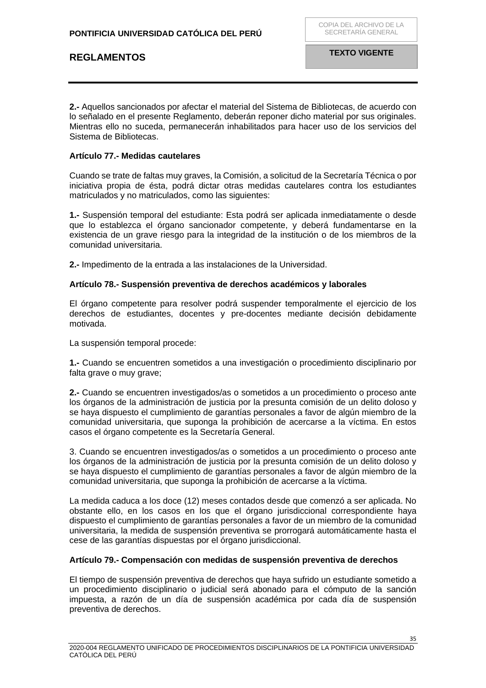**2.-** Aquellos sancionados por afectar el material del Sistema de Bibliotecas, de acuerdo con lo señalado en el presente Reglamento, deberán reponer dicho material por sus originales. Mientras ello no suceda, permanecerán inhabilitados para hacer uso de los servicios del Sistema de Bibliotecas.

## <span id="page-34-0"></span>**Artículo 77.- Medidas cautelares**

Cuando se trate de faltas muy graves, la Comisión, a solicitud de la Secretaría Técnica o por iniciativa propia de ésta, podrá dictar otras medidas cautelares contra los estudiantes matriculados y no matriculados, como las siguientes:

**1.-** Suspensión temporal del estudiante: Esta podrá ser aplicada inmediatamente o desde que lo establezca el órgano sancionador competente, y deberá fundamentarse en la existencia de un grave riesgo para la integridad de la institución o de los miembros de la comunidad universitaria.

**2.-** Impedimento de la entrada a las instalaciones de la Universidad.

## <span id="page-34-1"></span>**Artículo 78.- Suspensión preventiva de derechos académicos y laborales**

El órgano competente para resolver podrá suspender temporalmente el ejercicio de los derechos de estudiantes, docentes y pre-docentes mediante decisión debidamente motivada.

La suspensión temporal procede:

**1.-** Cuando se encuentren sometidos a una investigación o procedimiento disciplinario por falta grave o muy grave:

**2.-** Cuando se encuentren investigados/as o sometidos a un procedimiento o proceso ante los órganos de la administración de justicia por la presunta comisión de un delito doloso y se haya dispuesto el cumplimiento de garantías personales a favor de algún miembro de la comunidad universitaria, que suponga la prohibición de acercarse a la víctima. En estos casos el órgano competente es la Secretaría General.

3. Cuando se encuentren investigados/as o sometidos a un procedimiento o proceso ante los órganos de la administración de justicia por la presunta comisión de un delito doloso y se haya dispuesto el cumplimiento de garantías personales a favor de algún miembro de la comunidad universitaria, que suponga la prohibición de acercarse a la víctima.

La medida caduca a los doce (12) meses contados desde que comenzó a ser aplicada. No obstante ello, en los casos en los que el órgano jurisdiccional correspondiente haya dispuesto el cumplimiento de garantías personales a favor de un miembro de la comunidad universitaria, la medida de suspensión preventiva se prorrogará automáticamente hasta el cese de las garantías dispuestas por el órgano jurisdiccional.

#### <span id="page-34-2"></span>**Artículo 79.- Compensación con medidas de suspensión preventiva de derechos**

El tiempo de suspensión preventiva de derechos que haya sufrido un estudiante sometido a un procedimiento disciplinario o judicial será abonado para el cómputo de la sanción impuesta, a razón de un día de suspensión académica por cada día de suspensión preventiva de derechos.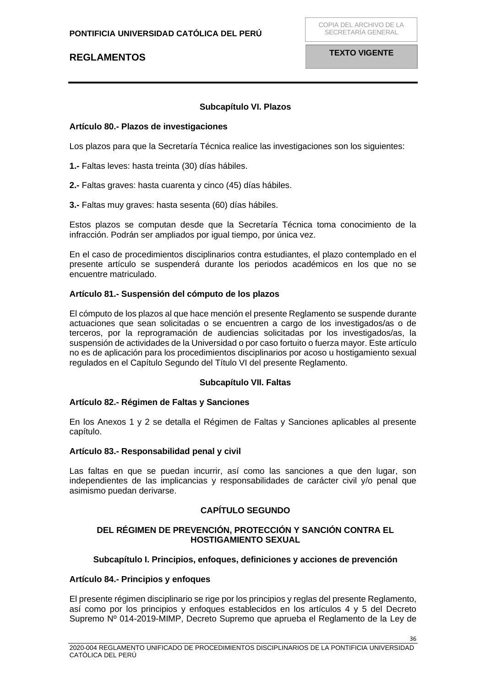## **Subcapítulo VI. Plazos**

#### <span id="page-35-1"></span><span id="page-35-0"></span>**Artículo 80.- Plazos de investigaciones**

Los plazos para que la Secretaría Técnica realice las investigaciones son los siguientes:

**1.-** Faltas leves: hasta treinta (30) días hábiles.

**2.-** Faltas graves: hasta cuarenta y cinco (45) días hábiles.

**3.-** Faltas muy graves: hasta sesenta (60) días hábiles.

Estos plazos se computan desde que la Secretaría Técnica toma conocimiento de la infracción. Podrán ser ampliados por igual tiempo, por única vez.

En el caso de procedimientos disciplinarios contra estudiantes, el plazo contemplado en el presente artículo se suspenderá durante los periodos académicos en los que no se encuentre matriculado.

### <span id="page-35-2"></span>**Artículo 81.- Suspensión del cómputo de los plazos**

El cómputo de los plazos al que hace mención el presente Reglamento se suspende durante actuaciones que sean solicitadas o se encuentren a cargo de los investigados/as o de terceros, por la reprogramación de audiencias solicitadas por los investigados/as, la suspensión de actividades de la Universidad o por caso fortuito o fuerza mayor. Este artículo no es de aplicación para los procedimientos disciplinarios por acoso u hostigamiento sexual regulados en el Capítulo Segundo del Título VI del presente Reglamento.

## **Subcapítulo VII. Faltas**

#### <span id="page-35-4"></span><span id="page-35-3"></span>**Artículo 82.- Régimen de Faltas y Sanciones**

En los Anexos 1 y 2 se detalla el Régimen de Faltas y Sanciones aplicables al presente capítulo.

#### <span id="page-35-5"></span>**Artículo 83.- Responsabilidad penal y civil**

Las faltas en que se puedan incurrir, así como las sanciones a que den lugar, son independientes de las implicancias y responsabilidades de carácter civil y/o penal que asimismo puedan derivarse.

## **CAPÍTULO SEGUNDO**

## <span id="page-35-7"></span><span id="page-35-6"></span>**DEL RÉGIMEN DE PREVENCIÓN, PROTECCIÓN Y SANCIÓN CONTRA EL HOSTIGAMIENTO SEXUAL**

#### **Subcapítulo I. Principios, enfoques, definiciones y acciones de prevención**

### <span id="page-35-9"></span><span id="page-35-8"></span>**Artículo 84.- Principios y enfoques**

El presente régimen disciplinario se rige por los principios y reglas del presente Reglamento, así como por los principios y enfoques establecidos en los artículos 4 y 5 del Decreto Supremo Nº 014-2019-MIMP, Decreto Supremo que aprueba el Reglamento de la Ley de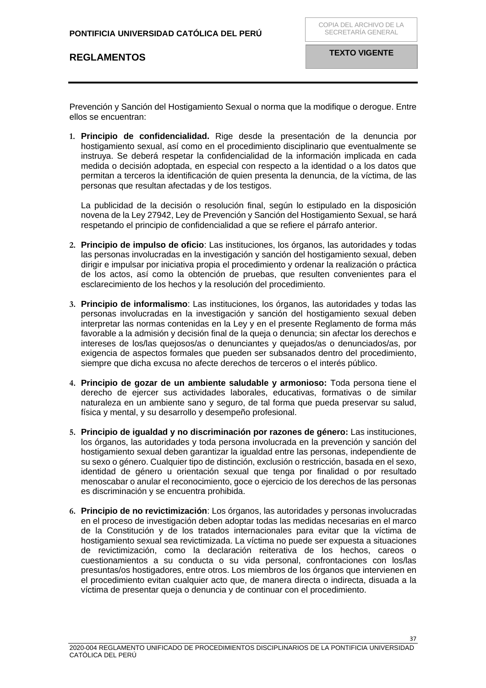Prevención y Sanción del Hostigamiento Sexual o norma que la modifique o derogue. Entre ellos se encuentran:

**1. Principio de confidencialidad.** Rige desde la presentación de la denuncia por hostigamiento sexual, así como en el procedimiento disciplinario que eventualmente se instruya. Se deberá respetar la confidencialidad de la información implicada en cada medida o decisión adoptada, en especial con respecto a la identidad o a los datos que permitan a terceros la identificación de quien presenta la denuncia, de la víctima, de las personas que resultan afectadas y de los testigos.

La publicidad de la decisión o resolución final, según lo estipulado en la disposición novena de la Ley 27942, Ley de Prevención y Sanción del Hostigamiento Sexual, se hará respetando el principio de confidencialidad a que se refiere el párrafo anterior.

- **2. Principio de impulso de oficio**: Las instituciones, los órganos, las autoridades y todas las personas involucradas en la investigación y sanción del hostigamiento sexual, deben dirigir e impulsar por iniciativa propia el procedimiento y ordenar la realización o práctica de los actos, así como la obtención de pruebas, que resulten convenientes para el esclarecimiento de los hechos y la resolución del procedimiento.
- **3. Principio de informalismo**: Las instituciones, los órganos, las autoridades y todas las personas involucradas en la investigación y sanción del hostigamiento sexual deben interpretar las normas contenidas en la Ley y en el presente Reglamento de forma más favorable a la admisión y decisión final de la queja o denuncia; sin afectar los derechos e intereses de los/las quejosos/as o denunciantes y quejados/as o denunciados/as, por exigencia de aspectos formales que pueden ser subsanados dentro del procedimiento, siempre que dicha excusa no afecte derechos de terceros o el interés público.
- **4. Principio de gozar de un ambiente saludable y armonioso:** Toda persona tiene el derecho de ejercer sus actividades laborales, educativas, formativas o de similar naturaleza en un ambiente sano y seguro, de tal forma que pueda preservar su salud, física y mental, y su desarrollo y desempeño profesional.
- **5. Principio de igualdad y no discriminación por razones de género:** Las instituciones, los órganos, las autoridades y toda persona involucrada en la prevención y sanción del hostigamiento sexual deben garantizar la igualdad entre las personas, independiente de su sexo o género. Cualquier tipo de distinción, exclusión o restricción, basada en el sexo, identidad de género u orientación sexual que tenga por finalidad o por resultado menoscabar o anular el reconocimiento, goce o ejercicio de los derechos de las personas es discriminación y se encuentra prohibida.
- **6. Principio de no revictimización**: Los órganos, las autoridades y personas involucradas en el proceso de investigación deben adoptar todas las medidas necesarias en el marco de la Constitución y de los tratados internacionales para evitar que la víctima de hostigamiento sexual sea revictimizada. La víctima no puede ser expuesta a situaciones de revictimización, como la declaración reiterativa de los hechos, careos o cuestionamientos a su conducta o su vida personal, confrontaciones con los/las presuntas/os hostigadores, entre otros. Los miembros de los órganos que intervienen en el procedimiento evitan cualquier acto que, de manera directa o indirecta, disuada a la víctima de presentar queja o denuncia y de continuar con el procedimiento.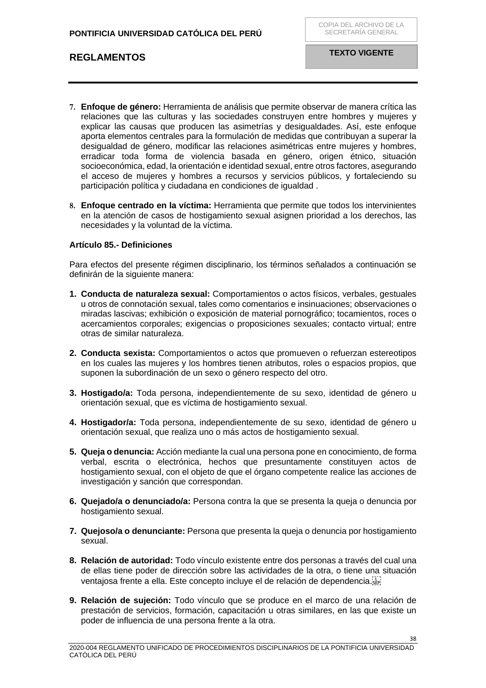38

- **7. Enfoque de género:** Herramienta de análisis que permite observar de manera crítica las relaciones que las culturas y las sociedades construyen entre hombres y mujeres y explicar las causas que producen las asimetrías y desigualdades. Así, este enfoque aporta elementos centrales para la formulación de medidas que contribuyan a superar la desigualdad de género, modificar las relaciones asimétricas entre mujeres y hombres, erradicar toda forma de violencia basada en género, origen étnico, situación socioeconómica, edad, la orientación e identidad sexual, entre otros factores, asegurando el acceso de mujeres y hombres a recursos y servicios públicos, y fortaleciendo su participación política y ciudadana en condiciones de igualdad .
- **8. Enfoque centrado en la víctima:** Herramienta que permite que todos los intervinientes en la atención de casos de hostigamiento sexual asignen prioridad a los derechos, las necesidades y la voluntad de la víctima.

## <span id="page-37-0"></span>**Artículo 85.- Definiciones**

Para efectos del presente régimen disciplinario, los términos señalados a continuación se definirán de la siguiente manera:

- **1. Conducta de naturaleza sexual:** Comportamientos o actos físicos, verbales, gestuales u otros de connotación sexual, tales como comentarios e insinuaciones; observaciones o miradas lascivas; exhibición o exposición de material pornográfico; tocamientos, roces o acercamientos corporales; exigencias o proposiciones sexuales; contacto virtual; entre otras de similar naturaleza.
- **2. Conducta sexista:** Comportamientos o actos que promueven o refuerzan estereotipos en los cuales las mujeres y los hombres tienen atributos, roles o espacios propios, que suponen la subordinación de un sexo o género respecto del otro.
- **3. Hostigado/a:** Toda persona, independientemente de su sexo, identidad de género u orientación sexual, que es víctima de hostigamiento sexual.
- **4. Hostigador/a:** Toda persona, independientemente de su sexo, identidad de género u orientación sexual, que realiza uno o más actos de hostigamiento sexual.
- **5. Queja o denuncia:** Acción mediante la cual una persona pone en conocimiento, de forma verbal, escrita o electrónica, hechos que presuntamente constituyen actos de hostigamiento sexual, con el objeto de que el órgano competente realice las acciones de investigación y sanción que correspondan.
- **6. Quejado/a o denunciado/a:** Persona contra la que se presenta la queja o denuncia por hostigamiento sexual.
- **7. Quejoso/a o denunciante:** Persona que presenta la queja o denuncia por hostigamiento sexual.
- **8. Relación de autoridad:** Todo vínculo existente entre dos personas a través del cual una de ellas tiene poder de dirección sobre las actividades de la otra, o tiene una situación ventajosa frente a ella. Este concepto incluye el de relación de dependencia.
- **9. Relación de sujeción:** Todo vínculo que se produce en el marco de una relación de prestación de servicios, formación, capacitación u otras similares, en las que existe un poder de influencia de una persona frente a la otra.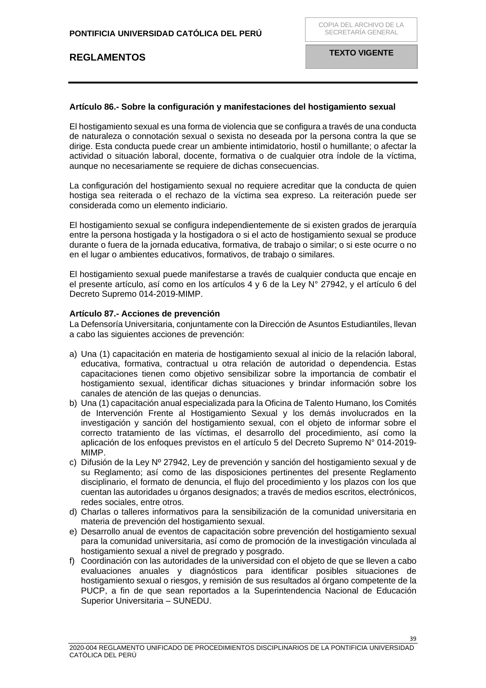## <span id="page-38-0"></span>**Artículo 86.- Sobre la configuración y manifestaciones del hostigamiento sexual**

El hostigamiento sexual es una forma de violencia que se configura a través de una conducta de naturaleza o connotación sexual o sexista no deseada por la persona contra la que se dirige. Esta conducta puede crear un ambiente intimidatorio, hostil o humillante; o afectar la actividad o situación laboral, docente, formativa o de cualquier otra índole de la víctima, aunque no necesariamente se requiere de dichas consecuencias.

La configuración del hostigamiento sexual no requiere acreditar que la conducta de quien hostiga sea reiterada o el rechazo de la víctima sea expreso. La reiteración puede ser considerada como un elemento indiciario.

El hostigamiento sexual se configura independientemente de si existen grados de jerarquía entre la persona hostigada y la hostigadora o si el acto de hostigamiento sexual se produce durante o fuera de la jornada educativa, formativa, de trabajo o similar; o si este ocurre o no en el lugar o ambientes educativos, formativos, de trabajo o similares.

El hostigamiento sexual puede manifestarse a través de cualquier conducta que encaje en el presente artículo, así como en los artículos 4 y 6 de la Ley N° 27942, y el artículo 6 del Decreto Supremo 014-2019-MIMP.

## <span id="page-38-1"></span>**Artículo 87.- Acciones de prevención**

La Defensoría Universitaria, conjuntamente con la Dirección de Asuntos Estudiantiles, llevan a cabo las siguientes acciones de prevención:

- a) Una (1) capacitación en materia de hostigamiento sexual al inicio de la relación laboral, educativa, formativa, contractual u otra relación de autoridad o dependencia. Estas capacitaciones tienen como objetivo sensibilizar sobre la importancia de combatir el hostigamiento sexual, identificar dichas situaciones y brindar información sobre los canales de atención de las quejas o denuncias.
- b) Una (1) capacitación anual especializada para la Oficina de Talento Humano, los Comités de Intervención Frente al Hostigamiento Sexual y los demás involucrados en la investigación y sanción del hostigamiento sexual, con el objeto de informar sobre el correcto tratamiento de las víctimas, el desarrollo del procedimiento, así como la aplicación de los enfoques previstos en el artículo 5 del Decreto Supremo N° 014-2019- MIMP.
- c) Difusión de la Ley  $N^{\circ}$  27942, Ley de prevención y sanción del hostigamiento sexual y de su Reglamento; así como de las disposiciones pertinentes del presente Reglamento disciplinario, el formato de denuncia, el flujo del procedimiento y los plazos con los que cuentan las autoridades u órganos designados; a través de medios escritos, electrónicos, redes sociales, entre otros.
- d) Charlas o talleres informativos para la sensibilización de la comunidad universitaria en materia de prevención del hostigamiento sexual.
- e) Desarrollo anual de eventos de capacitación sobre prevención del hostigamiento sexual para la comunidad universitaria, así como de promoción de la investigación vinculada al hostigamiento sexual a nivel de pregrado y posgrado.
- f) Coordinación con las autoridades de la universidad con el objeto de que se lleven a cabo evaluaciones anuales y diagnósticos para identificar posibles situaciones de hostigamiento sexual o riesgos, y remisión de sus resultados al órgano competente de la PUCP, a fin de que sean reportados a la Superintendencia Nacional de Educación Superior Universitaria – SUNEDU.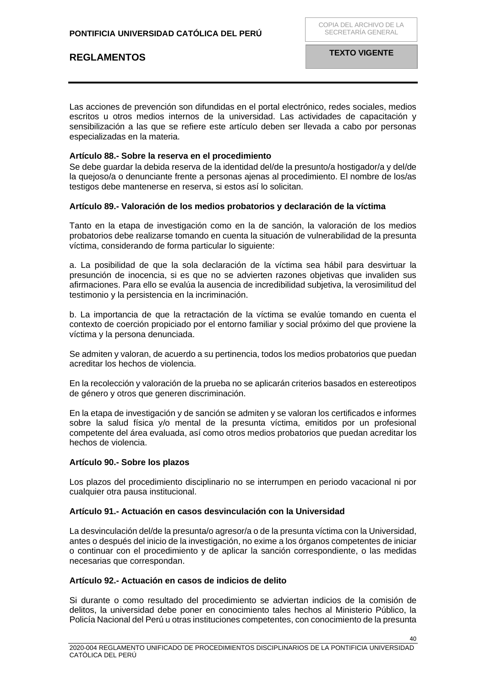Las acciones de prevención son difundidas en el portal electrónico, redes sociales, medios escritos u otros medios internos de la universidad. Las actividades de capacitación y sensibilización a las que se refiere este artículo deben ser llevada a cabo por personas especializadas en la materia.

### <span id="page-39-0"></span>**Artículo 88.- Sobre la reserva en el procedimiento**

Se debe guardar la debida reserva de la identidad del/de la presunto/a hostigador/a y del/de la quejoso/a o denunciante frente a personas ajenas al procedimiento. El nombre de los/as testigos debe mantenerse en reserva, si estos así lo solicitan.

#### <span id="page-39-1"></span>**Artículo 89.- Valoración de los medios probatorios y declaración de la víctima**

Tanto en la etapa de investigación como en la de sanción, la valoración de los medios probatorios debe realizarse tomando en cuenta la situación de vulnerabilidad de la presunta víctima, considerando de forma particular lo siguiente:

a. La posibilidad de que la sola declaración de la víctima sea hábil para desvirtuar la presunción de inocencia, si es que no se advierten razones objetivas que invaliden sus afirmaciones. Para ello se evalúa la ausencia de incredibilidad subjetiva, la verosimilitud del testimonio y la persistencia en la incriminación.

b. La importancia de que la retractación de la víctima se evalúe tomando en cuenta el contexto de coerción propiciado por el entorno familiar y social próximo del que proviene la víctima y la persona denunciada.

Se admiten y valoran, de acuerdo a su pertinencia, todos los medios probatorios que puedan acreditar los hechos de violencia.

En la recolección y valoración de la prueba no se aplicarán criterios basados en estereotipos de género y otros que generen discriminación.

En la etapa de investigación y de sanción se admiten y se valoran los certificados e informes sobre la salud física y/o mental de la presunta víctima, emitidos por un profesional competente del área evaluada, así como otros medios probatorios que puedan acreditar los hechos de violencia.

#### <span id="page-39-2"></span>**Artículo 90.- Sobre los plazos**

Los plazos del procedimiento disciplinario no se interrumpen en periodo vacacional ni por cualquier otra pausa institucional.

## <span id="page-39-3"></span>**Artículo 91.- Actuación en casos desvinculación con la Universidad**

La desvinculación del/de la presunta/o agresor/a o de la presunta víctima con la Universidad, antes o después del inicio de la investigación, no exime a los órganos competentes de iniciar o continuar con el procedimiento y de aplicar la sanción correspondiente, o las medidas necesarias que correspondan.

## <span id="page-39-4"></span>**Artículo 92.- Actuación en casos de indicios de delito**

Si durante o como resultado del procedimiento se adviertan indicios de la comisión de delitos, la universidad debe poner en conocimiento tales hechos al Ministerio Público, la Policía Nacional del Perú u otras instituciones competentes, con conocimiento de la presunta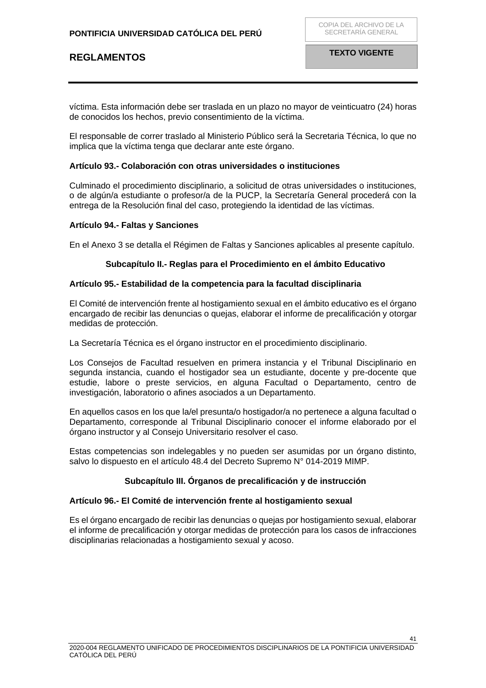víctima. Esta información debe ser traslada en un plazo no mayor de veinticuatro (24) horas de conocidos los hechos, previo consentimiento de la víctima.

El responsable de correr traslado al Ministerio Público será la Secretaria Técnica, lo que no implica que la víctima tenga que declarar ante este órgano.

## <span id="page-40-0"></span>**Artículo 93.- Colaboración con otras universidades o instituciones**

Culminado el procedimiento disciplinario, a solicitud de otras universidades o instituciones, o de algún/a estudiante o profesor/a de la PUCP, la Secretaría General procederá con la entrega de la Resolución final del caso, protegiendo la identidad de las víctimas.

## <span id="page-40-1"></span>**Artículo 94.- Faltas y Sanciones**

<span id="page-40-2"></span>En el Anexo 3 se detalla el Régimen de Faltas y Sanciones aplicables al presente capítulo.

## **Subcapítulo II.- Reglas para el Procedimiento en el ámbito Educativo**

#### <span id="page-40-3"></span>**Artículo 95.- Estabilidad de la competencia para la facultad disciplinaria**

El Comité de intervención frente al hostigamiento sexual en el ámbito educativo es el órgano encargado de recibir las denuncias o quejas, elaborar el informe de precalificación y otorgar medidas de protección.

La Secretaría Técnica es el órgano instructor en el procedimiento disciplinario.

Los Consejos de Facultad resuelven en primera instancia y el Tribunal Disciplinario en segunda instancia, cuando el hostigador sea un estudiante, docente y pre-docente que estudie, labore o preste servicios, en alguna Facultad o Departamento, centro de investigación, laboratorio o afines asociados a un Departamento.

En aquellos casos en los que la/el presunta/o hostigador/a no pertenece a alguna facultad o Departamento, corresponde al Tribunal Disciplinario conocer el informe elaborado por el órgano instructor y al Consejo Universitario resolver el caso.

Estas competencias son indelegables y no pueden ser asumidas por un órgano distinto, salvo lo dispuesto en el artículo 48.4 del Decreto Supremo N° 014-2019 MIMP.

## **Subcapítulo III. Órganos de precalificación y de instrucción**

## <span id="page-40-5"></span><span id="page-40-4"></span>**Artículo 96.- El Comité de intervención frente al hostigamiento sexual**

Es el órgano encargado de recibir las denuncias o quejas por hostigamiento sexual, elaborar el informe de precalificación y otorgar medidas de protección para los casos de infracciones disciplinarias relacionadas a hostigamiento sexual y acoso.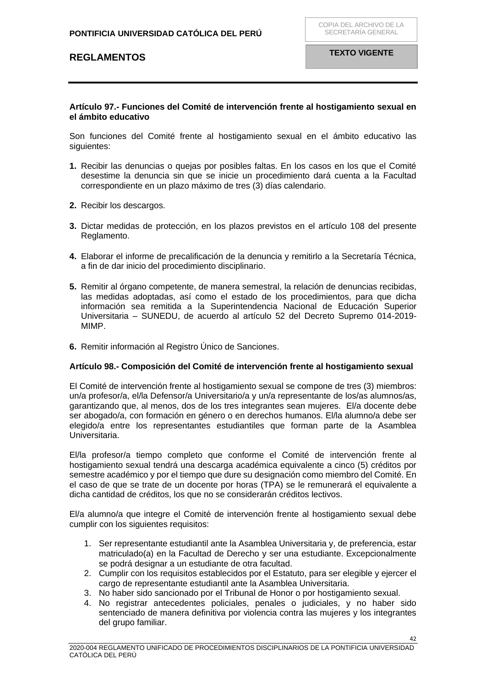## **Artículo 97.- Funciones del Comité de intervención frente al hostigamiento sexual en el ámbito educativo**

<span id="page-41-0"></span>Son funciones del Comité frente al hostigamiento sexual en el ámbito educativo las siguientes:

- **1.** Recibir las denuncias o quejas por posibles faltas. En los casos en los que el Comité desestime la denuncia sin que se inicie un procedimiento dará cuenta a la Facultad correspondiente en un plazo máximo de tres (3) días calendario.
- **2.** Recibir los descargos.
- **3.** Dictar medidas de protección, en los plazos previstos en el artículo 108 del presente Reglamento.
- **4.** Elaborar el informe de precalificación de la denuncia y remitirlo a la Secretaría Técnica, a fin de dar inicio del procedimiento disciplinario.
- **5.** Remitir al órgano competente, de manera semestral, la relación de denuncias recibidas, las medidas adoptadas, así como el estado de los procedimientos, para que dicha información sea remitida a la Superintendencia Nacional de Educación Superior Universitaria – SUNEDU, de acuerdo al artículo 52 del Decreto Supremo 014-2019- MIMP.
- **6.** Remitir información al Registro Único de Sanciones.

#### <span id="page-41-1"></span>**Artículo 98.- Composición del Comité de intervención frente al hostigamiento sexual**

El Comité de intervención frente al hostigamiento sexual se compone de tres (3) miembros: un/a profesor/a, el/la Defensor/a Universitario/a y un/a representante de los/as alumnos/as, garantizando que, al menos, dos de los tres integrantes sean mujeres. El/a docente debe ser abogado/a, con formación en género o en derechos humanos. El/la alumno/a debe ser elegido/a entre los representantes estudiantiles que forman parte de la Asamblea Universitaria.

El/la profesor/a tiempo completo que conforme el Comité de intervención frente al hostigamiento sexual tendrá una descarga académica equivalente a cinco (5) créditos por semestre académico y por el tiempo que dure su designación como miembro del Comité. En el caso de que se trate de un docente por horas (TPA) se le remunerará el equivalente a dicha cantidad de créditos, los que no se considerarán créditos lectivos.

El/a alumno/a que integre el Comité de intervención frente al hostigamiento sexual debe cumplir con los siguientes requisitos:

- 1. Ser representante estudiantil ante la Asamblea Universitaria y, de preferencia, estar matriculado(a) en la Facultad de Derecho y ser una estudiante. Excepcionalmente se podrá designar a un estudiante de otra facultad.
- 2. Cumplir con los requisitos establecidos por el Estatuto, para ser elegible y ejercer el cargo de representante estudiantil ante la Asamblea Universitaria.
- 3. No haber sido sancionado por el Tribunal de Honor o por hostigamiento sexual.
- 4. No registrar antecedentes policiales, penales o judiciales, y no haber sido sentenciado de manera definitiva por violencia contra las mujeres y los integrantes del grupo familiar.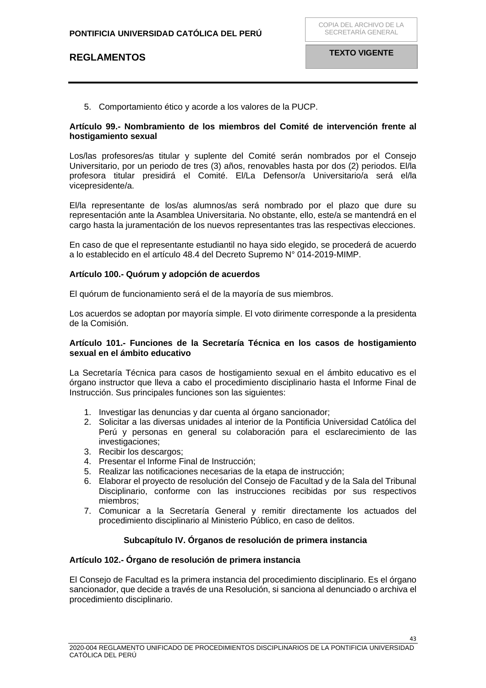5. Comportamiento ético y acorde a los valores de la PUCP.

## <span id="page-42-0"></span>**Artículo 99.- Nombramiento de los miembros del Comité de intervención frente al hostigamiento sexual**

Los/las profesores/as titular y suplente del Comité serán nombrados por el Consejo Universitario, por un periodo de tres (3) años, renovables hasta por dos (2) periodos. El/la profesora titular presidirá el Comité. El/La Defensor/a Universitario/a será el/la vicepresidente/a.

El/la representante de los/as alumnos/as será nombrado por el plazo que dure su representación ante la Asamblea Universitaria. No obstante, ello, este/a se mantendrá en el cargo hasta la juramentación de los nuevos representantes tras las respectivas elecciones.

En caso de que el representante estudiantil no haya sido elegido, se procederá de acuerdo a lo establecido en el artículo 48.4 del Decreto Supremo N° 014-2019-MIMP.

## <span id="page-42-1"></span>**Artículo 100.- Quórum y adopción de acuerdos**

El quórum de funcionamiento será el de la mayoría de sus miembros.

Los acuerdos se adoptan por mayoría simple. El voto dirimente corresponde a la presidenta de la Comisión.

### <span id="page-42-2"></span>**Artículo 101.- Funciones de la Secretaría Técnica en los casos de hostigamiento sexual en el ámbito educativo**

La Secretaría Técnica para casos de hostigamiento sexual en el ámbito educativo es el órgano instructor que lleva a cabo el procedimiento disciplinario hasta el Informe Final de Instrucción. Sus principales funciones son las siguientes:

- 1. Investigar las denuncias y dar cuenta al órgano sancionador;
- 2. Solicitar a las diversas unidades al interior de la Pontificia Universidad Católica del Perú y personas en general su colaboración para el esclarecimiento de las investigaciones;
- 3. Recibir los descargos;
- 4. Presentar el Informe Final de Instrucción;
- 5. Realizar las notificaciones necesarias de la etapa de instrucción;
- 6. Elaborar el proyecto de resolución del Consejo de Facultad y de la Sala del Tribunal Disciplinario, conforme con las instrucciones recibidas por sus respectivos miembros;
- 7. Comunicar a la Secretaría General y remitir directamente los actuados del procedimiento disciplinario al Ministerio Público, en caso de delitos.

## **Subcapítulo IV. Órganos de resolución de primera instancia**

## <span id="page-42-4"></span><span id="page-42-3"></span>**Artículo 102.- Órgano de resolución de primera instancia**

El Consejo de Facultad es la primera instancia del procedimiento disciplinario. Es el órgano sancionador, que decide a través de una Resolución, si sanciona al denunciado o archiva el procedimiento disciplinario.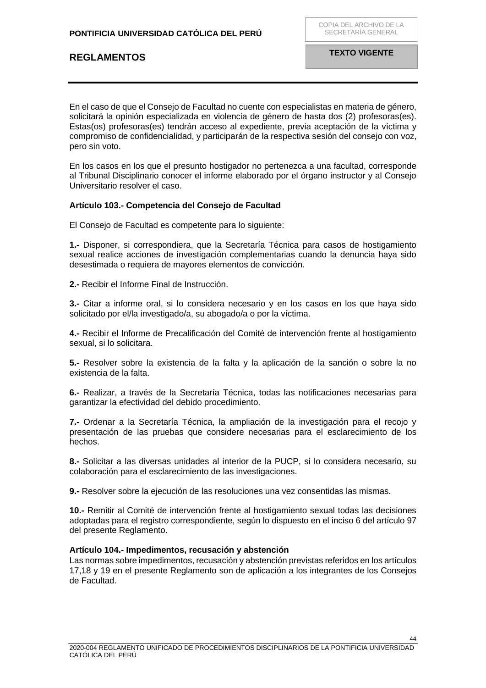En el caso de que el Consejo de Facultad no cuente con especialistas en materia de género, solicitará la opinión especializada en violencia de género de hasta dos (2) profesoras(es). Estas(os) profesoras(es) tendrán acceso al expediente, previa aceptación de la víctima y compromiso de confidencialidad, y participarán de la respectiva sesión del consejo con voz, pero sin voto.

En los casos en los que el presunto hostigador no pertenezca a una facultad, corresponde al Tribunal Disciplinario conocer el informe elaborado por el órgano instructor y al Consejo Universitario resolver el caso.

## <span id="page-43-0"></span>**Artículo 103.- Competencia del Consejo de Facultad**

El Consejo de Facultad es competente para lo siguiente:

**1.-** Disponer, si correspondiera, que la Secretaría Técnica para casos de hostigamiento sexual realice acciones de investigación complementarias cuando la denuncia haya sido desestimada o requiera de mayores elementos de convicción.

**2.-** Recibir el Informe Final de Instrucción.

**3.-** Citar a informe oral, si lo considera necesario y en los casos en los que haya sido solicitado por el/la investigado/a, su abogado/a o por la víctima.

**4.-** Recibir el Informe de Precalificación del Comité de intervención frente al hostigamiento sexual, si lo solicitara.

**5.-** Resolver sobre la existencia de la falta y la aplicación de la sanción o sobre la no existencia de la falta.

**6.-** Realizar, a través de la Secretaría Técnica, todas las notificaciones necesarias para garantizar la efectividad del debido procedimiento.

**7.-** Ordenar a la Secretaría Técnica, la ampliación de la investigación para el recojo y presentación de las pruebas que considere necesarias para el esclarecimiento de los hechos.

**8.-** Solicitar a las diversas unidades al interior de la PUCP, si lo considera necesario, su colaboración para el esclarecimiento de las investigaciones.

**9.-** Resolver sobre la ejecución de las resoluciones una vez consentidas las mismas.

**10.-** Remitir al Comité de intervención frente al hostigamiento sexual todas las decisiones adoptadas para el registro correspondiente, según lo dispuesto en el inciso 6 del artículo 97 del presente Reglamento.

#### <span id="page-43-1"></span>**Artículo 104.- Impedimentos, recusación y abstención**

Las normas sobre impedimentos, recusación y abstención previstas referidos en los artículos 17,18 y 19 en el presente Reglamento son de aplicación a los integrantes de los Consejos de Facultad.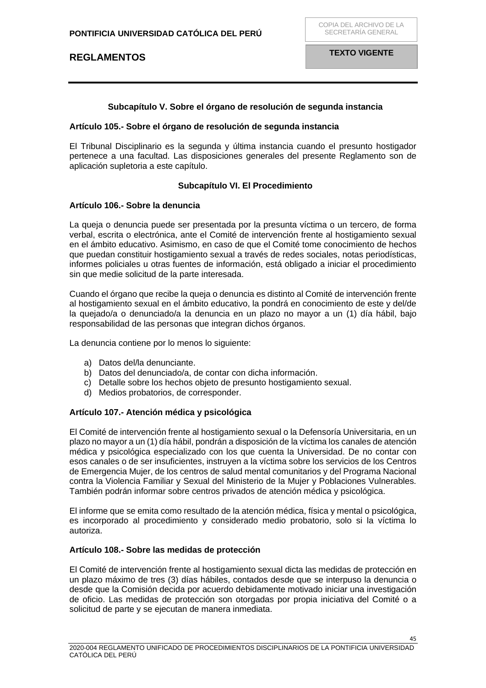## **Subcapítulo V. Sobre el órgano de resolución de segunda instancia**

### <span id="page-44-1"></span><span id="page-44-0"></span>**Artículo 105.- Sobre el órgano de resolución de segunda instancia**

El Tribunal Disciplinario es la segunda y última instancia cuando el presunto hostigador pertenece a una facultad. Las disposiciones generales del presente Reglamento son de aplicación supletoria a este capítulo.

## **Subcapítulo VI. El Procedimiento**

#### <span id="page-44-3"></span><span id="page-44-2"></span>**Artículo 106.- Sobre la denuncia**

La queja o denuncia puede ser presentada por la presunta víctima o un tercero, de forma verbal, escrita o electrónica, ante el Comité de intervención frente al hostigamiento sexual en el ámbito educativo. Asimismo, en caso de que el Comité tome conocimiento de hechos que puedan constituir hostigamiento sexual a través de redes sociales, notas periodísticas, informes policiales u otras fuentes de información, está obligado a iniciar el procedimiento sin que medie solicitud de la parte interesada.

Cuando el órgano que recibe la queja o denuncia es distinto al Comité de intervención frente al hostigamiento sexual en el ámbito educativo, la pondrá en conocimiento de este y del/de la quejado/a o denunciado/a la denuncia en un plazo no mayor a un (1) día hábil, bajo responsabilidad de las personas que integran dichos órganos.

La denuncia contiene por lo menos lo siguiente:

- a) Datos del/la denunciante.
- b) Datos del denunciado/a, de contar con dicha información.
- c) Detalle sobre los hechos objeto de presunto hostigamiento sexual.
- d) Medios probatorios, de corresponder.

## <span id="page-44-4"></span>**Artículo 107.- Atención médica y psicológica**

El Comité de intervención frente al hostigamiento sexual o la Defensoría Universitaria, en un plazo no mayor a un (1) día hábil, pondrán a disposición de la víctima los canales de atención médica y psicológica especializado con los que cuenta la Universidad. De no contar con esos canales o de ser insuficientes, instruyen a la víctima sobre los servicios de los Centros de Emergencia Mujer, de los centros de salud mental comunitarios y del Programa Nacional contra la Violencia Familiar y Sexual del Ministerio de la Mujer y Poblaciones Vulnerables. También podrán informar sobre centros privados de atención médica y psicológica.

El informe que se emita como resultado de la atención médica, física y mental o psicológica, es incorporado al procedimiento y considerado medio probatorio, solo si la víctima lo autoriza.

## <span id="page-44-5"></span>**Artículo 108.- Sobre las medidas de protección**

El Comité de intervención frente al hostigamiento sexual dicta las medidas de protección en un plazo máximo de tres (3) días hábiles, contados desde que se interpuso la denuncia o desde que la Comisión decida por acuerdo debidamente motivado iniciar una investigación de oficio. Las medidas de protección son otorgadas por propia iniciativa del Comité o a solicitud de parte y se ejecutan de manera inmediata.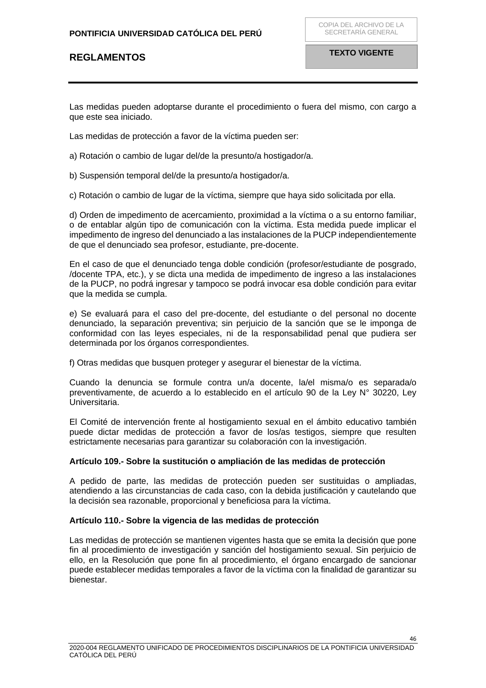## **PONTIFICIA UNIVERSIDAD CATÓLICA DEL PERÚ**

# **REGLAMENTOS**

**TEXTO VIGENTE**

Las medidas pueden adoptarse durante el procedimiento o fuera del mismo, con cargo a que este sea iniciado.

Las medidas de protección a favor de la víctima pueden ser:

a) Rotación o cambio de lugar del/de la presunto/a hostigador/a.

b) Suspensión temporal del/de la presunto/a hostigador/a.

c) Rotación o cambio de lugar de la víctima, siempre que haya sido solicitada por ella.

d) Orden de impedimento de acercamiento, proximidad a la víctima o a su entorno familiar, o de entablar algún tipo de comunicación con la víctima. Esta medida puede implicar el impedimento de ingreso del denunciado a las instalaciones de la PUCP independientemente de que el denunciado sea profesor, estudiante, pre-docente.

En el caso de que el denunciado tenga doble condición (profesor/estudiante de posgrado, /docente TPA, etc.), y se dicta una medida de impedimento de ingreso a las instalaciones de la PUCP, no podrá ingresar y tampoco se podrá invocar esa doble condición para evitar que la medida se cumpla.

e) Se evaluará para el caso del pre-docente, del estudiante o del personal no docente denunciado, la separación preventiva; sin perjuicio de la sanción que se le imponga de conformidad con las leyes especiales, ni de la responsabilidad penal que pudiera ser determinada por los órganos correspondientes.

f) Otras medidas que busquen proteger y asegurar el bienestar de la víctima.

Cuando la denuncia se formule contra un/a docente, la/el misma/o es separada/o preventivamente, de acuerdo a lo establecido en el artículo 90 de la Ley N° 30220, Ley Universitaria.

El Comité de intervención frente al hostigamiento sexual en el ámbito educativo también puede dictar medidas de protección a favor de los/as testigos, siempre que resulten estrictamente necesarias para garantizar su colaboración con la investigación.

## <span id="page-45-0"></span>**Artículo 109.- Sobre la sustitución o ampliación de las medidas de protección**

A pedido de parte, las medidas de protección pueden ser sustituidas o ampliadas, atendiendo a las circunstancias de cada caso, con la debida justificación y cautelando que la decisión sea razonable, proporcional y beneficiosa para la víctima.

## <span id="page-45-1"></span>**Artículo 110.- Sobre la vigencia de las medidas de protección**

Las medidas de protección se mantienen vigentes hasta que se emita la decisión que pone fin al procedimiento de investigación y sanción del hostigamiento sexual. Sin perjuicio de ello, en la Resolución que pone fin al procedimiento, el órgano encargado de sancionar puede establecer medidas temporales a favor de la víctima con la finalidad de garantizar su bienestar.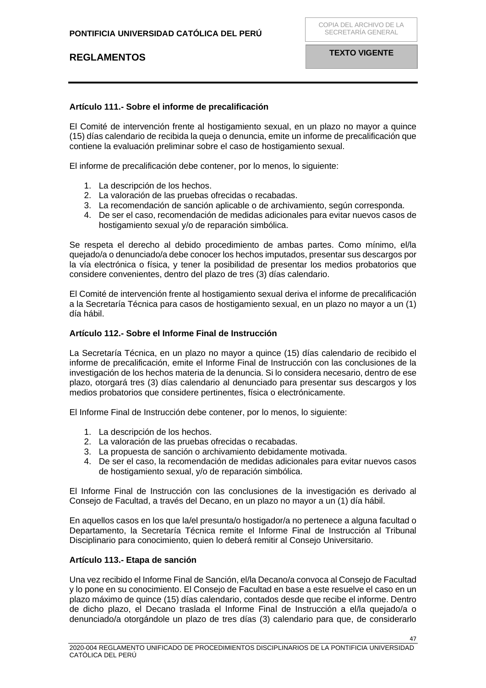## <span id="page-46-0"></span>**Artículo 111.- Sobre el informe de precalificación**

El Comité de intervención frente al hostigamiento sexual, en un plazo no mayor a quince (15) días calendario de recibida la queja o denuncia, emite un informe de precalificación que contiene la evaluación preliminar sobre el caso de hostigamiento sexual.

El informe de precalificación debe contener, por lo menos, lo siguiente:

- 1. La descripción de los hechos.
- 2. La valoración de las pruebas ofrecidas o recabadas.
- 3. La recomendación de sanción aplicable o de archivamiento, según corresponda.
- 4. De ser el caso, recomendación de medidas adicionales para evitar nuevos casos de hostigamiento sexual y/o de reparación simbólica.

Se respeta el derecho al debido procedimiento de ambas partes. Como mínimo, el/la quejado/a o denunciado/a debe conocer los hechos imputados, presentar sus descargos por la vía electrónica o física, y tener la posibilidad de presentar los medios probatorios que considere convenientes, dentro del plazo de tres (3) días calendario.

El Comité de intervención frente al hostigamiento sexual deriva el informe de precalificación a la Secretaría Técnica para casos de hostigamiento sexual, en un plazo no mayor a un (1) día hábil.

### <span id="page-46-1"></span>**Artículo 112.- Sobre el Informe Final de Instrucción**

La Secretaría Técnica, en un plazo no mayor a quince (15) días calendario de recibido el informe de precalificación, emite el Informe Final de Instrucción con las conclusiones de la investigación de los hechos materia de la denuncia. Si lo considera necesario, dentro de ese plazo, otorgará tres (3) días calendario al denunciado para presentar sus descargos y los medios probatorios que considere pertinentes, física o electrónicamente.

El Informe Final de Instrucción debe contener, por lo menos, lo siguiente:

- 1. La descripción de los hechos.
- 2. La valoración de las pruebas ofrecidas o recabadas.
- 3. La propuesta de sanción o archivamiento debidamente motivada.
- 4. De ser el caso, la recomendación de medidas adicionales para evitar nuevos casos de hostigamiento sexual, y/o de reparación simbólica.

El Informe Final de Instrucción con las conclusiones de la investigación es derivado al Consejo de Facultad, a través del Decano, en un plazo no mayor a un (1) día hábil.

En aquellos casos en los que la/el presunta/o hostigador/a no pertenece a alguna facultad o Departamento, la Secretaría Técnica remite el Informe Final de Instrucción al Tribunal Disciplinario para conocimiento, quien lo deberá remitir al Consejo Universitario.

## <span id="page-46-2"></span>**Artículo 113.- Etapa de sanción**

Una vez recibido el Informe Final de Sanción, el/la Decano/a convoca al Consejo de Facultad y lo pone en su conocimiento. El Consejo de Facultad en base a este resuelve el caso en un plazo máximo de quince (15) días calendario, contados desde que recibe el informe. Dentro de dicho plazo, el Decano traslada el Informe Final de Instrucción a el/la quejado/a o denunciado/a otorgándole un plazo de tres días (3) calendario para que, de considerarlo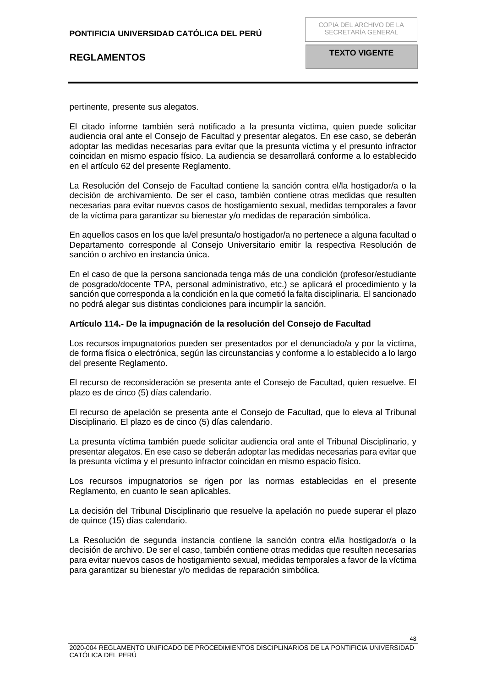pertinente, presente sus alegatos.

El citado informe también será notificado a la presunta víctima, quien puede solicitar audiencia oral ante el Consejo de Facultad y presentar alegatos. En ese caso, se deberán adoptar las medidas necesarias para evitar que la presunta víctima y el presunto infractor coincidan en mismo espacio físico. La audiencia se desarrollará conforme a lo establecido en el artículo 62 del presente Reglamento.

La Resolución del Consejo de Facultad contiene la sanción contra el/la hostigador/a o la decisión de archivamiento. De ser el caso, también contiene otras medidas que resulten necesarias para evitar nuevos casos de hostigamiento sexual, medidas temporales a favor de la víctima para garantizar su bienestar y/o medidas de reparación simbólica.

En aquellos casos en los que la/el presunta/o hostigador/a no pertenece a alguna facultad o Departamento corresponde al Consejo Universitario emitir la respectiva Resolución de sanción o archivo en instancia única.

En el caso de que la persona sancionada tenga más de una condición (profesor/estudiante de posgrado/docente TPA, personal administrativo, etc.) se aplicará el procedimiento y la sanción que corresponda a la condición en la que cometió la falta disciplinaria. El sancionado no podrá alegar sus distintas condiciones para incumplir la sanción.

#### <span id="page-47-0"></span>**Artículo 114.- De la impugnación de la resolución del Consejo de Facultad**

Los recursos impugnatorios pueden ser presentados por el denunciado/a y por la víctima, de forma física o electrónica, según las circunstancias y conforme a lo establecido a lo largo del presente Reglamento.

El recurso de reconsideración se presenta ante el Consejo de Facultad, quien resuelve. El plazo es de cinco (5) días calendario.

El recurso de apelación se presenta ante el Consejo de Facultad, que lo eleva al Tribunal Disciplinario. El plazo es de cinco (5) días calendario.

La presunta víctima también puede solicitar audiencia oral ante el Tribunal Disciplinario, y presentar alegatos. En ese caso se deberán adoptar las medidas necesarias para evitar que la presunta víctima y el presunto infractor coincidan en mismo espacio físico.

Los recursos impugnatorios se rigen por las normas establecidas en el presente Reglamento, en cuanto le sean aplicables.

La decisión del Tribunal Disciplinario que resuelve la apelación no puede superar el plazo de quince (15) días calendario.

La Resolución de segunda instancia contiene la sanción contra el/la hostigador/a o la decisión de archivo. De ser el caso, también contiene otras medidas que resulten necesarias para evitar nuevos casos de hostigamiento sexual, medidas temporales a favor de la víctima para garantizar su bienestar y/o medidas de reparación simbólica.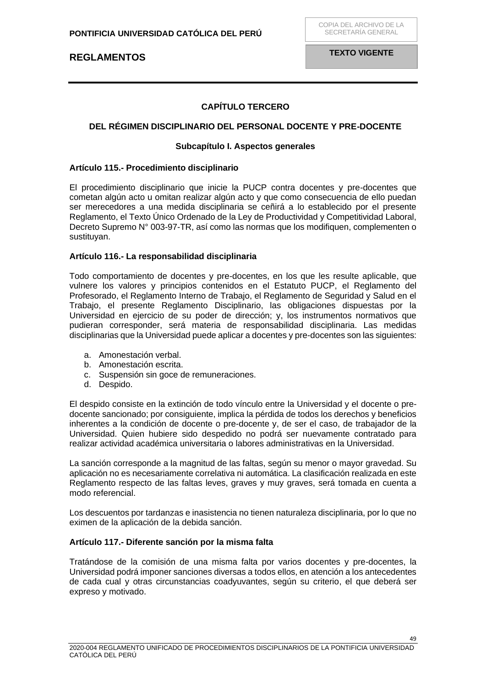**TEXTO VIGENTE**

## **CAPÍTULO TERCERO**

## <span id="page-48-1"></span><span id="page-48-0"></span>**DEL RÉGIMEN DISCIPLINARIO DEL PERSONAL DOCENTE Y PRE-DOCENTE**

### **Subcapítulo I. Aspectos generales**

#### <span id="page-48-3"></span><span id="page-48-2"></span>**Artículo 115.- Procedimiento disciplinario**

El procedimiento disciplinario que inicie la PUCP contra docentes y pre-docentes que cometan algún acto u omitan realizar algún acto y que como consecuencia de ello puedan ser merecedores a una medida disciplinaria se ceñirá a lo establecido por el presente Reglamento, el Texto Único Ordenado de la Ley de Productividad y Competitividad Laboral, Decreto Supremo N° 003-97-TR, así como las normas que los modifiquen, complementen o sustituyan.

#### <span id="page-48-4"></span>**Artículo 116.- La responsabilidad disciplinaria**

Todo comportamiento de docentes y pre-docentes, en los que les resulte aplicable, que vulnere los valores y principios contenidos en el Estatuto PUCP, el Reglamento del Profesorado, el Reglamento Interno de Trabajo, el Reglamento de Seguridad y Salud en el Trabajo, el presente Reglamento Disciplinario, las obligaciones dispuestas por la Universidad en ejercicio de su poder de dirección; y, los instrumentos normativos que pudieran corresponder, será materia de responsabilidad disciplinaria. Las medidas disciplinarias que la Universidad puede aplicar a docentes y pre-docentes son las siguientes:

- a. Amonestación verbal.
- b. Amonestación escrita.
- c. Suspensión sin goce de remuneraciones.
- d. Despido.

El despido consiste en la extinción de todo vínculo entre la Universidad y el docente o predocente sancionado; por consiguiente, implica la pérdida de todos los derechos y beneficios inherentes a la condición de docente o pre-docente y, de ser el caso, de trabajador de la Universidad. Quien hubiere sido despedido no podrá ser nuevamente contratado para realizar actividad académica universitaria o labores administrativas en la Universidad.

La sanción corresponde a la magnitud de las faltas, según su menor o mayor gravedad. Su aplicación no es necesariamente correlativa ni automática. La clasificación realizada en este Reglamento respecto de las faltas leves, graves y muy graves, será tomada en cuenta a modo referencial.

Los descuentos por tardanzas e inasistencia no tienen naturaleza disciplinaria, por lo que no eximen de la aplicación de la debida sanción.

## <span id="page-48-5"></span>**Artículo 117.- Diferente sanción por la misma falta**

Tratándose de la comisión de una misma falta por varios docentes y pre-docentes, la Universidad podrá imponer sanciones diversas a todos ellos, en atención a los antecedentes de cada cual y otras circunstancias coadyuvantes, según su criterio, el que deberá ser expreso y motivado.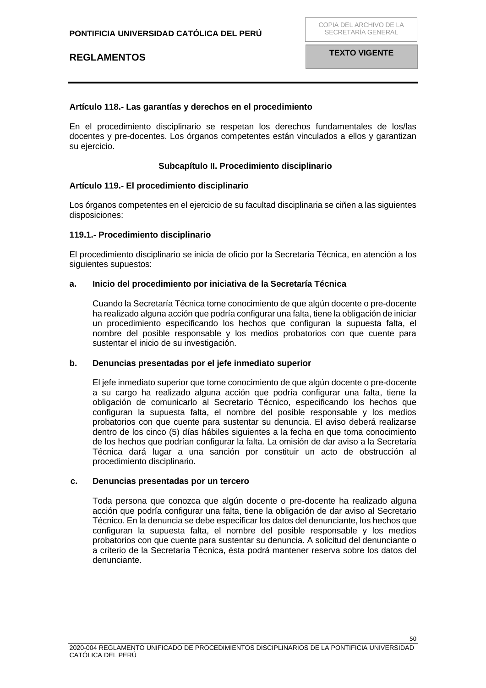## <span id="page-49-0"></span>**Artículo 118.- Las garantías y derechos en el procedimiento**

En el procedimiento disciplinario se respetan los derechos fundamentales de los/las docentes y pre-docentes. Los órganos competentes están vinculados a ellos y garantizan su ejercicio.

### **Subcapítulo II. Procedimiento disciplinario**

## <span id="page-49-2"></span><span id="page-49-1"></span>**Artículo 119.- El procedimiento disciplinario**

Los órganos competentes en el ejercicio de su facultad disciplinaria se ciñen a las siguientes disposiciones:

#### **119.1.- Procedimiento disciplinario**

El procedimiento disciplinario se inicia de oficio por la Secretaría Técnica, en atención a los siguientes supuestos:

#### **a. Inicio del procedimiento por iniciativa de la Secretaría Técnica**

Cuando la Secretaría Técnica tome conocimiento de que algún docente o pre-docente ha realizado alguna acción que podría configurar una falta, tiene la obligación de iniciar un procedimiento especificando los hechos que configuran la supuesta falta, el nombre del posible responsable y los medios probatorios con que cuente para sustentar el inicio de su investigación.

#### **b. Denuncias presentadas por el jefe inmediato superior**

El jefe inmediato superior que tome conocimiento de que algún docente o pre-docente a su cargo ha realizado alguna acción que podría configurar una falta, tiene la obligación de comunicarlo al Secretario Técnico, especificando los hechos que configuran la supuesta falta, el nombre del posible responsable y los medios probatorios con que cuente para sustentar su denuncia. El aviso deberá realizarse dentro de los cinco (5) días hábiles siguientes a la fecha en que toma conocimiento de los hechos que podrían configurar la falta. La omisión de dar aviso a la Secretaría Técnica dará lugar a una sanción por constituir un acto de obstrucción al procedimiento disciplinario.

#### **c. Denuncias presentadas por un tercero**

Toda persona que conozca que algún docente o pre-docente ha realizado alguna acción que podría configurar una falta, tiene la obligación de dar aviso al Secretario Técnico. En la denuncia se debe especificar los datos del denunciante, los hechos que configuran la supuesta falta, el nombre del posible responsable y los medios probatorios con que cuente para sustentar su denuncia. A solicitud del denunciante o a criterio de la Secretaría Técnica, ésta podrá mantener reserva sobre los datos del denunciante.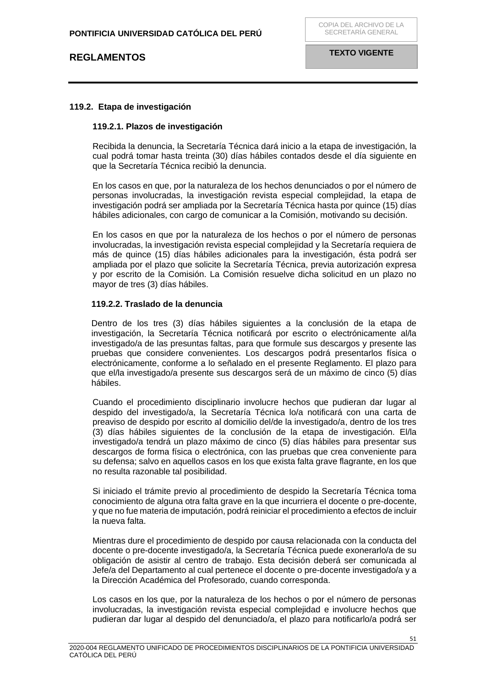## **119.2. Etapa de investigación**

### **119.2.1. Plazos de investigación**

Recibida la denuncia, la Secretaría Técnica dará inicio a la etapa de investigación, la cual podrá tomar hasta treinta (30) días hábiles contados desde el día siguiente en que la Secretaría Técnica recibió la denuncia.

En los casos en que, por la naturaleza de los hechos denunciados o por el número de personas involucradas, la investigación revista especial complejidad, la etapa de investigación podrá ser ampliada por la Secretaría Técnica hasta por quince (15) días hábiles adicionales, con cargo de comunicar a la Comisión, motivando su decisión.

En los casos en que por la naturaleza de los hechos o por el número de personas involucradas, la investigación revista especial complejidad y la Secretaría requiera de más de quince (15) días hábiles adicionales para la investigación, ésta podrá ser ampliada por el plazo que solicite la Secretaría Técnica, previa autorización expresa y por escrito de la Comisión. La Comisión resuelve dicha solicitud en un plazo no mayor de tres (3) días hábiles.

## **119.2.2. Traslado de la denuncia**

Dentro de los tres (3) días hábiles siguientes a la conclusión de la etapa de investigación, la Secretaría Técnica notificará por escrito o electrónicamente al/la investigado/a de las presuntas faltas, para que formule sus descargos y presente las pruebas que considere convenientes. Los descargos podrá presentarlos física o electrónicamente, conforme a lo señalado en el presente Reglamento. El plazo para que el/la investigado/a presente sus descargos será de un máximo de cinco (5) días hábiles.

Cuando el procedimiento disciplinario involucre hechos que pudieran dar lugar al despido del investigado/a, la Secretaría Técnica lo/a notificará con una carta de preaviso de despido por escrito al domicilio del/de la investigado/a, dentro de los tres (3) días hábiles siguientes de la conclusión de la etapa de investigación. El/la investigado/a tendrá un plazo máximo de cinco (5) días hábiles para presentar sus descargos de forma física o electrónica, con las pruebas que crea conveniente para su defensa; salvo en aquellos casos en los que exista falta grave flagrante, en los que no resulta razonable tal posibilidad.

Si iniciado el trámite previo al procedimiento de despido la Secretaría Técnica toma conocimiento de alguna otra falta grave en la que incurriera el docente o pre-docente, y que no fue materia de imputación, podrá reiniciar el procedimiento a efectos de incluir la nueva falta.

Mientras dure el procedimiento de despido por causa relacionada con la conducta del docente o pre-docente investigado/a, la Secretaría Técnica puede exonerarlo/a de su obligación de asistir al centro de trabajo. Esta decisión deberá ser comunicada al Jefe/a del Departamento al cual pertenece el docente o pre-docente investigado/a y a la Dirección Académica del Profesorado, cuando corresponda.

Los casos en los que, por la naturaleza de los hechos o por el número de personas involucradas, la investigación revista especial complejidad e involucre hechos que pudieran dar lugar al despido del denunciado/a, el plazo para notificarlo/a podrá ser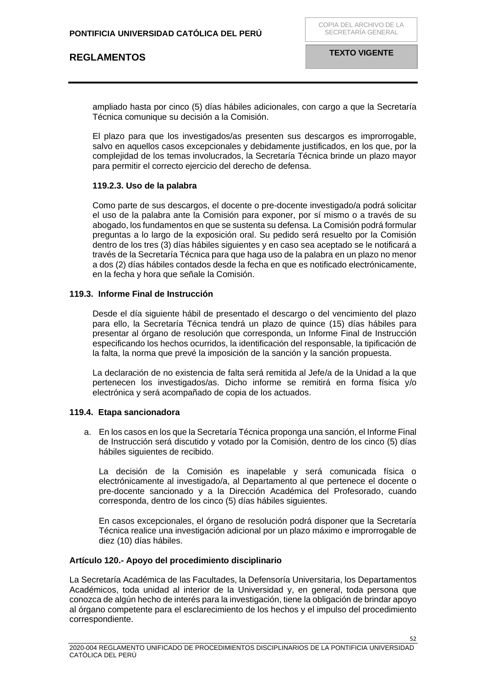ampliado hasta por cinco (5) días hábiles adicionales, con cargo a que la Secretaría Técnica comunique su decisión a la Comisión.

El plazo para que los investigados/as presenten sus descargos es improrrogable, salvo en aquellos casos excepcionales y debidamente justificados, en los que, por la complejidad de los temas involucrados, la Secretaría Técnica brinde un plazo mayor para permitir el correcto ejercicio del derecho de defensa.

## **119.2.3. Uso de la palabra**

Como parte de sus descargos, el docente o pre-docente investigado/a podrá solicitar el uso de la palabra ante la Comisión para exponer, por sí mismo o a través de su abogado, los fundamentos en que se sustenta su defensa. La Comisión podrá formular preguntas a lo largo de la exposición oral. Su pedido será resuelto por la Comisión dentro de los tres (3) días hábiles siguientes y en caso sea aceptado se le notificará a través de la Secretaría Técnica para que haga uso de la palabra en un plazo no menor a dos (2) días hábiles contados desde la fecha en que es notificado electrónicamente, en la fecha y hora que señale la Comisión.

## **119.3. Informe Final de Instrucción**

Desde el día siguiente hábil de presentado el descargo o del vencimiento del plazo para ello, la Secretaría Técnica tendrá un plazo de quince (15) días hábiles para presentar al órgano de resolución que corresponda, un Informe Final de Instrucción especificando los hechos ocurridos, la identificación del responsable, la tipificación de la falta, la norma que prevé la imposición de la sanción y la sanción propuesta.

La declaración de no existencia de falta será remitida al Jefe/a de la Unidad a la que pertenecen los investigados/as. Dicho informe se remitirá en forma física y/o electrónica y será acompañado de copia de los actuados.

## **119.4. Etapa sancionadora**

a. En los casos en los que la Secretaría Técnica proponga una sanción, el Informe Final de Instrucción será discutido y votado por la Comisión, dentro de los cinco (5) días hábiles siguientes de recibido.

La decisión de la Comisión es inapelable y será comunicada física o electrónicamente al investigado/a, al Departamento al que pertenece el docente o pre-docente sancionado y a la Dirección Académica del Profesorado, cuando corresponda, dentro de los cinco (5) días hábiles siguientes.

En casos excepcionales, el órgano de resolución podrá disponer que la Secretaría Técnica realice una investigación adicional por un plazo máximo e improrrogable de diez (10) días hábiles.

## <span id="page-51-0"></span>**Artículo 120.- Apoyo del procedimiento disciplinario**

La Secretaría Académica de las Facultades, la Defensoría Universitaria, los Departamentos Académicos, toda unidad al interior de la Universidad y, en general, toda persona que conozca de algún hecho de interés para la investigación, tiene la obligación de brindar apoyo al órgano competente para el esclarecimiento de los hechos y el impulso del procedimiento correspondiente.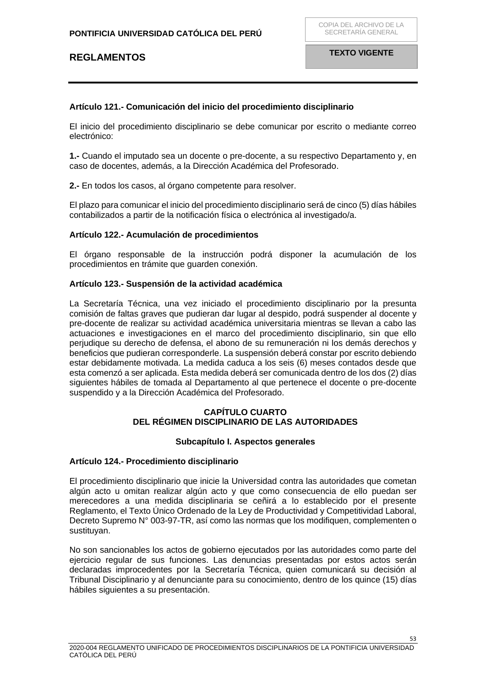## <span id="page-52-0"></span>**Artículo 121.- Comunicación del inicio del procedimiento disciplinario**

El inicio del procedimiento disciplinario se debe comunicar por escrito o mediante correo electrónico:

**1.-** Cuando el imputado sea un docente o pre-docente, a su respectivo Departamento y, en caso de docentes, además, a la Dirección Académica del Profesorado.

**2.-** En todos los casos, al órgano competente para resolver.

El plazo para comunicar el inicio del procedimiento disciplinario será de cinco (5) días hábiles contabilizados a partir de la notificación física o electrónica al investigado/a.

## <span id="page-52-1"></span>**Artículo 122.- Acumulación de procedimientos**

El órgano responsable de la instrucción podrá disponer la acumulación de los procedimientos en trámite que guarden conexión.

#### <span id="page-52-2"></span>**Artículo 123.- Suspensión de la actividad académica**

La Secretaría Técnica, una vez iniciado el procedimiento disciplinario por la presunta comisión de faltas graves que pudieran dar lugar al despido, podrá suspender al docente y pre-docente de realizar su actividad académica universitaria mientras se llevan a cabo las actuaciones e investigaciones en el marco del procedimiento disciplinario, sin que ello perjudique su derecho de defensa, el abono de su remuneración ni los demás derechos y beneficios que pudieran corresponderle. La suspensión deberá constar por escrito debiendo estar debidamente motivada. La medida caduca a los seis (6) meses contados desde que esta comenzó a ser aplicada. Esta medida deberá ser comunicada dentro de los dos (2) días siguientes hábiles de tomada al Departamento al que pertenece el docente o pre-docente suspendido y a la Dirección Académica del Profesorado.

## **CAPÍTULO CUARTO DEL RÉGIMEN DISCIPLINARIO DE LAS AUTORIDADES**

#### **Subcapítulo I. Aspectos generales**

## <span id="page-52-6"></span><span id="page-52-5"></span><span id="page-52-4"></span><span id="page-52-3"></span>**Artículo 124.- Procedimiento disciplinario**

El procedimiento disciplinario que inicie la Universidad contra las autoridades que cometan algún acto u omitan realizar algún acto y que como consecuencia de ello puedan ser merecedores a una medida disciplinaria se ceñirá a lo establecido por el presente Reglamento, el Texto Único Ordenado de la Ley de Productividad y Competitividad Laboral, Decreto Supremo N° 003-97-TR, así como las normas que los modifiquen, complementen o sustituyan.

No son sancionables los actos de gobierno ejecutados por las autoridades como parte del ejercicio regular de sus funciones. Las denuncias presentadas por estos actos serán declaradas improcedentes por la Secretaría Técnica, quien comunicará su decisión al Tribunal Disciplinario y al denunciante para su conocimiento, dentro de los quince (15) días hábiles siguientes a su presentación.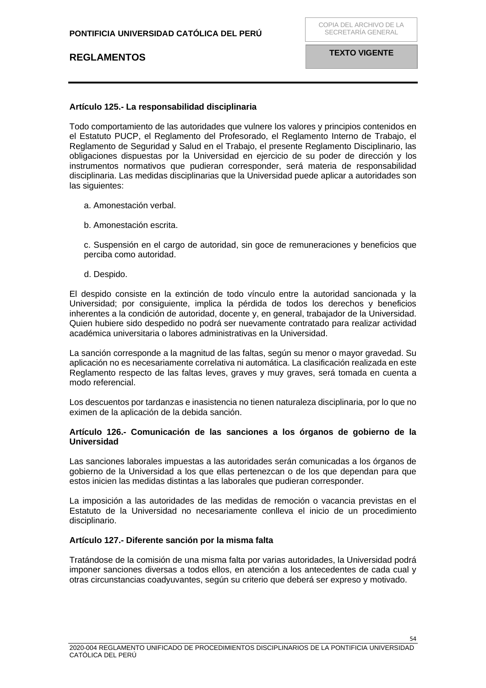## <span id="page-53-0"></span>**Artículo 125.- La responsabilidad disciplinaria**

Todo comportamiento de las autoridades que vulnere los valores y principios contenidos en el Estatuto PUCP, el Reglamento del Profesorado, el Reglamento Interno de Trabajo, el Reglamento de Seguridad y Salud en el Trabajo, el presente Reglamento Disciplinario, las obligaciones dispuestas por la Universidad en ejercicio de su poder de dirección y los instrumentos normativos que pudieran corresponder, será materia de responsabilidad disciplinaria. Las medidas disciplinarias que la Universidad puede aplicar a autoridades son las siguientes:

- a. Amonestación verbal.
- b. Amonestación escrita.

c. Suspensión en el cargo de autoridad, sin goce de remuneraciones y beneficios que perciba como autoridad.

d. Despido.

El despido consiste en la extinción de todo vínculo entre la autoridad sancionada y la Universidad; por consiguiente, implica la pérdida de todos los derechos y beneficios inherentes a la condición de autoridad, docente y, en general, trabajador de la Universidad. Quien hubiere sido despedido no podrá ser nuevamente contratado para realizar actividad académica universitaria o labores administrativas en la Universidad.

La sanción corresponde a la magnitud de las faltas, según su menor o mayor gravedad. Su aplicación no es necesariamente correlativa ni automática. La clasificación realizada en este Reglamento respecto de las faltas leves, graves y muy graves, será tomada en cuenta a modo referencial.

Los descuentos por tardanzas e inasistencia no tienen naturaleza disciplinaria, por lo que no eximen de la aplicación de la debida sanción.

## <span id="page-53-1"></span>**Artículo 126.- Comunicación de las sanciones a los órganos de gobierno de la Universidad**

Las sanciones laborales impuestas a las autoridades serán comunicadas a los órganos de gobierno de la Universidad a los que ellas pertenezcan o de los que dependan para que estos inicien las medidas distintas a las laborales que pudieran corresponder.

La imposición a las autoridades de las medidas de remoción o vacancia previstas en el Estatuto de la Universidad no necesariamente conlleva el inicio de un procedimiento disciplinario.

## <span id="page-53-2"></span>**Artículo 127.- Diferente sanción por la misma falta**

Tratándose de la comisión de una misma falta por varias autoridades, la Universidad podrá imponer sanciones diversas a todos ellos, en atención a los antecedentes de cada cual y otras circunstancias coadyuvantes, según su criterio que deberá ser expreso y motivado.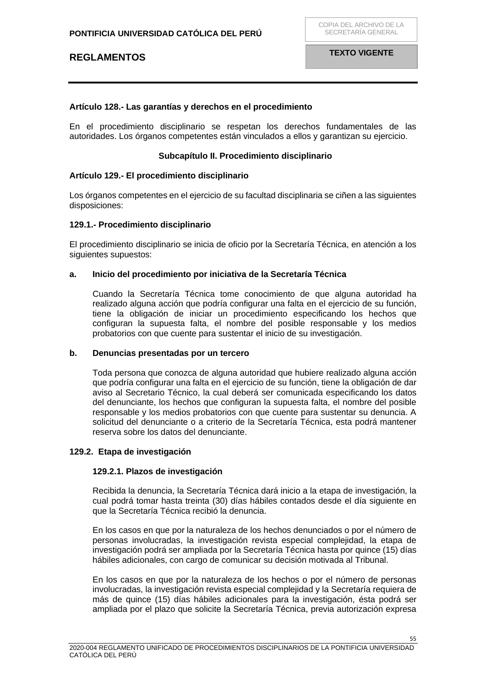## <span id="page-54-0"></span>**Artículo 128.- Las garantías y derechos en el procedimiento**

En el procedimiento disciplinario se respetan los derechos fundamentales de las autoridades. Los órganos competentes están vinculados a ellos y garantizan su ejercicio.

### **Subcapítulo II. Procedimiento disciplinario**

### <span id="page-54-2"></span><span id="page-54-1"></span>**Artículo 129.- El procedimiento disciplinario**

Los órganos competentes en el ejercicio de su facultad disciplinaria se ciñen a las siguientes disposiciones:

#### **129.1.- Procedimiento disciplinario**

El procedimiento disciplinario se inicia de oficio por la Secretaría Técnica, en atención a los siguientes supuestos:

#### **a. Inicio del procedimiento por iniciativa de la Secretaría Técnica**

Cuando la Secretaría Técnica tome conocimiento de que alguna autoridad ha realizado alguna acción que podría configurar una falta en el ejercicio de su función, tiene la obligación de iniciar un procedimiento especificando los hechos que configuran la supuesta falta, el nombre del posible responsable y los medios probatorios con que cuente para sustentar el inicio de su investigación.

#### **b. Denuncias presentadas por un tercero**

Toda persona que conozca de alguna autoridad que hubiere realizado alguna acción que podría configurar una falta en el ejercicio de su función, tiene la obligación de dar aviso al Secretario Técnico, la cual deberá ser comunicada especificando los datos del denunciante, los hechos que configuran la supuesta falta, el nombre del posible responsable y los medios probatorios con que cuente para sustentar su denuncia. A solicitud del denunciante o a criterio de la Secretaría Técnica, esta podrá mantener reserva sobre los datos del denunciante.

#### **129.2. Etapa de investigación**

## **129.2.1. Plazos de investigación**

Recibida la denuncia, la Secretaría Técnica dará inicio a la etapa de investigación, la cual podrá tomar hasta treinta (30) días hábiles contados desde el día siguiente en que la Secretaría Técnica recibió la denuncia.

En los casos en que por la naturaleza de los hechos denunciados o por el número de personas involucradas, la investigación revista especial complejidad, la etapa de investigación podrá ser ampliada por la Secretaría Técnica hasta por quince (15) días hábiles adicionales, con cargo de comunicar su decisión motivada al Tribunal.

En los casos en que por la naturaleza de los hechos o por el número de personas involucradas, la investigación revista especial complejidad y la Secretaría requiera de más de quince (15) días hábiles adicionales para la investigación, ésta podrá ser ampliada por el plazo que solicite la Secretaría Técnica, previa autorización expresa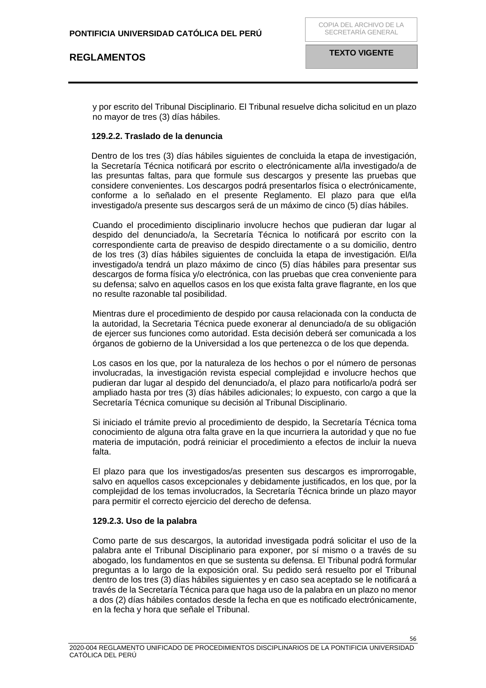y por escrito del Tribunal Disciplinario. El Tribunal resuelve dicha solicitud en un plazo no mayor de tres (3) días hábiles.

## **129.2.2. Traslado de la denuncia**

Dentro de los tres (3) días hábiles siguientes de concluida la etapa de investigación, la Secretaría Técnica notificará por escrito o electrónicamente al/la investigado/a de las presuntas faltas, para que formule sus descargos y presente las pruebas que considere convenientes. Los descargos podrá presentarlos física o electrónicamente, conforme a lo señalado en el presente Reglamento. El plazo para que el/la investigado/a presente sus descargos será de un máximo de cinco (5) días hábiles.

Cuando el procedimiento disciplinario involucre hechos que pudieran dar lugar al despido del denunciado/a, la Secretaría Técnica lo notificará por escrito con la correspondiente carta de preaviso de despido directamente o a su domicilio, dentro de los tres (3) días hábiles siguientes de concluida la etapa de investigación. El/la investigado/a tendrá un plazo máximo de cinco (5) días hábiles para presentar sus descargos de forma física y/o electrónica, con las pruebas que crea conveniente para su defensa; salvo en aquellos casos en los que exista falta grave flagrante, en los que no resulte razonable tal posibilidad.

Mientras dure el procedimiento de despido por causa relacionada con la conducta de la autoridad, la Secretaria Técnica puede exonerar al denunciado/a de su obligación de ejercer sus funciones como autoridad. Esta decisión deberá ser comunicada a los órganos de gobierno de la Universidad a los que pertenezca o de los que dependa.

Los casos en los que, por la naturaleza de los hechos o por el número de personas involucradas, la investigación revista especial complejidad e involucre hechos que pudieran dar lugar al despido del denunciado/a, el plazo para notificarlo/a podrá ser ampliado hasta por tres (3) días hábiles adicionales; lo expuesto, con cargo a que la Secretaría Técnica comunique su decisión al Tribunal Disciplinario.

Si iniciado el trámite previo al procedimiento de despido, la Secretaría Técnica toma conocimiento de alguna otra falta grave en la que incurriera la autoridad y que no fue materia de imputación, podrá reiniciar el procedimiento a efectos de incluir la nueva falta.

El plazo para que los investigados/as presenten sus descargos es improrrogable, salvo en aquellos casos excepcionales y debidamente justificados, en los que, por la complejidad de los temas involucrados, la Secretaría Técnica brinde un plazo mayor para permitir el correcto ejercicio del derecho de defensa.

## **129.2.3. Uso de la palabra**

Como parte de sus descargos, la autoridad investigada podrá solicitar el uso de la palabra ante el Tribunal Disciplinario para exponer, por sí mismo o a través de su abogado, los fundamentos en que se sustenta su defensa. El Tribunal podrá formular preguntas a lo largo de la exposición oral. Su pedido será resuelto por el Tribunal dentro de los tres (3) días hábiles siguientes y en caso sea aceptado se le notificará a través de la Secretaría Técnica para que haga uso de la palabra en un plazo no menor a dos (2) días hábiles contados desde la fecha en que es notificado electrónicamente, en la fecha y hora que señale el Tribunal.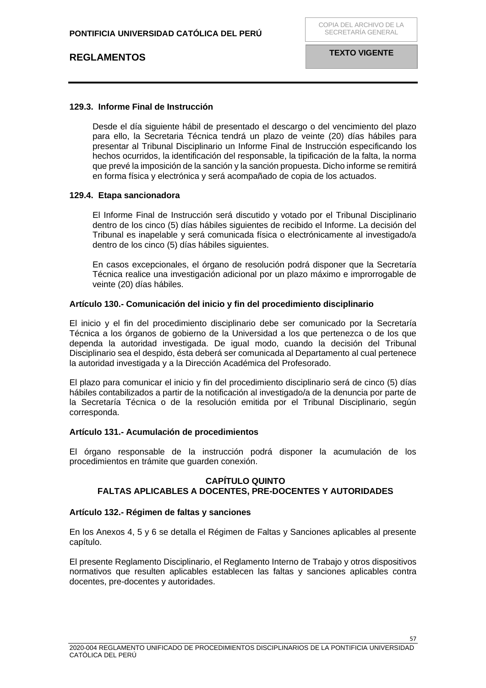## **129.3. Informe Final de Instrucción**

Desde el día siguiente hábil de presentado el descargo o del vencimiento del plazo para ello, la Secretaria Técnica tendrá un plazo de veinte (20) días hábiles para presentar al Tribunal Disciplinario un Informe Final de Instrucción especificando los hechos ocurridos, la identificación del responsable, la tipificación de la falta, la norma que prevé la imposición de la sanción y la sanción propuesta. Dicho informe se remitirá en forma física y electrónica y será acompañado de copia de los actuados.

## **129.4. Etapa sancionadora**

El Informe Final de Instrucción será discutido y votado por el Tribunal Disciplinario dentro de los cinco (5) días hábiles siguientes de recibido el Informe. La decisión del Tribunal es inapelable y será comunicada física o electrónicamente al investigado/a dentro de los cinco (5) días hábiles siguientes.

En casos excepcionales, el órgano de resolución podrá disponer que la Secretaría Técnica realice una investigación adicional por un plazo máximo e improrrogable de veinte (20) días hábiles.

## <span id="page-56-0"></span>**Artículo 130.- Comunicación del inicio y fin del procedimiento disciplinario**

El inicio y el fin del procedimiento disciplinario debe ser comunicado por la Secretaría Técnica a los órganos de gobierno de la Universidad a los que pertenezca o de los que dependa la autoridad investigada. De igual modo, cuando la decisión del Tribunal Disciplinario sea el despido, ésta deberá ser comunicada al Departamento al cual pertenece la autoridad investigada y a la Dirección Académica del Profesorado.

El plazo para comunicar el inicio y fin del procedimiento disciplinario será de cinco (5) días hábiles contabilizados a partir de la notificación al investigado/a de la denuncia por parte de la Secretaría Técnica o de la resolución emitida por el Tribunal Disciplinario, según corresponda.

## <span id="page-56-1"></span>**Artículo 131.- Acumulación de procedimientos**

<span id="page-56-2"></span>El órgano responsable de la instrucción podrá disponer la acumulación de los procedimientos en trámite que guarden conexión.

## **CAPÍTULO QUINTO FALTAS APLICABLES A DOCENTES, PRE-DOCENTES Y AUTORIDADES**

## <span id="page-56-4"></span><span id="page-56-3"></span>**Artículo 132.- Régimen de faltas y sanciones**

En los Anexos 4, 5 y 6 se detalla el Régimen de Faltas y Sanciones aplicables al presente capítulo.

El presente Reglamento Disciplinario, el Reglamento Interno de Trabajo y otros dispositivos normativos que resulten aplicables establecen las faltas y sanciones aplicables contra docentes, pre-docentes y autoridades.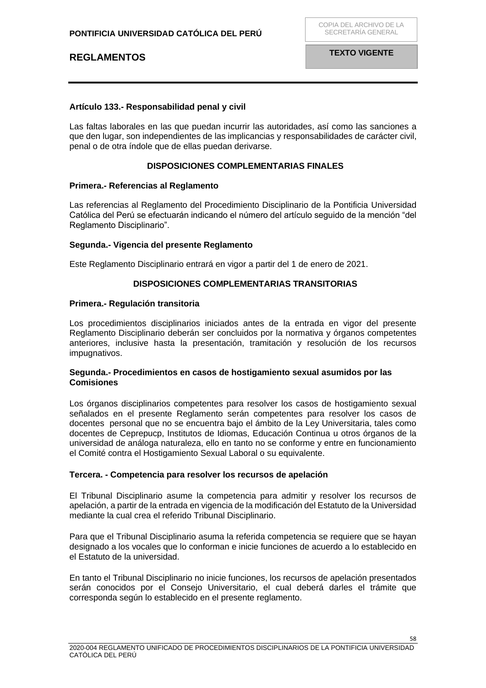## <span id="page-57-0"></span>**Artículo 133.- Responsabilidad penal y civil**

Las faltas laborales en las que puedan incurrir las autoridades, así como las sanciones a que den lugar, son independientes de las implicancias y responsabilidades de carácter civil, penal o de otra índole que de ellas puedan derivarse.

## **DISPOSICIONES COMPLEMENTARIAS FINALES**

#### <span id="page-57-2"></span><span id="page-57-1"></span>**Primera.- Referencias al Reglamento**

Las referencias al Reglamento del Procedimiento Disciplinario de la Pontificia Universidad Católica del Perú se efectuarán indicando el número del artículo seguido de la mención "del Reglamento Disciplinario".

## <span id="page-57-3"></span>**Segunda.- Vigencia del presente Reglamento**

<span id="page-57-4"></span>Este Reglamento Disciplinario entrará en vigor a partir del 1 de enero de 2021.

#### <span id="page-57-7"></span>**DISPOSICIONES COMPLEMENTARIAS TRANSITORIAS**

#### <span id="page-57-5"></span>**Primera.- Regulación transitoria**

Los procedimientos disciplinarios iniciados antes de la entrada en vigor del presente Reglamento Disciplinario deberán ser concluidos por la normativa y órganos competentes anteriores, inclusive hasta la presentación, tramitación y resolución de los recursos impugnativos.

### <span id="page-57-6"></span>**Segunda.- Procedimientos en casos de hostigamiento sexual asumidos por las Comisiones**

Los órganos disciplinarios competentes para resolver los casos de hostigamiento sexual señalados en el presente Reglamento serán competentes para resolver los casos de docentes personal que no se encuentra bajo el ámbito de la Ley Universitaria, tales como docentes de Ceprepucp, Institutos de Idiomas, Educación Continua u otros órganos de la universidad de análoga naturaleza, ello en tanto no se conforme y entre en funcionamiento el Comité contra el Hostigamiento Sexual Laboral o su equivalente.

#### <span id="page-57-8"></span>**Tercera. - Competencia para resolver los recursos de apelación**

El Tribunal Disciplinario asume la competencia para admitir y resolver los recursos de apelación, a partir de la entrada en vigencia de la modificación del Estatuto de la Universidad mediante la cual crea el referido Tribunal Disciplinario.

Para que el Tribunal Disciplinario asuma la referida competencia se requiere que se hayan designado a los vocales que lo conforman e inicie funciones de acuerdo a lo establecido en el Estatuto de la universidad.

En tanto el Tribunal Disciplinario no inicie funciones, los recursos de apelación presentados serán conocidos por el Consejo Universitario, el cual deberá darles el trámite que corresponda según lo establecido en el presente reglamento.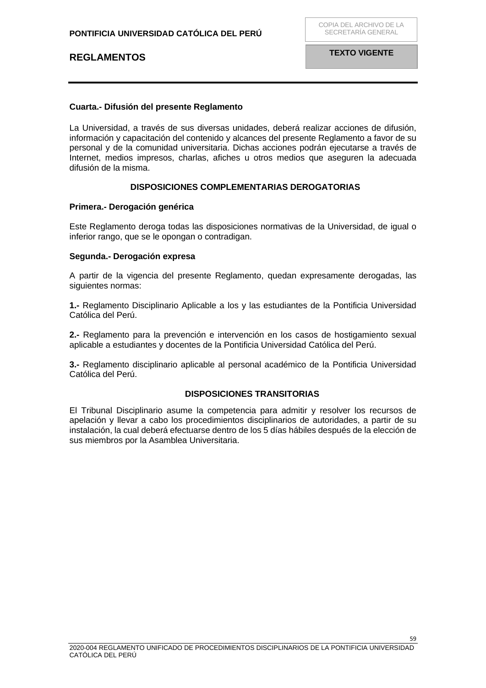## **Cuarta.- Difusión del presente Reglamento**

La Universidad, a través de sus diversas unidades, deberá realizar acciones de difusión, información y capacitación del contenido y alcances del presente Reglamento a favor de su personal y de la comunidad universitaria. Dichas acciones podrán ejecutarse a través de Internet, medios impresos, charlas, afiches u otros medios que aseguren la adecuada difusión de la misma.

## **DISPOSICIONES COMPLEMENTARIAS DEROGATORIAS**

## <span id="page-58-1"></span><span id="page-58-0"></span>**Primera.- Derogación genérica**

Este Reglamento deroga todas las disposiciones normativas de la Universidad, de igual o inferior rango, que se le opongan o contradigan.

## <span id="page-58-2"></span>**Segunda.- Derogación expresa**

A partir de la vigencia del presente Reglamento, quedan expresamente derogadas, las siguientes normas:

**1.-** Reglamento Disciplinario Aplicable a los y las estudiantes de la Pontificia Universidad Católica del Perú.

**2.-** Reglamento para la prevención e intervención en los casos de hostigamiento sexual aplicable a estudiantes y docentes de la Pontificia Universidad Católica del Perú.

**3.-** Reglamento disciplinario aplicable al personal académico de la Pontificia Universidad Católica del Perú.

## **DISPOSICIONES TRANSITORIAS**

El Tribunal Disciplinario asume la competencia para admitir y resolver los recursos de apelación y llevar a cabo los procedimientos disciplinarios de autoridades, a partir de su instalación, la cual deberá efectuarse dentro de los 5 días hábiles después de la elección de sus miembros por la Asamblea Universitaria.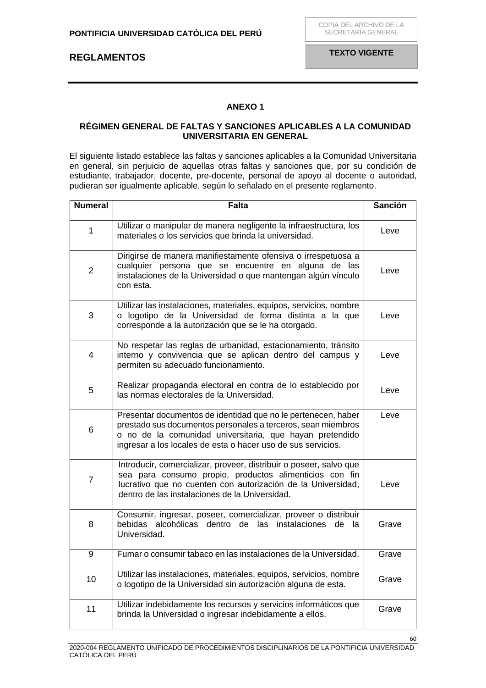## **ANEXO 1**

## <span id="page-59-1"></span><span id="page-59-0"></span>**RÉGIMEN GENERAL DE FALTAS Y SANCIONES APLICABLES A LA COMUNIDAD UNIVERSITARIA EN GENERAL**

El siguiente listado establece las faltas y sanciones aplicables a la Comunidad Universitaria en general, sin perjuicio de aquellas otras faltas y sanciones que, por su condición de estudiante, trabajador, docente, pre-docente, personal de apoyo al docente o autoridad, pudieran ser igualmente aplicable, según lo señalado en el presente reglamento.

| <b>Numeral</b> | <b>Falta</b>                                                                                                                                                                                                                                              | <b>Sanción</b> |
|----------------|-----------------------------------------------------------------------------------------------------------------------------------------------------------------------------------------------------------------------------------------------------------|----------------|
| 1              | Utilizar o manipular de manera negligente la infraestructura, los<br>materiales o los servicios que brinda la universidad.                                                                                                                                | Leve           |
| $\overline{2}$ | Dirigirse de manera manifiestamente ofensiva o irrespetuosa a<br>cualquier persona que se encuentre en alguna de las<br>instalaciones de la Universidad o que mantengan algún vínculo<br>con esta.                                                        | Leve           |
| 3              | Utilizar las instalaciones, materiales, equipos, servicios, nombre<br>o logotipo de la Universidad de forma distinta a la que<br>corresponde a la autorización que se le ha otorgado.                                                                     | Leve           |
| 4              | No respetar las reglas de urbanidad, estacionamiento, tránsito<br>interno y convivencia que se aplican dentro del campus y<br>permiten su adecuado funcionamiento.                                                                                        | Leve           |
| 5              | Realizar propaganda electoral en contra de lo establecido por<br>las normas electorales de la Universidad.                                                                                                                                                | Leve           |
| 6              | Presentar documentos de identidad que no le pertenecen, haber<br>prestado sus documentos personales a terceros, sean miembros<br>o no de la comunidad universitaria, que hayan pretendido<br>ingresar a los locales de esta o hacer uso de sus servicios. | Leve           |
| $\overline{7}$ | Introducir, comercializar, proveer, distribuir o poseer, salvo que<br>sea para consumo propio, productos alimenticios con fin<br>lucrativo que no cuenten con autorización de la Universidad,<br>dentro de las instalaciones de la Universidad.           | Leve           |
| 8              | Consumir, ingresar, poseer, comercializar, proveer o distribuir<br>alcohólicas dentro de las instalaciones de<br>bebidas<br>la.<br>Universidad.                                                                                                           | Grave          |
| 9              | Fumar o consumir tabaco en las instalaciones de la Universidad.                                                                                                                                                                                           | Grave          |
| 10             | Utilizar las instalaciones, materiales, equipos, servicios, nombre<br>o logotipo de la Universidad sin autorización alguna de esta.                                                                                                                       | Grave          |
| 11             | Utilizar indebidamente los recursos y servicios informáticos que<br>brinda la Universidad o ingresar indebidamente a ellos.                                                                                                                               | Grave          |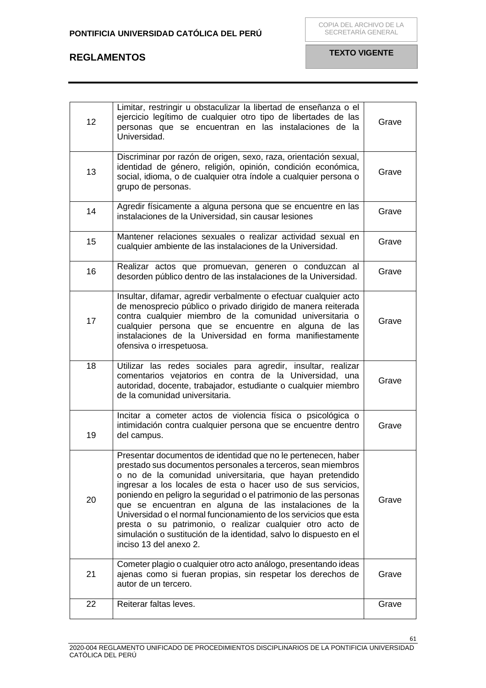**TEXTO VIGENTE**

| 12 | Limitar, restringir u obstaculizar la libertad de enseñanza o el<br>ejercicio legítimo de cualquier otro tipo de libertades de las<br>personas que se encuentran en las instalaciones de la<br>Universidad.                                                                                                                                                                                                                                                                                                                                                                                                              | Grave |
|----|--------------------------------------------------------------------------------------------------------------------------------------------------------------------------------------------------------------------------------------------------------------------------------------------------------------------------------------------------------------------------------------------------------------------------------------------------------------------------------------------------------------------------------------------------------------------------------------------------------------------------|-------|
| 13 | Discriminar por razón de origen, sexo, raza, orientación sexual,<br>identidad de género, religión, opinión, condición económica,<br>social, idioma, o de cualquier otra índole a cualquier persona o<br>grupo de personas.                                                                                                                                                                                                                                                                                                                                                                                               | Grave |
| 14 | Agredir físicamente a alguna persona que se encuentre en las<br>instalaciones de la Universidad, sin causar lesiones                                                                                                                                                                                                                                                                                                                                                                                                                                                                                                     | Grave |
| 15 | Mantener relaciones sexuales o realizar actividad sexual en<br>cualquier ambiente de las instalaciones de la Universidad.                                                                                                                                                                                                                                                                                                                                                                                                                                                                                                | Grave |
| 16 | Realizar actos que promuevan, generen o conduzcan al<br>desorden público dentro de las instalaciones de la Universidad.                                                                                                                                                                                                                                                                                                                                                                                                                                                                                                  | Grave |
| 17 | Insultar, difamar, agredir verbalmente o efectuar cualquier acto<br>de menosprecio público o privado dirigido de manera reiterada<br>contra cualquier miembro de la comunidad universitaria o<br>cualquier persona que se encuentre en alguna de las<br>instalaciones de la Universidad en forma manifiestamente<br>ofensiva o irrespetuosa.                                                                                                                                                                                                                                                                             | Grave |
| 18 | Utilizar las redes sociales para agredir, insultar, realizar<br>comentarios vejatorios en contra de la Universidad, una<br>autoridad, docente, trabajador, estudiante o cualquier miembro<br>de la comunidad universitaria.                                                                                                                                                                                                                                                                                                                                                                                              | Grave |
| 19 | Incitar a cometer actos de violencia física o psicológica o<br>intimidación contra cualquier persona que se encuentre dentro<br>del campus.                                                                                                                                                                                                                                                                                                                                                                                                                                                                              | Grave |
| 20 | Presentar documentos de identidad que no le pertenecen, haber<br>prestado sus documentos personales a terceros, sean miembros<br>o no de la comunidad universitaria, que hayan pretendido<br>ingresar a los locales de esta o hacer uso de sus servicios,<br>poniendo en peligro la seguridad o el patrimonio de las personas<br>que se encuentran en alguna de las instalaciones de la<br>Universidad o el normal funcionamiento de los servicios que esta<br>presta o su patrimonio, o realizar cualquier otro acto de<br>simulación o sustitución de la identidad, salvo lo dispuesto en el<br>inciso 13 del anexo 2. | Grave |
| 21 | Cometer plagio o cualquier otro acto análogo, presentando ideas<br>ajenas como si fueran propias, sin respetar los derechos de<br>autor de un tercero.                                                                                                                                                                                                                                                                                                                                                                                                                                                                   | Grave |
| 22 | Reiterar faltas leves.                                                                                                                                                                                                                                                                                                                                                                                                                                                                                                                                                                                                   | Grave |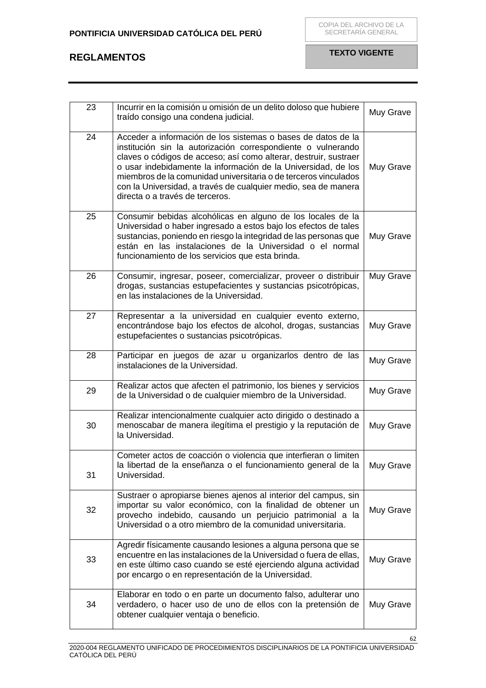| 23 | Incurrir en la comisión u omisión de un delito doloso que hubiere<br>traído consigo una condena judicial.                                                                                                                                                                                                                                                                                                                                 | Muy Grave |
|----|-------------------------------------------------------------------------------------------------------------------------------------------------------------------------------------------------------------------------------------------------------------------------------------------------------------------------------------------------------------------------------------------------------------------------------------------|-----------|
| 24 | Acceder a información de los sistemas o bases de datos de la<br>institución sin la autorización correspondiente o vulnerando<br>claves o códigos de acceso; así como alterar, destruir, sustraer<br>o usar indebidamente la información de la Universidad, de los<br>miembros de la comunidad universitaria o de terceros vinculados<br>con la Universidad, a través de cualquier medio, sea de manera<br>directa o a través de terceros. | Muy Grave |
| 25 | Consumir bebidas alcohólicas en alguno de los locales de la<br>Universidad o haber ingresado a estos bajo los efectos de tales<br>sustancias, poniendo en riesgo la integridad de las personas que<br>están en las instalaciones de la Universidad o el normal<br>funcionamiento de los servicios que esta brinda.                                                                                                                        | Muy Grave |
| 26 | Consumir, ingresar, poseer, comercializar, proveer o distribuir<br>drogas, sustancias estupefacientes y sustancias psicotrópicas,<br>en las instalaciones de la Universidad.                                                                                                                                                                                                                                                              | Muy Grave |
| 27 | Representar a la universidad en cualquier evento externo,<br>encontrándose bajo los efectos de alcohol, drogas, sustancias<br>estupefacientes o sustancias psicotrópicas.                                                                                                                                                                                                                                                                 | Muy Grave |
| 28 | Participar en juegos de azar u organizarlos dentro de las<br>instalaciones de la Universidad.                                                                                                                                                                                                                                                                                                                                             | Muy Grave |
| 29 | Realizar actos que afecten el patrimonio, los bienes y servicios<br>de la Universidad o de cualquier miembro de la Universidad.                                                                                                                                                                                                                                                                                                           | Muy Grave |
| 30 | Realizar intencionalmente cualquier acto dirigido o destinado a<br>menoscabar de manera ilegítima el prestigio y la reputación de<br>la Universidad.                                                                                                                                                                                                                                                                                      | Muy Grave |
| 31 | Cometer actos de coacción o violencia que interfieran o limiten<br>la libertad de la enseñanza o el funcionamiento general de la<br>Universidad.                                                                                                                                                                                                                                                                                          | Muy Grave |
| 32 | Sustraer o apropiarse bienes ajenos al interior del campus, sin<br>importar su valor económico, con la finalidad de obtener un<br>provecho indebido, causando un perjuicio patrimonial a la<br>Universidad o a otro miembro de la comunidad universitaria.                                                                                                                                                                                | Muy Grave |
| 33 | Agredir físicamente causando lesiones a alguna persona que se<br>encuentre en las instalaciones de la Universidad o fuera de ellas,<br>en este último caso cuando se esté ejerciendo alguna actividad<br>por encargo o en representación de la Universidad.                                                                                                                                                                               | Muy Grave |
| 34 | Elaborar en todo o en parte un documento falso, adulterar uno<br>verdadero, o hacer uso de uno de ellos con la pretensión de<br>obtener cualquier ventaja o beneficio.                                                                                                                                                                                                                                                                    | Muy Grave |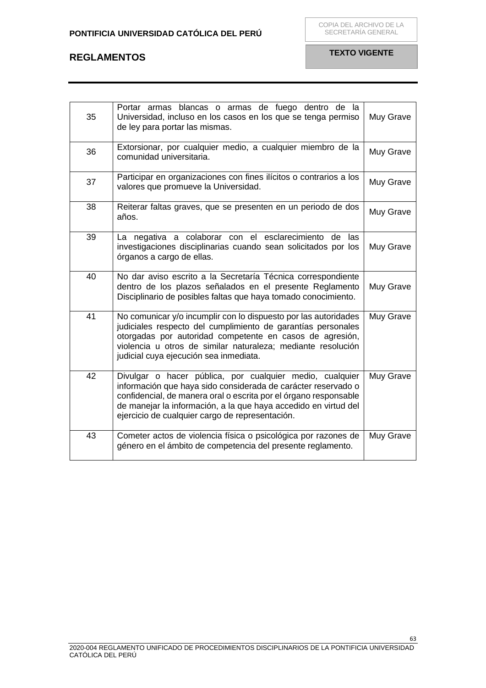**TEXTO VIGENTE**

| 35 | Portar armas blancas o armas de fuego dentro de la<br>Universidad, incluso en los casos en los que se tenga permiso<br>de ley para portar las mismas.                                                                                                                                                               | Muy Grave |
|----|---------------------------------------------------------------------------------------------------------------------------------------------------------------------------------------------------------------------------------------------------------------------------------------------------------------------|-----------|
| 36 | Extorsionar, por cualquier medio, a cualquier miembro de la<br>comunidad universitaria.                                                                                                                                                                                                                             | Muy Grave |
| 37 | Participar en organizaciones con fines ilícitos o contrarios a los<br>valores que promueve la Universidad.                                                                                                                                                                                                          | Muy Grave |
| 38 | Reiterar faltas graves, que se presenten en un periodo de dos<br>años.                                                                                                                                                                                                                                              | Muy Grave |
| 39 | La negativa a colaborar con el esclarecimiento de las<br>investigaciones disciplinarias cuando sean solicitados por los<br>órganos a cargo de ellas.                                                                                                                                                                | Muy Grave |
| 40 | No dar aviso escrito a la Secretaría Técnica correspondiente<br>dentro de los plazos señalados en el presente Reglamento<br>Disciplinario de posibles faltas que haya tomado conocimiento.                                                                                                                          | Muy Grave |
| 41 | No comunicar y/o incumplir con lo dispuesto por las autoridades<br>judiciales respecto del cumplimiento de garantías personales<br>otorgadas por autoridad competente en casos de agresión,<br>violencia u otros de similar naturaleza; mediante resolución<br>judicial cuya ejecución sea inmediata.               | Muy Grave |
| 42 | Divulgar o hacer pública, por cualquier medio, cualquier<br>información que haya sido considerada de carácter reservado o<br>confidencial, de manera oral o escrita por el órgano responsable<br>de manejar la información, a la que haya accedido en virtud del<br>ejercicio de cualquier cargo de representación. | Muy Grave |
| 43 | Cometer actos de violencia física o psicológica por razones de<br>género en el ámbito de competencia del presente reglamento.                                                                                                                                                                                       | Muy Grave |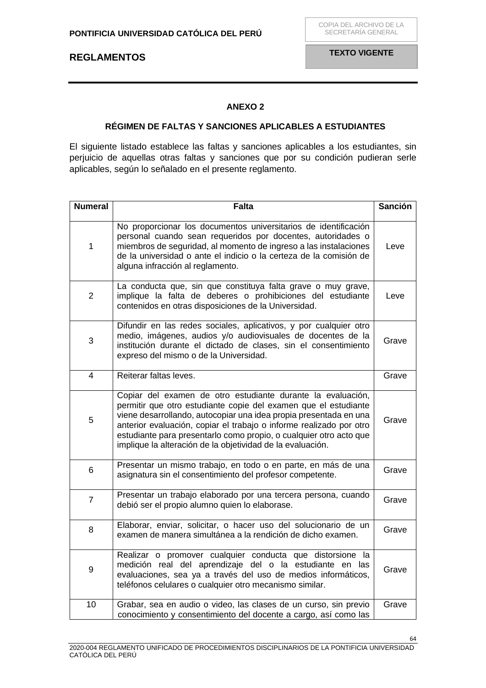**TEXTO VIGENTE**

## **ANEXO 2**

## **RÉGIMEN DE FALTAS Y SANCIONES APLICABLES A ESTUDIANTES**

<span id="page-63-1"></span><span id="page-63-0"></span>El siguiente listado establece las faltas y sanciones aplicables a los estudiantes, sin perjuicio de aquellas otras faltas y sanciones que por su condición pudieran serle aplicables, según lo señalado en el presente reglamento.

| <b>Numeral</b>          | <b>Falta</b>                                                                                                                                                                                                                                                                                                                                                                                                   | <b>Sanción</b> |
|-------------------------|----------------------------------------------------------------------------------------------------------------------------------------------------------------------------------------------------------------------------------------------------------------------------------------------------------------------------------------------------------------------------------------------------------------|----------------|
| 1                       | No proporcionar los documentos universitarios de identificación<br>personal cuando sean requeridos por docentes, autoridades o<br>miembros de seguridad, al momento de ingreso a las instalaciones<br>de la universidad o ante el indicio o la certeza de la comisión de<br>alguna infracción al reglamento.                                                                                                   | Leve           |
| $\overline{2}$          | La conducta que, sin que constituya falta grave o muy grave,<br>implique la falta de deberes o prohibiciones del estudiante<br>contenidos en otras disposiciones de la Universidad.                                                                                                                                                                                                                            | Leve           |
| 3                       | Difundir en las redes sociales, aplicativos, y por cualquier otro<br>medio, imágenes, audios y/o audiovisuales de docentes de la<br>institución durante el dictado de clases, sin el consentimiento<br>expreso del mismo o de la Universidad.                                                                                                                                                                  | Grave          |
| $\overline{\mathbf{4}}$ | Reiterar faltas leves.                                                                                                                                                                                                                                                                                                                                                                                         | Grave          |
| 5                       | Copiar del examen de otro estudiante durante la evaluación,<br>permitir que otro estudiante copie del examen que el estudiante<br>viene desarrollando, autocopiar una idea propia presentada en una<br>anterior evaluación, copiar el trabajo o informe realizado por otro<br>estudiante para presentarlo como propio, o cualquier otro acto que<br>implique la alteración de la objetividad de la evaluación. | Grave          |
| 6                       | Presentar un mismo trabajo, en todo o en parte, en más de una<br>asignatura sin el consentimiento del profesor competente.                                                                                                                                                                                                                                                                                     | Grave          |
| $\overline{7}$          | Presentar un trabajo elaborado por una tercera persona, cuando<br>debió ser el propio alumno quien lo elaborase.                                                                                                                                                                                                                                                                                               | Grave          |
| 8                       | Elaborar, enviar, solicitar, o hacer uso del solucionario de un<br>examen de manera simultánea a la rendición de dicho examen.                                                                                                                                                                                                                                                                                 | Grave          |
| 9                       | Realizar o promover cualquier conducta que distorsione la<br>medición real del aprendizaje del o la estudiante en las<br>evaluaciones, sea ya a través del uso de medios informáticos,<br>teléfonos celulares o cualquier otro mecanismo similar.                                                                                                                                                              | Grave          |
| 10                      | Grabar, sea en audio o video, las clases de un curso, sin previo<br>conocimiento y consentimiento del docente a cargo, así como las                                                                                                                                                                                                                                                                            | Grave          |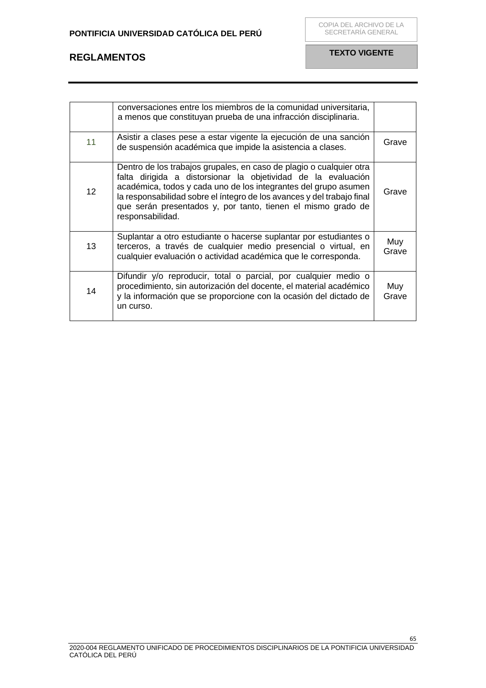**TEXTO VIGENTE**

|                 | conversaciones entre los miembros de la comunidad universitaria,<br>a menos que constituyan prueba de una infracción disciplinaria.                                                                                                                                                                                                                                   |              |
|-----------------|-----------------------------------------------------------------------------------------------------------------------------------------------------------------------------------------------------------------------------------------------------------------------------------------------------------------------------------------------------------------------|--------------|
| 11              | Asistir a clases pese a estar vigente la ejecución de una sanción<br>de suspensión académica que impide la asistencia a clases.                                                                                                                                                                                                                                       | Grave        |
| 12 <sup>2</sup> | Dentro de los trabajos grupales, en caso de plagio o cualquier otra<br>falta dirigida a distorsionar la objetividad de la evaluación<br>académica, todos y cada uno de los integrantes del grupo asumen<br>la responsabilidad sobre el íntegro de los avances y del trabajo final<br>que serán presentados y, por tanto, tienen el mismo grado de<br>responsabilidad. | Grave        |
| 13              | Suplantar a otro estudiante o hacerse suplantar por estudiantes o<br>terceros, a través de cualquier medio presencial o virtual, en<br>cualquier evaluación o actividad académica que le corresponda.                                                                                                                                                                 | Muy<br>Grave |
| 14              | Difundir y/o reproducir, total o parcial, por cualquier medio o<br>procedimiento, sin autorización del docente, el material académico<br>y la información que se proporcione con la ocasión del dictado de<br>un curso.                                                                                                                                               | Muy<br>Grave |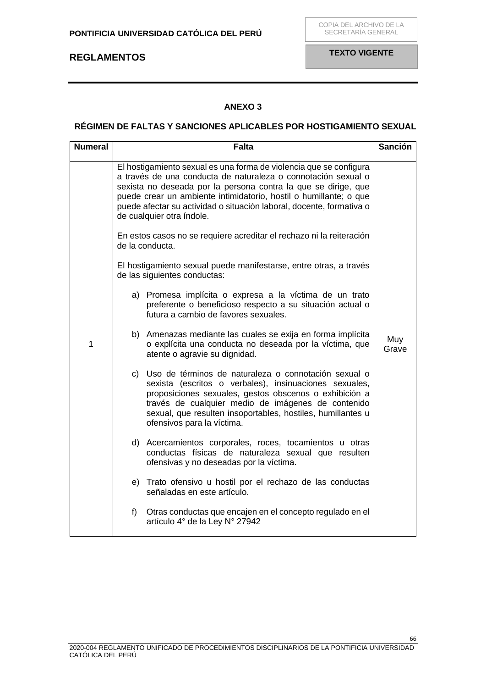## **ANEXO 3**

## <span id="page-65-1"></span><span id="page-65-0"></span>**RÉGIMEN DE FALTAS Y SANCIONES APLICABLES POR HOSTIGAMIENTO SEXUAL**

| <b>Numeral</b> | <b>Falta</b>                                                                                                                                                                                                                                                                                                                                                                    | <b>Sanción</b> |
|----------------|---------------------------------------------------------------------------------------------------------------------------------------------------------------------------------------------------------------------------------------------------------------------------------------------------------------------------------------------------------------------------------|----------------|
|                | El hostigamiento sexual es una forma de violencia que se configura<br>a través de una conducta de naturaleza o connotación sexual o<br>sexista no deseada por la persona contra la que se dirige, que<br>puede crear un ambiente intimidatorio, hostil o humillante; o que<br>puede afectar su actividad o situación laboral, docente, formativa o<br>de cualquier otra índole. |                |
|                | En estos casos no se requiere acreditar el rechazo ni la reiteración<br>de la conducta.                                                                                                                                                                                                                                                                                         |                |
|                | El hostigamiento sexual puede manifestarse, entre otras, a través<br>de las siguientes conductas:                                                                                                                                                                                                                                                                               |                |
|                | a) Promesa implícita o expresa a la víctima de un trato<br>preferente o beneficioso respecto a su situación actual o<br>futura a cambio de favores sexuales.                                                                                                                                                                                                                    |                |
| 1              | b) Amenazas mediante las cuales se exija en forma implícita<br>o explícita una conducta no deseada por la víctima, que<br>atente o agravie su dignidad.                                                                                                                                                                                                                         | Muy<br>Grave   |
|                | c) Uso de términos de naturaleza o connotación sexual o<br>sexista (escritos o verbales), insinuaciones sexuales,<br>proposiciones sexuales, gestos obscenos o exhibición a<br>través de cualquier medio de imágenes de contenido<br>sexual, que resulten insoportables, hostiles, humillantes u<br>ofensivos para la víctima.                                                  |                |
|                | d) Acercamientos corporales, roces, tocamientos u otras<br>conductas físicas de naturaleza sexual que resulten<br>ofensivas y no deseadas por la víctima.                                                                                                                                                                                                                       |                |
|                | e) Trato ofensivo u hostil por el rechazo de las conductas<br>señaladas en este artículo.                                                                                                                                                                                                                                                                                       |                |
|                | f)<br>Otras conductas que encajen en el concepto regulado en el<br>artículo 4° de la Ley N° 27942                                                                                                                                                                                                                                                                               |                |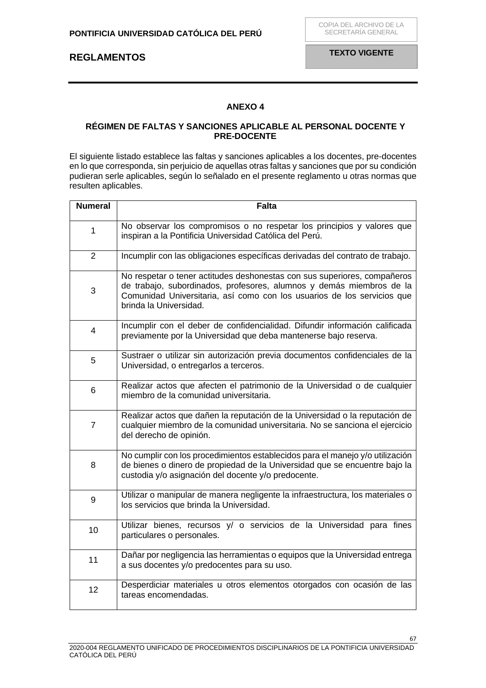## **ANEXO 4**

## <span id="page-66-1"></span><span id="page-66-0"></span>**RÉGIMEN DE FALTAS Y SANCIONES APLICABLE AL PERSONAL DOCENTE Y PRE-DOCENTE**

El siguiente listado establece las faltas y sanciones aplicables a los docentes, pre-docentes en lo que corresponda, sin perjuicio de aquellas otras faltas y sanciones que por su condición pudieran serle aplicables, según lo señalado en el presente reglamento u otras normas que resulten aplicables.

| <b>Numeral</b> | <b>Falta</b>                                                                                                                                                                                                                                          |  |
|----------------|-------------------------------------------------------------------------------------------------------------------------------------------------------------------------------------------------------------------------------------------------------|--|
| 1              | No observar los compromisos o no respetar los principios y valores que<br>inspiran a la Pontificia Universidad Católica del Perú.                                                                                                                     |  |
| $\overline{2}$ | Incumplir con las obligaciones específicas derivadas del contrato de trabajo.                                                                                                                                                                         |  |
| 3              | No respetar o tener actitudes deshonestas con sus superiores, compañeros<br>de trabajo, subordinados, profesores, alumnos y demás miembros de la<br>Comunidad Universitaria, así como con los usuarios de los servicios que<br>brinda la Universidad. |  |
| 4              | Incumplir con el deber de confidencialidad. Difundir información calificada<br>previamente por la Universidad que deba mantenerse bajo reserva.                                                                                                       |  |
| 5              | Sustraer o utilizar sin autorización previa documentos confidenciales de la<br>Universidad, o entregarlos a terceros.                                                                                                                                 |  |
| 6              | Realizar actos que afecten el patrimonio de la Universidad o de cualquier<br>miembro de la comunidad universitaria.                                                                                                                                   |  |
| $\overline{7}$ | Realizar actos que dañen la reputación de la Universidad o la reputación de<br>cualquier miembro de la comunidad universitaria. No se sanciona el ejercicio<br>del derecho de opinión.                                                                |  |
| 8              | No cumplir con los procedimientos establecidos para el manejo y/o utilización<br>de bienes o dinero de propiedad de la Universidad que se encuentre bajo la<br>custodia y/o asignación del docente y/o predocente.                                    |  |
| 9              | Utilizar o manipular de manera negligente la infraestructura, los materiales o<br>los servicios que brinda la Universidad.                                                                                                                            |  |
| 10             | Utilizar bienes, recursos y/ o servicios de la Universidad para fines<br>particulares o personales.                                                                                                                                                   |  |
| 11             | Dañar por negligencia las herramientas o equipos que la Universidad entrega<br>a sus docentes y/o predocentes para su uso.                                                                                                                            |  |
| 12             | Desperdiciar materiales u otros elementos otorgados con ocasión de las<br>tareas encomendadas.                                                                                                                                                        |  |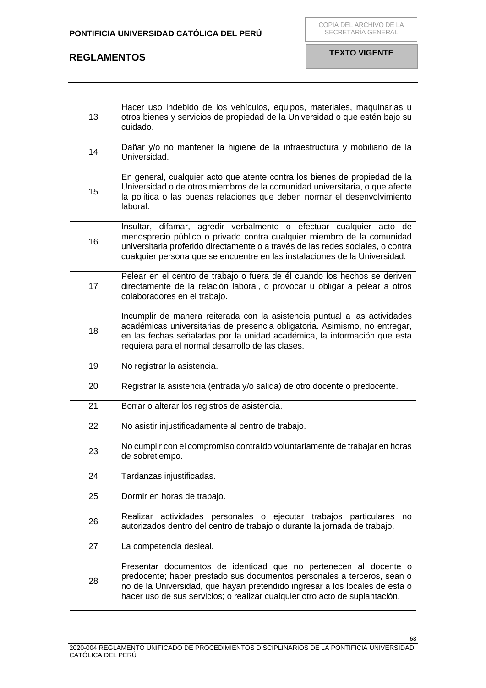| 13 | Hacer uso indebido de los vehículos, equipos, materiales, maquinarias u<br>otros bienes y servicios de propiedad de la Universidad o que estén bajo su<br>cuidado.                                                                                                                                             |
|----|----------------------------------------------------------------------------------------------------------------------------------------------------------------------------------------------------------------------------------------------------------------------------------------------------------------|
| 14 | Dañar y/o no mantener la higiene de la infraestructura y mobiliario de la<br>Universidad.                                                                                                                                                                                                                      |
| 15 | En general, cualquier acto que atente contra los bienes de propiedad de la<br>Universidad o de otros miembros de la comunidad universitaria, o que afecte<br>la política o las buenas relaciones que deben normar el desenvolvimiento<br>laboral.                                                              |
| 16 | Insultar, difamar, agredir verbalmente o efectuar cualquier acto de<br>menosprecio público o privado contra cualquier miembro de la comunidad<br>universitaria proferido directamente o a través de las redes sociales, o contra<br>cualquier persona que se encuentre en las instalaciones de la Universidad. |
| 17 | Pelear en el centro de trabajo o fuera de él cuando los hechos se deriven<br>directamente de la relación laboral, o provocar u obligar a pelear a otros<br>colaboradores en el trabajo.                                                                                                                        |
| 18 | Incumplir de manera reiterada con la asistencia puntual a las actividades<br>académicas universitarias de presencia obligatoria. Asimismo, no entregar,<br>en las fechas señaladas por la unidad académica, la información que esta<br>requiera para el normal desarrollo de las clases.                       |
| 19 | No registrar la asistencia.                                                                                                                                                                                                                                                                                    |
| 20 | Registrar la asistencia (entrada y/o salida) de otro docente o predocente.                                                                                                                                                                                                                                     |
| 21 | Borrar o alterar los registros de asistencia.                                                                                                                                                                                                                                                                  |
| 22 | No asistir injustificadamente al centro de trabajo.                                                                                                                                                                                                                                                            |
| 23 | No cumplir con el compromiso contraído voluntariamente de trabajar en horas<br>de sobretiempo.                                                                                                                                                                                                                 |
| 24 | Tardanzas injustificadas.                                                                                                                                                                                                                                                                                      |
| 25 | Dormir en horas de trabajo.                                                                                                                                                                                                                                                                                    |
| 26 | Realizar actividades personales o ejecutar trabajos particulares<br>no<br>autorizados dentro del centro de trabajo o durante la jornada de trabajo.                                                                                                                                                            |
| 27 | La competencia desleal.                                                                                                                                                                                                                                                                                        |
| 28 | Presentar documentos de identidad que no pertenecen al docente o<br>predocente; haber prestado sus documentos personales a terceros, sean o<br>no de la Universidad, que hayan pretendido ingresar a los locales de esta o<br>hacer uso de sus servicios; o realizar cualquier otro acto de suplantación.      |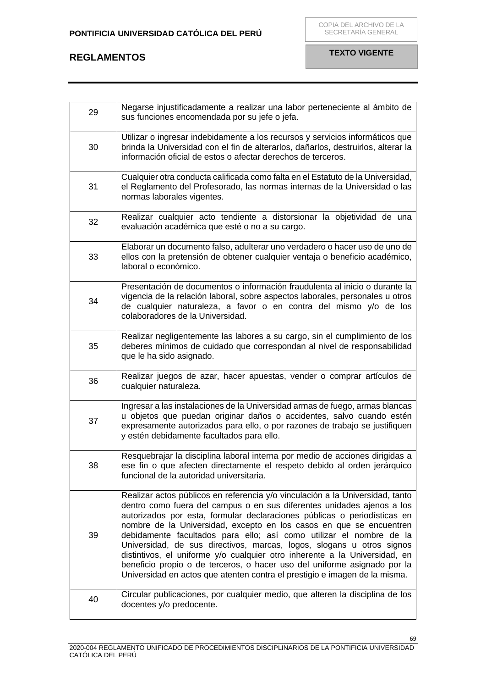| 29 | Negarse injustificadamente a realizar una labor perteneciente al ámbito de<br>sus funciones encomendada por su jefe o jefa.                                                                                                                                                                                                                                                                                                                                                                                                                                                                                                                                                                        |
|----|----------------------------------------------------------------------------------------------------------------------------------------------------------------------------------------------------------------------------------------------------------------------------------------------------------------------------------------------------------------------------------------------------------------------------------------------------------------------------------------------------------------------------------------------------------------------------------------------------------------------------------------------------------------------------------------------------|
| 30 | Utilizar o ingresar indebidamente a los recursos y servicios informáticos que<br>brinda la Universidad con el fin de alterarlos, dañarlos, destruirlos, alterar la<br>información oficial de estos o afectar derechos de terceros.                                                                                                                                                                                                                                                                                                                                                                                                                                                                 |
| 31 | Cualquier otra conducta calificada como falta en el Estatuto de la Universidad,<br>el Reglamento del Profesorado, las normas internas de la Universidad o las<br>normas laborales vigentes.                                                                                                                                                                                                                                                                                                                                                                                                                                                                                                        |
| 32 | Realizar cualquier acto tendiente a distorsionar la objetividad de una<br>evaluación académica que esté o no a su cargo.                                                                                                                                                                                                                                                                                                                                                                                                                                                                                                                                                                           |
| 33 | Elaborar un documento falso, adulterar uno verdadero o hacer uso de uno de<br>ellos con la pretensión de obtener cualquier ventaja o beneficio académico,<br>laboral o económico.                                                                                                                                                                                                                                                                                                                                                                                                                                                                                                                  |
| 34 | Presentación de documentos o información fraudulenta al inicio o durante la<br>vigencia de la relación laboral, sobre aspectos laborales, personales u otros<br>de cualquier naturaleza, a favor o en contra del mismo y/o de los<br>colaboradores de la Universidad.                                                                                                                                                                                                                                                                                                                                                                                                                              |
| 35 | Realizar negligentemente las labores a su cargo, sin el cumplimiento de los<br>deberes mínimos de cuidado que correspondan al nivel de responsabilidad<br>que le ha sido asignado.                                                                                                                                                                                                                                                                                                                                                                                                                                                                                                                 |
| 36 | Realizar juegos de azar, hacer apuestas, vender o comprar artículos de<br>cualquier naturaleza.                                                                                                                                                                                                                                                                                                                                                                                                                                                                                                                                                                                                    |
| 37 | Ingresar a las instalaciones de la Universidad armas de fuego, armas blancas<br>u objetos que puedan originar daños o accidentes, salvo cuando estén<br>expresamente autorizados para ello, o por razones de trabajo se justifiquen<br>y estén debidamente facultados para ello.                                                                                                                                                                                                                                                                                                                                                                                                                   |
| 38 | Resquebrajar la disciplina laboral interna por medio de acciones dirigidas a<br>ese fin o que afecten directamente el respeto debido al orden jerárquico<br>funcional de la autoridad universitaria.                                                                                                                                                                                                                                                                                                                                                                                                                                                                                               |
| 39 | Realizar actos públicos en referencia y/o vinculación a la Universidad, tanto<br>dentro como fuera del campus o en sus diferentes unidades ajenos a los<br>autorizados por esta, formular declaraciones públicas o periodísticas en<br>nombre de la Universidad, excepto en los casos en que se encuentren<br>debidamente facultados para ello; así como utilizar el nombre de la<br>Universidad, de sus directivos, marcas, logos, slogans u otros signos<br>distintivos, el uniforme y/o cualquier otro inherente a la Universidad, en<br>beneficio propio o de terceros, o hacer uso del uniforme asignado por la<br>Universidad en actos que atenten contra el prestigio e imagen de la misma. |
| 40 | Circular publicaciones, por cualquier medio, que alteren la disciplina de los<br>docentes y/o predocente.                                                                                                                                                                                                                                                                                                                                                                                                                                                                                                                                                                                          |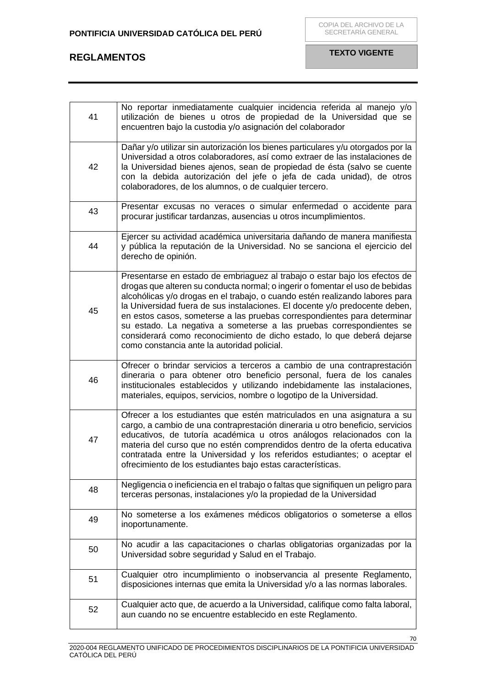| 41 | No reportar inmediatamente cualquier incidencia referida al manejo y/o<br>utilización de bienes u otros de propiedad de la Universidad que se<br>encuentren bajo la custodia y/o asignación del colaborador                                                                                                                                                                                                                                                                                                                                                                                             |
|----|---------------------------------------------------------------------------------------------------------------------------------------------------------------------------------------------------------------------------------------------------------------------------------------------------------------------------------------------------------------------------------------------------------------------------------------------------------------------------------------------------------------------------------------------------------------------------------------------------------|
| 42 | Dañar y/o utilizar sin autorización los bienes particulares y/u otorgados por la<br>Universidad a otros colaboradores, así como extraer de las instalaciones de<br>la Universidad bienes ajenos, sean de propiedad de ésta (salvo se cuente<br>con la debida autorización del jefe o jefa de cada unidad), de otros<br>colaboradores, de los alumnos, o de cualquier tercero.                                                                                                                                                                                                                           |
| 43 | Presentar excusas no veraces o simular enfermedad o accidente para<br>procurar justificar tardanzas, ausencias u otros incumplimientos.                                                                                                                                                                                                                                                                                                                                                                                                                                                                 |
| 44 | Ejercer su actividad académica universitaria dañando de manera manifiesta<br>y pública la reputación de la Universidad. No se sanciona el ejercicio del<br>derecho de opinión.                                                                                                                                                                                                                                                                                                                                                                                                                          |
| 45 | Presentarse en estado de embriaguez al trabajo o estar bajo los efectos de<br>drogas que alteren su conducta normal; o ingerir o fomentar el uso de bebidas<br>alcohólicas y/o drogas en el trabajo, o cuando estén realizando labores para<br>la Universidad fuera de sus instalaciones. El docente y/o predocente deben,<br>en estos casos, someterse a las pruebas correspondientes para determinar<br>su estado. La negativa a someterse a las pruebas correspondientes se<br>considerará como reconocimiento de dicho estado, lo que deberá dejarse<br>como constancia ante la autoridad policial. |
| 46 | Ofrecer o brindar servicios a terceros a cambio de una contraprestación<br>dineraria o para obtener otro beneficio personal, fuera de los canales<br>institucionales establecidos y utilizando indebidamente las instalaciones,<br>materiales, equipos, servicios, nombre o logotipo de la Universidad.                                                                                                                                                                                                                                                                                                 |
| 47 | Ofrecer a los estudiantes que estén matriculados en una asignatura a su<br>cargo, a cambio de una contraprestación dineraria u otro beneficio, servicios<br>educativos, de tutoría académica u otros análogos relacionados con la<br>materia del curso que no estén comprendidos dentro de la oferta educativa<br>contratada entre la Universidad y los referidos estudiantes; o aceptar el<br>ofrecimiento de los estudiantes bajo estas características.                                                                                                                                              |
| 48 | Negligencia o ineficiencia en el trabajo o faltas que signifiquen un peligro para<br>terceras personas, instalaciones y/o la propiedad de la Universidad                                                                                                                                                                                                                                                                                                                                                                                                                                                |
| 49 | No someterse a los exámenes médicos obligatorios o someterse a ellos<br>inoportunamente.                                                                                                                                                                                                                                                                                                                                                                                                                                                                                                                |
| 50 | No acudir a las capacitaciones o charlas obligatorias organizadas por la<br>Universidad sobre seguridad y Salud en el Trabajo.                                                                                                                                                                                                                                                                                                                                                                                                                                                                          |
| 51 | Cualquier otro incumplimiento o inobservancia al presente Reglamento,<br>disposiciones internas que emita la Universidad y/o a las normas laborales.                                                                                                                                                                                                                                                                                                                                                                                                                                                    |
| 52 | Cualquier acto que, de acuerdo a la Universidad, califique como falta laboral,<br>aun cuando no se encuentre establecido en este Reglamento.                                                                                                                                                                                                                                                                                                                                                                                                                                                            |